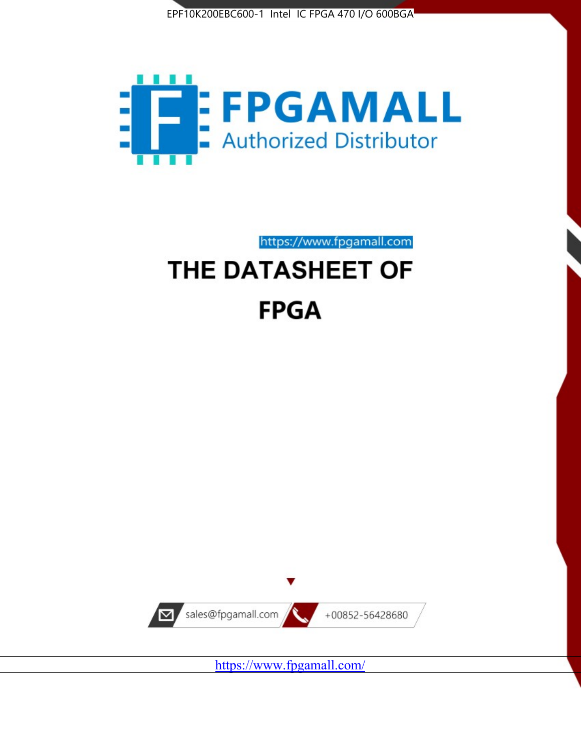



https://www.fpgamall.com

# THE DATASHEET OF **FPGA**



<https://www.fpgamall.com/>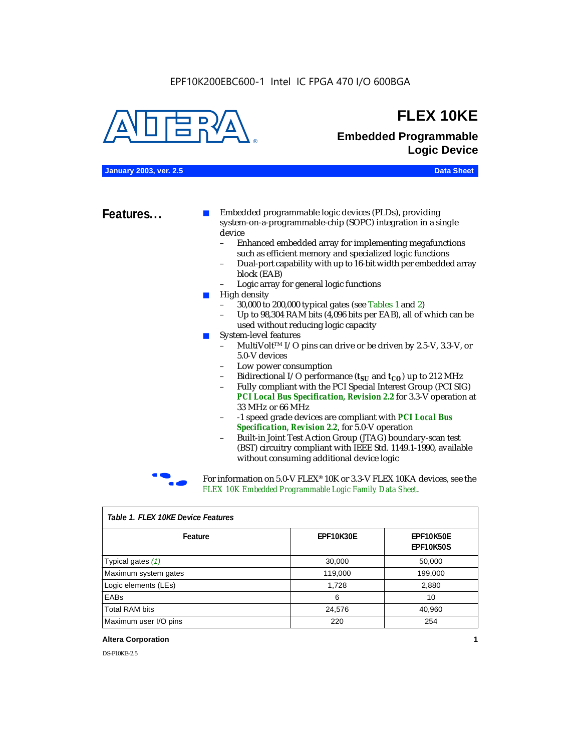

### **FLEX 10KE**

### **Embedded Programmable Logic Device**

**January 2003, ver. 2.5 Data Sheet**

**Features...** ■ Embedded programmable logic devices (PLDs), providing system-on-a-programmable-chip (SOPC) integration in a single device

- Enhanced embedded array for implementing megafunctions such as efficient memory and specialized logic functions
- Dual-port capability with up to 16-bit width per embedded array block (EAB)
- Logic array for general logic functions
- High density
	- 30,000 to 200,000 typical gates (see Tables 1 and 2)
	- Up to 98,304 RAM bits (4,096 bits per EAB), all of which can be used without reducing logic capacity
- System-level features
	- MultiVolt<sup>™</sup> I/O pins can drive or be driven by 2.5-V, 3.3-V, or 5.0-V devices
	- Low power consumption
	- Bidirectional I/O performance  $(t_{SI}$  and  $t_{CO}$ ) up to 212 MHz
	- Fully compliant with the PCI Special Interest Group (PCI SIG) *PCI Local Bus Specification, Revision 2.2* for 3.3-V operation at 33 MHz or 66 MHz
	- -1 speed grade devices are compliant with *PCI Local Bus Specification, Revision 2.2*, for 5.0-V operation
	- Built-in Joint Test Action Group (JTAG) boundary-scan test (BST) circuitry compliant with IEEE Std. 1149.1-1990, available without consuming additional device logic



For information on 5.0-V FLEX<sup>®</sup> 10K or 3.3-V FLEX 10KA devices, see the *FLEX 10K Embedded Programmable Logic Family Data Sheet*.

| Tadie T. Flex Tuke Device Features |                  |                                      |  |  |
|------------------------------------|------------------|--------------------------------------|--|--|
| Feature                            | <b>EPF10K30E</b> | <b>EPF10K50E</b><br><b>EPF10K50S</b> |  |  |
| Typical gates (1)                  | 30,000           | 50,000                               |  |  |
| Maximum system gates               | 119,000          | 199,000                              |  |  |
| Logic elements (LEs)               | 1,728            | 2,880                                |  |  |
| EABs                               | 6                | 10                                   |  |  |
| <b>Total RAM bits</b>              | 24,576           | 40,960                               |  |  |
| Maximum user I/O pins              | 220              | 254                                  |  |  |

#### *Table 1. FLEX 10KE Device Features*

#### **Altera Corporation 1**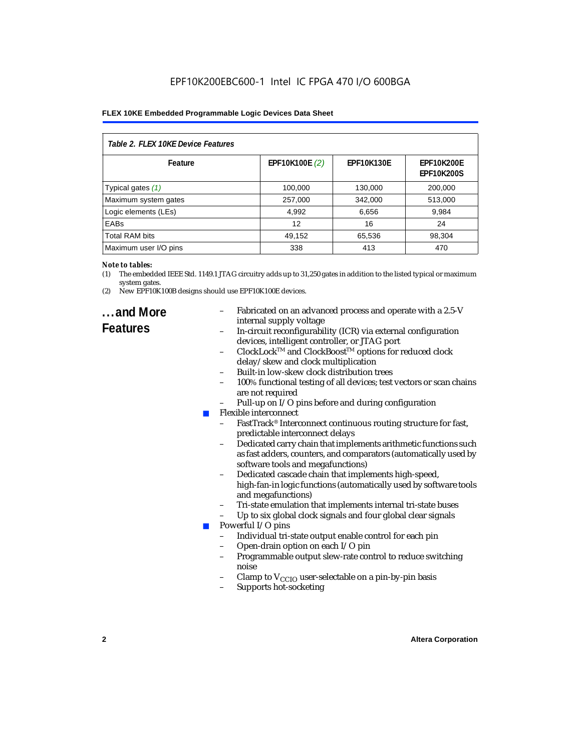| Table 2. FLEX 10KE Device Features |                |                   |                                        |  |
|------------------------------------|----------------|-------------------|----------------------------------------|--|
| Feature                            | EPF10K100E (2) | <b>EPF10K130E</b> | <b>EPF10K200E</b><br><b>EPF10K200S</b> |  |
| Typical gates (1)                  | 100,000        | 130,000           | 200,000                                |  |
| Maximum system gates               | 257,000        | 342,000           | 513,000                                |  |
| Logic elements (LEs)               | 4,992          | 6,656             | 9,984                                  |  |
| <b>EABs</b>                        | 12             | 16                | 24                                     |  |
| <b>Total RAM bits</b>              | 49,152         | 65,536            | 98,304                                 |  |
| Maximum user I/O pins              | 338            | 413               | 470                                    |  |

#### *Note to tables:*

- (1) The embedded IEEE Std. 1149.1 JTAG circuitry adds up to 31,250 gates in addition to the listed typical or maximum system gates.
- (2) New EPF10K100B designs should use EPF10K100E devices.

### **...and More Features**

- Fabricated on an advanced process and operate with a 2.5-V internal supply voltage
- In-circuit reconfigurability (ICR) via external configuration devices, intelligent controller, or JTAG port
- ClockLockTM and ClockBoostTM options for reduced clock delay/skew and clock multiplication
- Built-in low-skew clock distribution trees
- 100% functional testing of all devices; test vectors or scan chains are not required
- Pull-up on I/O pins before and during configuration
- Flexible interconnect
	- FastTrack<sup>®</sup> Interconnect continuous routing structure for fast, predictable interconnect delays
	- Dedicated carry chain that implements arithmetic functions such as fast adders, counters, and comparators (automatically used by software tools and megafunctions)
	- Dedicated cascade chain that implements high-speed, high-fan-in logic functions (automatically used by software tools and megafunctions)
	- Tri-state emulation that implements internal tri-state buses
	- Up to six global clock signals and four global clear signals
	- Powerful I/O pins
		- Individual tri-state output enable control for each pin
		- Open-drain option on each I/O pin
		- Programmable output slew-rate control to reduce switching noise
		- Clamp to  $V_{\text{CCIO}}$  user-selectable on a pin-by-pin basis
		- Supports hot-socketing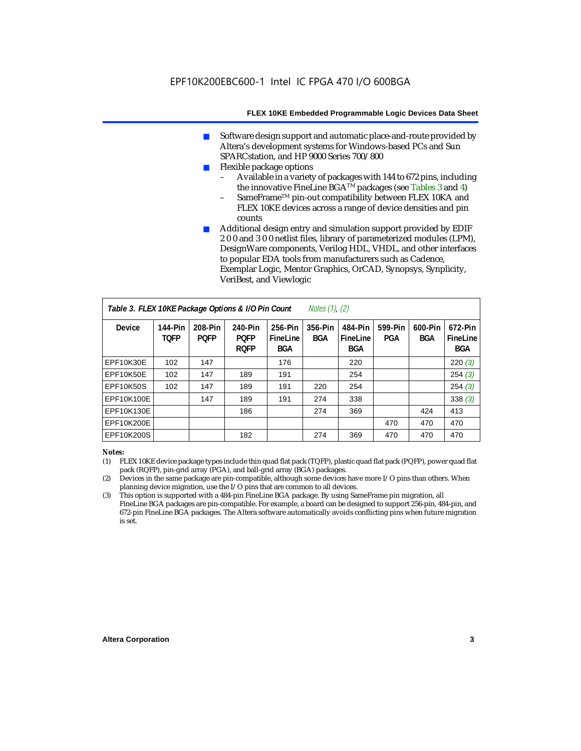- Software design support and automatic place-and-route provided by Altera's development systems for Windows-based PCs and Sun SPARCstation, and HP 9000 Series 700/800
- Flexible package options
	- Available in a variety of packages with 144 to 672 pins, including the innovative FineLine BGA<sup>TM</sup> packages (see Tables 3 and 4)
	- SameFrame™ pin-out compatibility between FLEX 10KA and FLEX 10KE devices across a range of device densities and pin counts
- Additional design entry and simulation support provided by EDIF 2 0 0 and 3 0 0 netlist files, library of parameterized modules (LPM), DesignWare components, Verilog HDL, VHDL, and other interfaces to popular EDA tools from manufacturers such as Cadence, Exemplar Logic, Mentor Graphics, OrCAD, Synopsys, Synplicity, VeriBest, and Viewlogic

| Table 3. FLEX 10KE Package Options & I/O Pin Count<br><i>Notes <math>(1)</math>, <math>(2)</math></i> |                               |                        |                                       |                                   |                |                                   |                |                       |                                   |
|-------------------------------------------------------------------------------------------------------|-------------------------------|------------------------|---------------------------------------|-----------------------------------|----------------|-----------------------------------|----------------|-----------------------|-----------------------------------|
| <b>Device</b>                                                                                         | <b>144-Pin</b><br><b>TOFP</b> | 208-Pin<br><b>POFP</b> | 240-Pin<br><b>PQFP</b><br><b>ROFP</b> | 256-Pin<br>FineLine<br><b>BGA</b> | 356-Pin<br>BGA | 484-Pin<br>FineLine<br><b>BGA</b> | 599-Pin<br>PGA | 600-Pin<br><b>BGA</b> | 672-Pin<br>FineLine<br><b>BGA</b> |
| EPF10K30E                                                                                             | 102                           | 147                    |                                       | 176                               |                | 220                               |                |                       | 220(3)                            |
| EPF10K50E                                                                                             | 102                           | 147                    | 189                                   | 191                               |                | 254                               |                |                       | 254(3)                            |
| <b>EPF10K50S</b>                                                                                      | 102                           | 147                    | 189                                   | 191                               | 220            | 254                               |                |                       | 254(3)                            |
| EPF10K100E                                                                                            |                               | 147                    | 189                                   | 191                               | 274            | 338                               |                |                       | 338(3)                            |
| EPF10K130E                                                                                            |                               |                        | 186                                   |                                   | 274            | 369                               |                | 424                   | 413                               |
| EPF10K200E                                                                                            |                               |                        |                                       |                                   |                |                                   | 470            | 470                   | 470                               |
| EPF10K200S                                                                                            |                               |                        | 182                                   |                                   | 274            | 369                               | 470            | 470                   | 470                               |

#### *Notes:*

- (1) FLEX 10KE device package types include thin quad flat pack (TQFP), plastic quad flat pack (PQFP), power quad flat pack (RQFP), pin-grid array (PGA), and ball-grid array (BGA) packages.
- (2) Devices in the same package are pin-compatible, although some devices have more I/O pins than others. When planning device migration, use the I/O pins that are common to all devices.
- (3) This option is supported with a 484-pin FineLine BGA package. By using SameFrame pin migration, all FineLine BGA packages are pin-compatible. For example, a board can be designed to support 256-pin, 484-pin, and 672-pin FineLine BGA packages. The Altera software automatically avoids conflicting pins when future migration is set.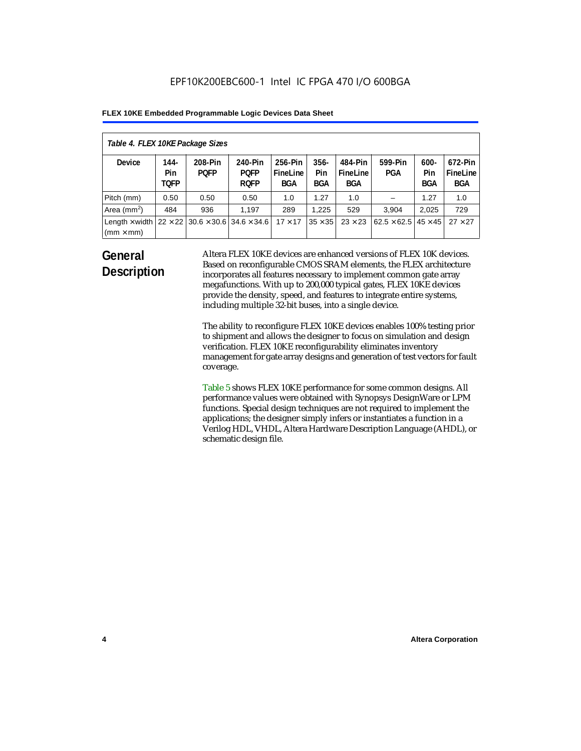| Table 4. FLEX 10KE Package Sizes          |                            |                                                      |                                       |                                   |                       |                            |                                     |                              |                                   |
|-------------------------------------------|----------------------------|------------------------------------------------------|---------------------------------------|-----------------------------------|-----------------------|----------------------------|-------------------------------------|------------------------------|-----------------------------------|
| <b>Device</b>                             | 144-<br>Pin<br><b>TOFP</b> | 208-Pin<br><b>POFP</b>                               | 240-Pin<br><b>POFP</b><br><b>ROFP</b> | 256-Pin<br>FineLine<br><b>BGA</b> | $356 -$<br>Pin<br>BGA | 484-Pin<br>FineLine<br>BGA | 599-Pin<br>PGA                      | $600 -$<br>Pin<br><b>BGA</b> | 672-Pin<br>FineLine<br><b>BGA</b> |
| Pitch (mm)                                | 0.50                       | 0.50                                                 | 0.50                                  | 1.0                               | 1.27                  | 1.0                        |                                     | 1.27                         | 1.0                               |
| Area $(mm2)$                              | 484                        | 936                                                  | 1,197                                 | 289                               | 1.225                 | 529                        | 3.904                               | 2,025                        | 729                               |
| Length $\times$ width<br>$(mm \times mm)$ |                            | $22 \times 22$ 30.6 $\times$ 30.6 34.6 $\times$ 34.6 |                                       | $17 \times 17$                    | $35 \times 35$        | $23 \times 23$             | $62.5 \times 62.5$   45 $\times$ 45 |                              | $27 \times 27$                    |

### **General Description**

Altera FLEX 10KE devices are enhanced versions of FLEX 10K devices. Based on reconfigurable CMOS SRAM elements, the FLEX architecture incorporates all features necessary to implement common gate array megafunctions. With up to 200,000 typical gates, FLEX 10KE devices provide the density, speed, and features to integrate entire systems, including multiple 32-bit buses, into a single device.

The ability to reconfigure FLEX 10KE devices enables 100% testing prior to shipment and allows the designer to focus on simulation and design verification. FLEX 10KE reconfigurability eliminates inventory management for gate array designs and generation of test vectors for fault coverage.

Table 5 shows FLEX 10KE performance for some common designs. All performance values were obtained with Synopsys DesignWare or LPM functions. Special design techniques are not required to implement the applications; the designer simply infers or instantiates a function in a Verilog HDL, VHDL, Altera Hardware Description Language (AHDL), or schematic design file.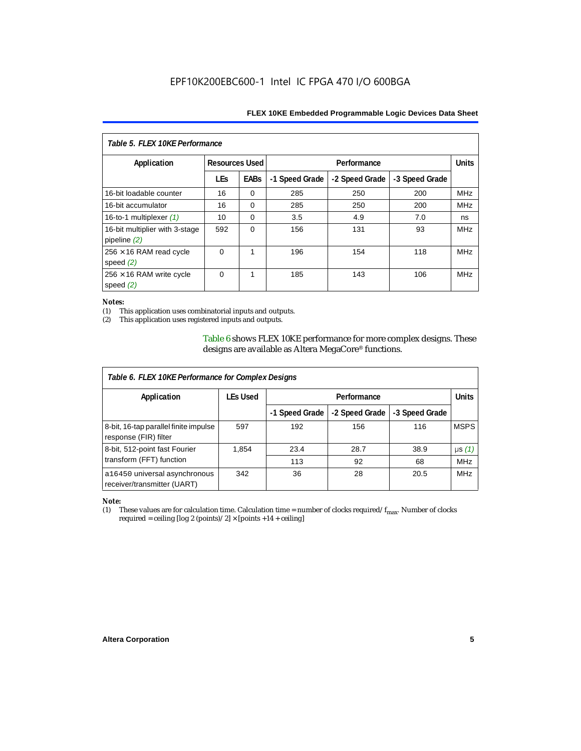| Table 5. FLFX 10KF Performance                   |                       |             |                |                |                |            |  |
|--------------------------------------------------|-----------------------|-------------|----------------|----------------|----------------|------------|--|
| Application                                      | <b>Resources Used</b> |             |                | Performance    |                |            |  |
|                                                  | <b>LEs</b>            | <b>EABs</b> | -1 Speed Grade | -2 Speed Grade | -3 Speed Grade |            |  |
| 16-bit loadable counter                          | 16                    | $\Omega$    | 285            | 250            | 200            | <b>MHz</b> |  |
| 16-bit accumulator                               | 16                    | $\Omega$    | 285            | 250            | 200            | <b>MHz</b> |  |
| 16-to-1 multiplexer $(1)$                        | 10                    | $\Omega$    | 3.5            | 4.9            | 7.0            | ns         |  |
| 16-bit multiplier with 3-stage<br>pipeline $(2)$ | 592                   | $\Omega$    | 156            | 131            | 93             | <b>MHz</b> |  |
| $256 \times 16$ RAM read cycle<br>speed $(2)$    | $\Omega$              | 1           | 196            | 154            | 118            | <b>MHz</b> |  |
| $256 \times 16$ RAM write cycle<br>speed $(2)$   | $\Omega$              | 1           | 185            | 143            | 106            | <b>MHz</b> |  |

#### *Notes:*

(1) This application uses combinatorial inputs and outputs.

This application uses registered inputs and outputs.

Table 6 shows FLEX 10KE performance for more complex designs. These designs are available as Altera MegaCore® functions.

| Table 6. FLEX 10KE Performance for Complex Designs             |                 |                |                |                |              |
|----------------------------------------------------------------|-----------------|----------------|----------------|----------------|--------------|
| Application                                                    | <b>LEs Used</b> | Performance    |                |                | <b>Units</b> |
|                                                                |                 | -1 Speed Grade | -2 Speed Grade | -3 Speed Grade |              |
| 8-bit, 16-tap parallel finite impulse<br>response (FIR) filter | 597             | 192            | 156            | 116            | <b>MSPS</b>  |
| 8-bit, 512-point fast Fourier                                  | 1,854           | 23.4           | 28.7           | 38.9           | $\mu s(1)$   |
| transform (FFT) function                                       |                 | 113            | 92             | 68             | <b>MHz</b>   |
| a16450 universal asynchronous<br>receiver/transmitter (UART)   | 342             | 36             | 28             | 20.5           | <b>MHz</b>   |

## *Note:*<br>(1) 1

These values are for calculation time. Calculation time = number of clocks required/ $f_{max}$ . Number of clocks required = ceiling [log 2 (points)/2]  $\times$  [points +14 + ceiling]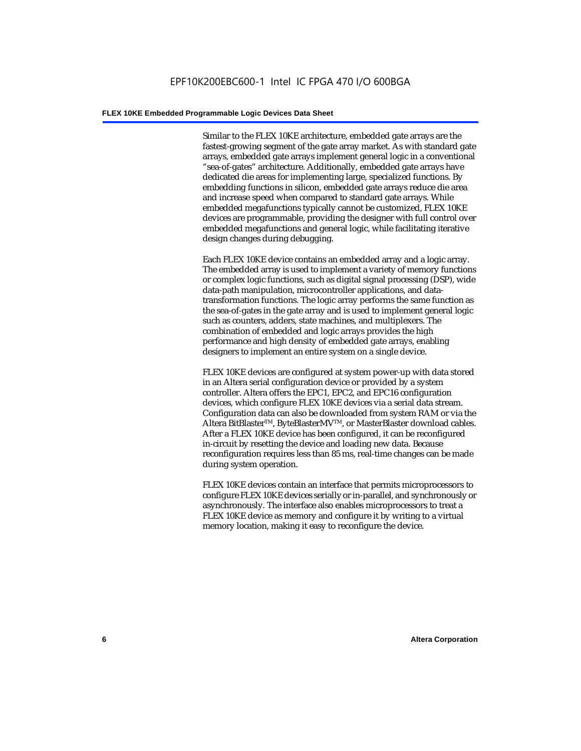Similar to the FLEX 10KE architecture, embedded gate arrays are the fastest-growing segment of the gate array market. As with standard gate arrays, embedded gate arrays implement general logic in a conventional "sea-of-gates" architecture. Additionally, embedded gate arrays have dedicated die areas for implementing large, specialized functions. By embedding functions in silicon, embedded gate arrays reduce die area and increase speed when compared to standard gate arrays. While embedded megafunctions typically cannot be customized, FLEX 10KE devices are programmable, providing the designer with full control over embedded megafunctions and general logic, while facilitating iterative design changes during debugging.

Each FLEX 10KE device contains an embedded array and a logic array. The embedded array is used to implement a variety of memory functions or complex logic functions, such as digital signal processing (DSP), wide data-path manipulation, microcontroller applications, and datatransformation functions. The logic array performs the same function as the sea-of-gates in the gate array and is used to implement general logic such as counters, adders, state machines, and multiplexers. The combination of embedded and logic arrays provides the high performance and high density of embedded gate arrays, enabling designers to implement an entire system on a single device.

FLEX 10KE devices are configured at system power-up with data stored in an Altera serial configuration device or provided by a system controller. Altera offers the EPC1, EPC2, and EPC16 configuration devices, which configure FLEX 10KE devices via a serial data stream. Configuration data can also be downloaded from system RAM or via the Altera BitBlaster™, ByteBlasterMV™, or MasterBlaster download cables. After a FLEX 10KE device has been configured, it can be reconfigured in-circuit by resetting the device and loading new data. Because reconfiguration requires less than 85 ms, real-time changes can be made during system operation.

FLEX 10KE devices contain an interface that permits microprocessors to configure FLEX 10KE devices serially or in-parallel, and synchronously or asynchronously. The interface also enables microprocessors to treat a FLEX 10KE device as memory and configure it by writing to a virtual memory location, making it easy to reconfigure the device.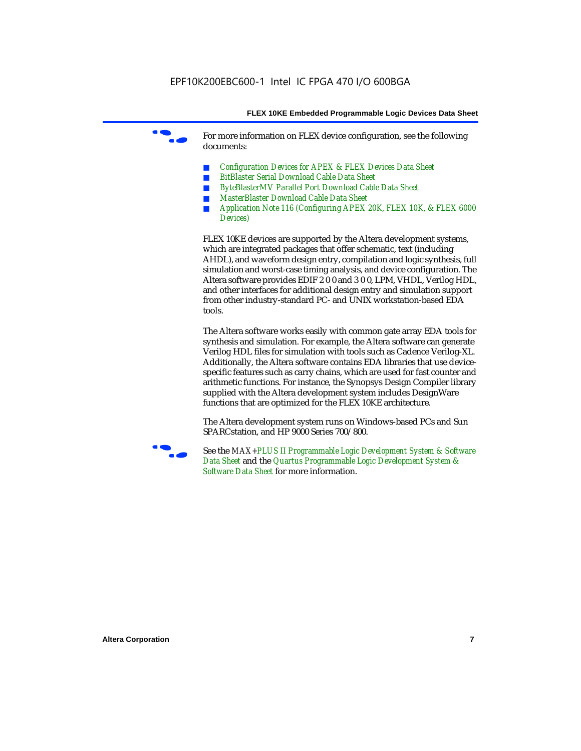For more information on FLEX device configuration, see the following documents:

- *Configuration Devices for APEX & FLEX Devices Data Sheet*
- *BitBlaster Serial Download Cable Data Sheet*
- *ByteBlasterMV Parallel Port Download Cable Data Sheet*
- *MasterBlaster Download Cable Data Sheet*
- *Application Note 116 (Configuring APEX 20K, FLEX 10K, & FLEX 6000 Devices)*

FLEX 10KE devices are supported by the Altera development systems, which are integrated packages that offer schematic, text (including AHDL), and waveform design entry, compilation and logic synthesis, full simulation and worst-case timing analysis, and device configuration. The Altera software provides EDIF 2 0 0 and 3 0 0, LPM, VHDL, Verilog HDL, and other interfaces for additional design entry and simulation support from other industry-standard PC- and UNIX workstation-based EDA tools.

The Altera software works easily with common gate array EDA tools for synthesis and simulation. For example, the Altera software can generate Verilog HDL files for simulation with tools such as Cadence Verilog-XL. Additionally, the Altera software contains EDA libraries that use devicespecific features such as carry chains, which are used for fast counter and arithmetic functions. For instance, the Synopsys Design Compiler library supplied with the Altera development system includes DesignWare functions that are optimized for the FLEX 10KE architecture.

The Altera development system runs on Windows-based PCs and Sun SPARCstation, and HP 9000 Series 700/800.



See the *MAX+PLUS II Programmable Logic Development System & Software Data Sheet* and the *Quartus Programmable Logic Development System & Software Data Sheet* for more information.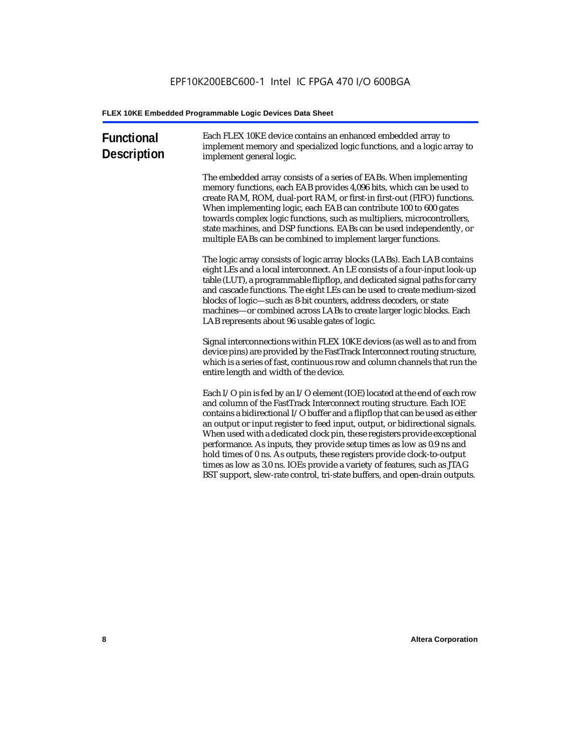| <b>Functional</b><br><b>Description</b> | Each FLEX 10KE device contains an enhanced embedded array to<br>implement memory and specialized logic functions, and a logic array to<br>implement general logic.                                                                                                                                                                                                                                                                                                                                                                                                                                                                                                                                             |
|-----------------------------------------|----------------------------------------------------------------------------------------------------------------------------------------------------------------------------------------------------------------------------------------------------------------------------------------------------------------------------------------------------------------------------------------------------------------------------------------------------------------------------------------------------------------------------------------------------------------------------------------------------------------------------------------------------------------------------------------------------------------|
|                                         | The embedded array consists of a series of EABs. When implementing<br>memory functions, each EAB provides 4,096 bits, which can be used to<br>create RAM, ROM, dual-port RAM, or first-in first-out (FIFO) functions.<br>When implementing logic, each EAB can contribute 100 to 600 gates<br>towards complex logic functions, such as multipliers, microcontrollers,<br>state machines, and DSP functions. EABs can be used independently, or<br>multiple EABs can be combined to implement larger functions.                                                                                                                                                                                                 |
|                                         | The logic array consists of logic array blocks (LABs). Each LAB contains<br>eight LEs and a local interconnect. An LE consists of a four-input look-up<br>table (LUT), a programmable flipflop, and dedicated signal paths for carry<br>and cascade functions. The eight LEs can be used to create medium-sized<br>blocks of logic-such as 8-bit counters, address decoders, or state<br>machines-or combined across LABs to create larger logic blocks. Each<br>LAB represents about 96 usable gates of logic.                                                                                                                                                                                                |
|                                         | Signal interconnections within FLEX 10KE devices (as well as to and from<br>device pins) are provided by the FastTrack Interconnect routing structure,<br>which is a series of fast, continuous row and column channels that run the<br>entire length and width of the device.                                                                                                                                                                                                                                                                                                                                                                                                                                 |
|                                         | Each I/O pin is fed by an I/O element (IOE) located at the end of each row<br>and column of the FastTrack Interconnect routing structure. Each IOE<br>contains a bidirectional I/O buffer and a flipflop that can be used as either<br>an output or input register to feed input, output, or bidirectional signals.<br>When used with a dedicated clock pin, these registers provide exceptional<br>performance. As inputs, they provide setup times as low as 0.9 ns and<br>hold times of 0 ns. As outputs, these registers provide clock-to-output<br>times as low as 3.0 ns. IOEs provide a variety of features, such as JTAG<br>BST support, slew-rate control, tri-state buffers, and open-drain outputs. |
|                                         |                                                                                                                                                                                                                                                                                                                                                                                                                                                                                                                                                                                                                                                                                                                |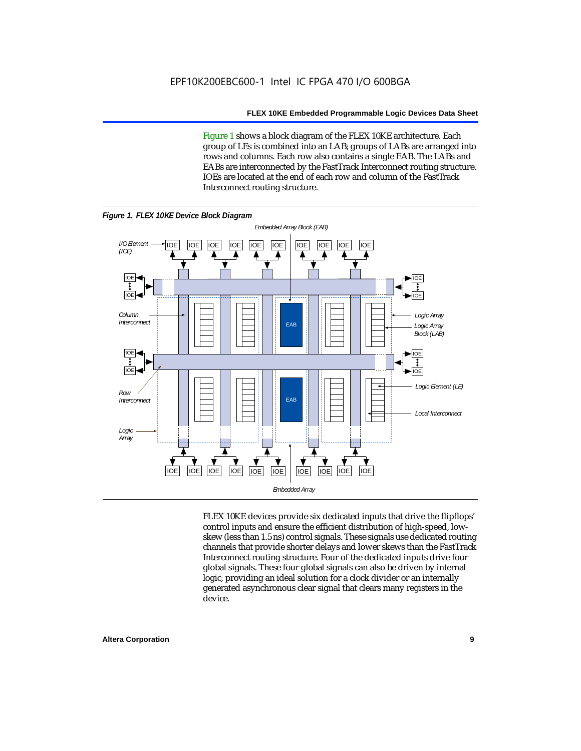Figure 1 shows a block diagram of the FLEX 10KE architecture. Each group of LEs is combined into an LAB; groups of LABs are arranged into rows and columns. Each row also contains a single EAB. The LABs and EABs are interconnected by the FastTrack Interconnect routing structure. IOEs are located at the end of each row and column of the FastTrack Interconnect routing structure.



FLEX 10KE devices provide six dedicated inputs that drive the flipflops' control inputs and ensure the efficient distribution of high-speed, lowskew (less than 1.5 ns) control signals. These signals use dedicated routing channels that provide shorter delays and lower skews than the FastTrack Interconnect routing structure. Four of the dedicated inputs drive four global signals. These four global signals can also be driven by internal logic, providing an ideal solution for a clock divider or an internally generated asynchronous clear signal that clears many registers in the device.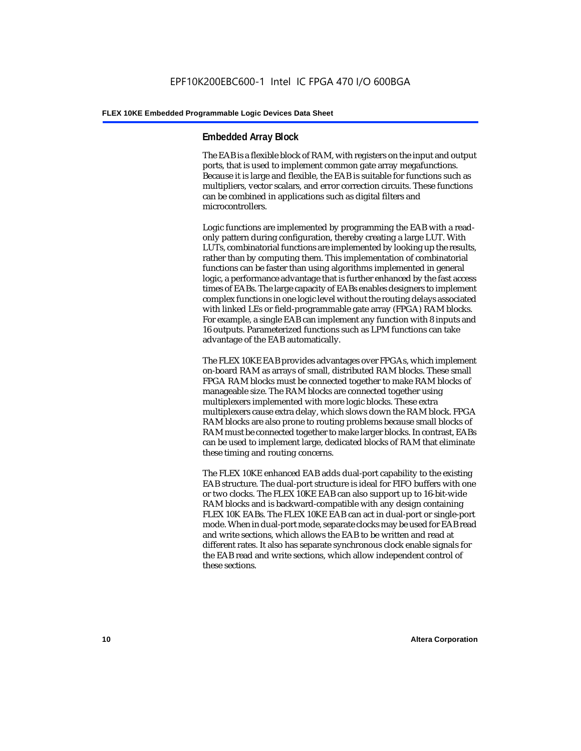#### **Embedded Array Block**

The EAB is a flexible block of RAM, with registers on the input and output ports, that is used to implement common gate array megafunctions. Because it is large and flexible, the EAB is suitable for functions such as multipliers, vector scalars, and error correction circuits. These functions can be combined in applications such as digital filters and microcontrollers.

Logic functions are implemented by programming the EAB with a readonly pattern during configuration, thereby creating a large LUT. With LUTs, combinatorial functions are implemented by looking up the results, rather than by computing them. This implementation of combinatorial functions can be faster than using algorithms implemented in general logic, a performance advantage that is further enhanced by the fast access times of EABs. The large capacity of EABs enables designers to implement complex functions in one logic level without the routing delays associated with linked LEs or field-programmable gate array (FPGA) RAM blocks. For example, a single EAB can implement any function with 8 inputs and 16 outputs. Parameterized functions such as LPM functions can take advantage of the EAB automatically.

The FLEX 10KE EAB provides advantages over FPGAs, which implement on-board RAM as arrays of small, distributed RAM blocks. These small FPGA RAM blocks must be connected together to make RAM blocks of manageable size. The RAM blocks are connected together using multiplexers implemented with more logic blocks. These extra multiplexers cause extra delay, which slows down the RAM block. FPGA RAM blocks are also prone to routing problems because small blocks of RAM must be connected together to make larger blocks. In contrast, EABs can be used to implement large, dedicated blocks of RAM that eliminate these timing and routing concerns.

The FLEX 10KE enhanced EAB adds dual-port capability to the existing EAB structure. The dual-port structure is ideal for FIFO buffers with one or two clocks. The FLEX 10KE EAB can also support up to 16-bit-wide RAM blocks and is backward-compatible with any design containing FLEX 10K EABs. The FLEX 10KE EAB can act in dual-port or single-port mode. When in dual-port mode, separate clocks may be used for EAB read and write sections, which allows the EAB to be written and read at different rates. It also has separate synchronous clock enable signals for the EAB read and write sections, which allow independent control of these sections.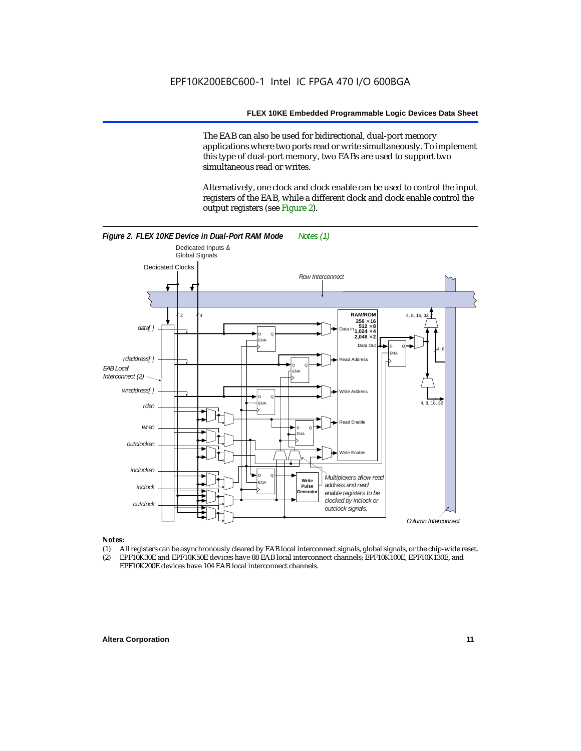The EAB can also be used for bidirectional, dual-port memory applications where two ports read or write simultaneously. To implement this type of dual-port memory, two EABs are used to support two simultaneous read or writes.

Alternatively, one clock and clock enable can be used to control the input registers of the EAB, while a different clock and clock enable control the output registers (see Figure 2).



#### *Notes:*

- (1) All registers can be asynchronously cleared by EAB local interconnect signals, global signals, or the chip-wide reset.
- (2) EPF10K30E and EPF10K50E devices have 88 EAB local interconnect channels; EPF10K100E, EPF10K130E, and EPF10K200E devices have 104 EAB local interconnect channels.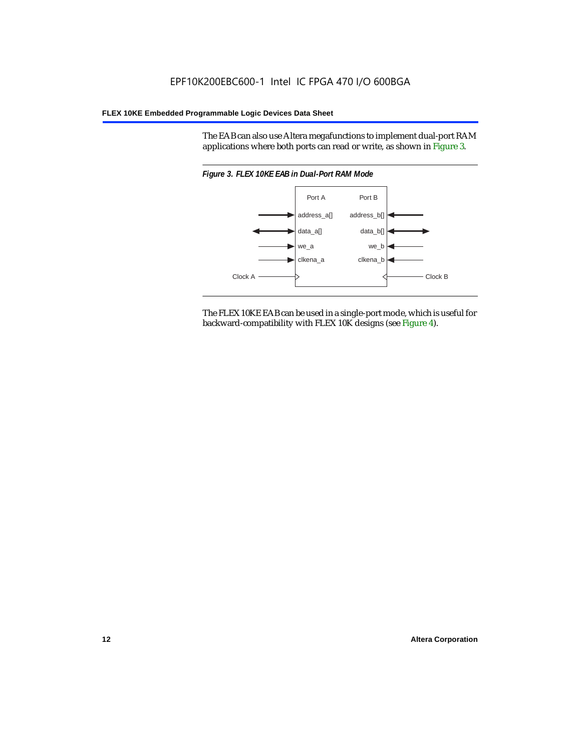The EAB can also use Altera megafunctions to implement dual-port RAM applications where both ports can read or write, as shown in Figure 3.



The FLEX 10KE EAB can be used in a single-port mode, which is useful for backward-compatibility with FLEX 10K designs (see Figure 4).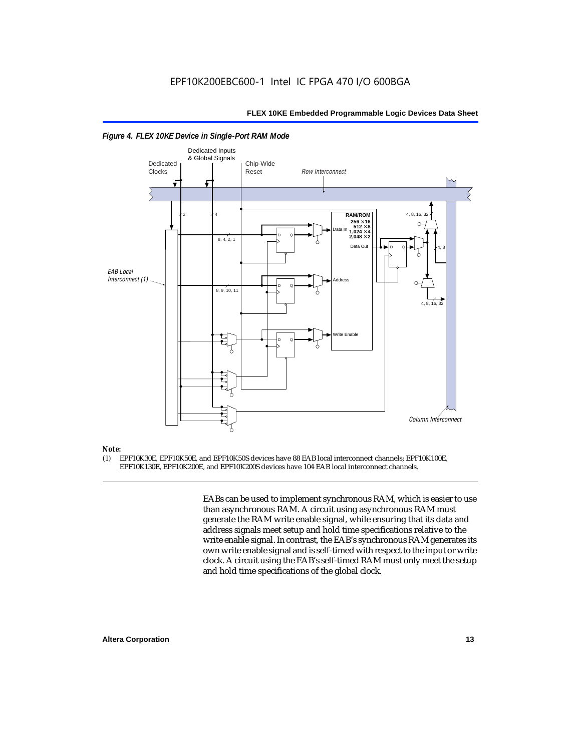

#### *Figure 4. FLEX 10KE Device in Single-Port RAM Mode*

### *Note:*<br>(1) **F**

(1) EPF10K30E, EPF10K50E, and EPF10K50S devices have 88 EAB local interconnect channels; EPF10K100E, EPF10K130E, EPF10K200E, and EPF10K200S devices have 104 EAB local interconnect channels.

> EABs can be used to implement synchronous RAM, which is easier to use than asynchronous RAM. A circuit using asynchronous RAM must generate the RAM write enable signal, while ensuring that its data and address signals meet setup and hold time specifications relative to the write enable signal. In contrast, the EAB's synchronous RAM generates its own write enable signal and is self-timed with respect to the input or write clock. A circuit using the EAB's self-timed RAM must only meet the setup and hold time specifications of the global clock.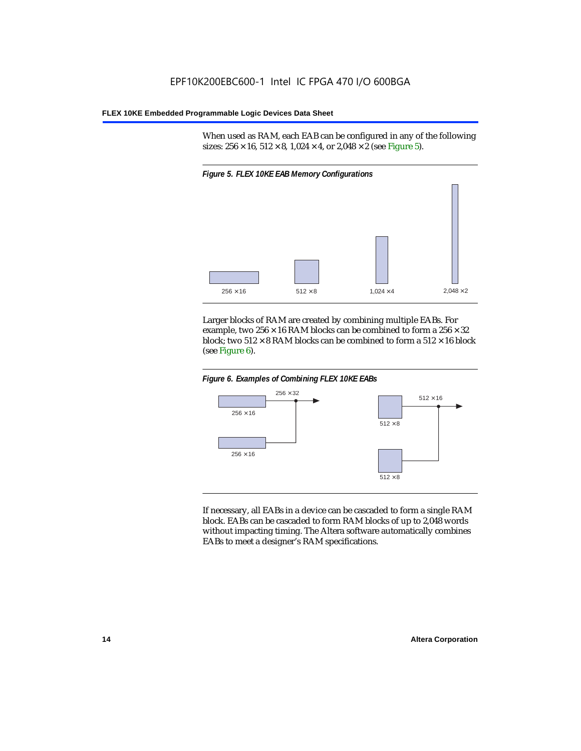When used as RAM, each EAB can be configured in any of the following sizes:  $256 \times 16$ ,  $512 \times 8$ ,  $1,024 \times 4$ , or  $2,048 \times 2$  (see Figure 5).



Larger blocks of RAM are created by combining multiple EABs. For example, two  $256 \times 16$  RAM blocks can be combined to form a  $256 \times 32$ block; two  $512 \times 8$  RAM blocks can be combined to form a  $512 \times 16$  block (see Figure 6).





If necessary, all EABs in a device can be cascaded to form a single RAM block. EABs can be cascaded to form RAM blocks of up to 2,048 words without impacting timing. The Altera software automatically combines EABs to meet a designer's RAM specifications.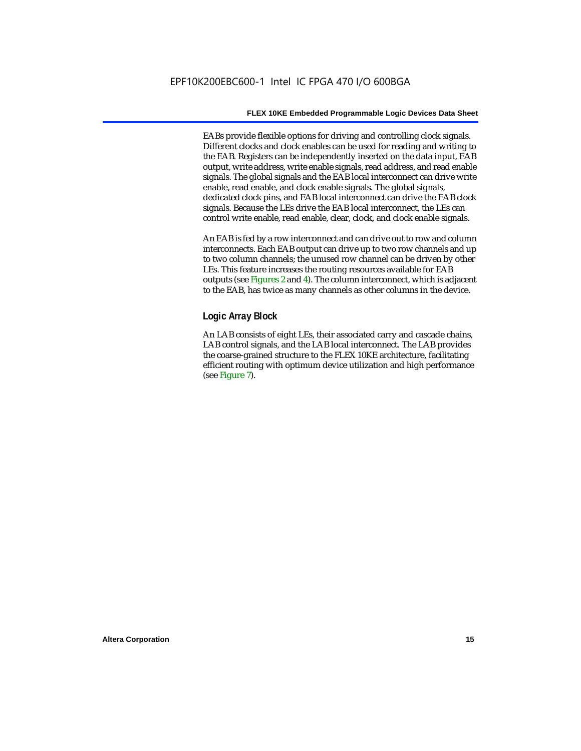EABs provide flexible options for driving and controlling clock signals. Different clocks and clock enables can be used for reading and writing to the EAB. Registers can be independently inserted on the data input, EAB output, write address, write enable signals, read address, and read enable signals. The global signals and the EAB local interconnect can drive write enable, read enable, and clock enable signals. The global signals, dedicated clock pins, and EAB local interconnect can drive the EAB clock signals. Because the LEs drive the EAB local interconnect, the LEs can control write enable, read enable, clear, clock, and clock enable signals.

An EAB is fed by a row interconnect and can drive out to row and column interconnects. Each EAB output can drive up to two row channels and up to two column channels; the unused row channel can be driven by other LEs. This feature increases the routing resources available for EAB outputs (see Figures 2 and 4). The column interconnect, which is adjacent to the EAB, has twice as many channels as other columns in the device.

#### **Logic Array Block**

An LAB consists of eight LEs, their associated carry and cascade chains, LAB control signals, and the LAB local interconnect. The LAB provides the coarse-grained structure to the FLEX 10KE architecture, facilitating efficient routing with optimum device utilization and high performance (see Figure 7).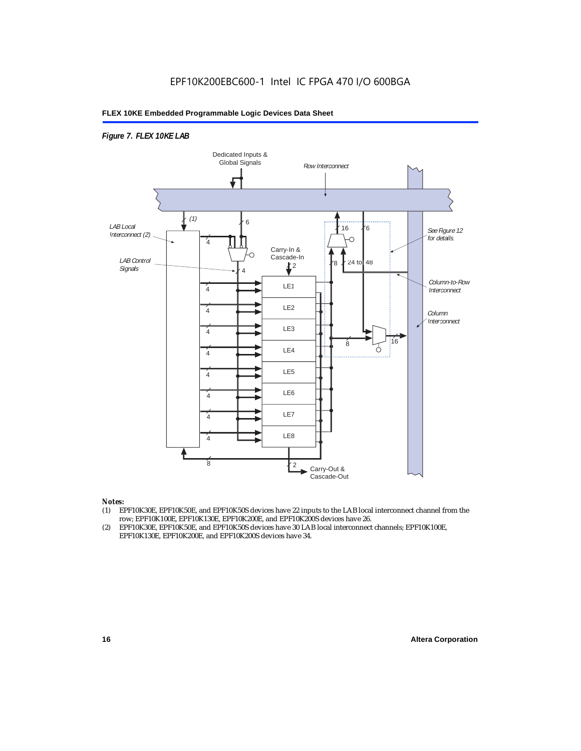#### *Figure 7. FLEX 10KE LAB*



#### *Notes:*

- (1) EPF10K30E, EPF10K50E, and EPF10K50S devices have 22 inputs to the LAB local interconnect channel from the row; EPF10K100E, EPF10K130E, EPF10K200E, and EPF10K200S devices have 26.
- (2) EPF10K30E, EPF10K50E, and EPF10K50S devices have 30 LAB local interconnect channels; EPF10K100E, EPF10K130E, EPF10K200E, and EPF10K200S devices have 34.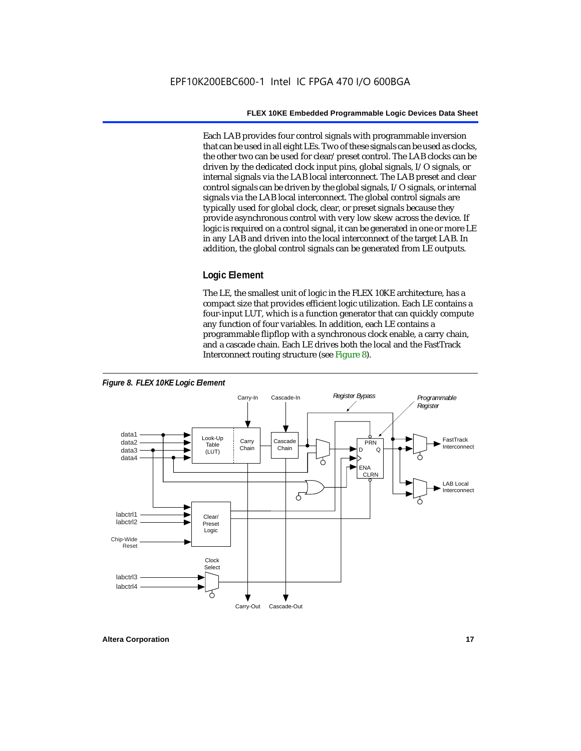Each LAB provides four control signals with programmable inversion that can be used in all eight LEs. Two of these signals can be used as clocks, the other two can be used for clear/preset control. The LAB clocks can be driven by the dedicated clock input pins, global signals, I/O signals, or internal signals via the LAB local interconnect. The LAB preset and clear control signals can be driven by the global signals, I/O signals, or internal signals via the LAB local interconnect. The global control signals are typically used for global clock, clear, or preset signals because they provide asynchronous control with very low skew across the device. If logic is required on a control signal, it can be generated in one or more LE in any LAB and driven into the local interconnect of the target LAB. In addition, the global control signals can be generated from LE outputs.

#### **Logic Element**

The LE, the smallest unit of logic in the FLEX 10KE architecture, has a compact size that provides efficient logic utilization. Each LE contains a four-input LUT, which is a function generator that can quickly compute any function of four variables. In addition, each LE contains a programmable flipflop with a synchronous clock enable, a carry chain, and a cascade chain. Each LE drives both the local and the FastTrack Interconnect routing structure (see Figure 8).

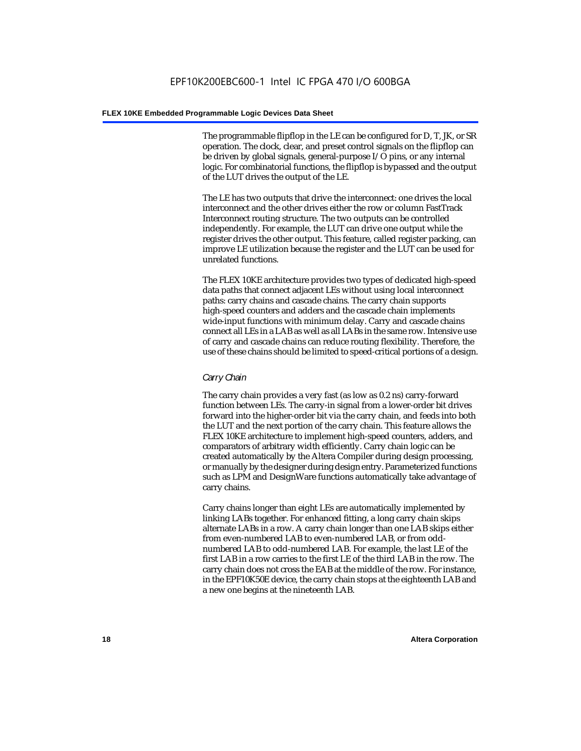The programmable flipflop in the LE can be configured for D, T, JK, or SR operation. The clock, clear, and preset control signals on the flipflop can be driven by global signals, general-purpose I/O pins, or any internal logic. For combinatorial functions, the flipflop is bypassed and the output of the LUT drives the output of the LE.

The LE has two outputs that drive the interconnect: one drives the local interconnect and the other drives either the row or column FastTrack Interconnect routing structure. The two outputs can be controlled independently. For example, the LUT can drive one output while the register drives the other output. This feature, called register packing, can improve LE utilization because the register and the LUT can be used for unrelated functions.

The FLEX 10KE architecture provides two types of dedicated high-speed data paths that connect adjacent LEs without using local interconnect paths: carry chains and cascade chains. The carry chain supports high-speed counters and adders and the cascade chain implements wide-input functions with minimum delay. Carry and cascade chains connect all LEs in a LAB as well as all LABs in the same row. Intensive use of carry and cascade chains can reduce routing flexibility. Therefore, the use of these chains should be limited to speed-critical portions of a design.

#### *Carry Chain*

The carry chain provides a very fast (as low as 0.2 ns) carry-forward function between LEs. The carry-in signal from a lower-order bit drives forward into the higher-order bit via the carry chain, and feeds into both the LUT and the next portion of the carry chain. This feature allows the FLEX 10KE architecture to implement high-speed counters, adders, and comparators of arbitrary width efficiently. Carry chain logic can be created automatically by the Altera Compiler during design processing, or manually by the designer during design entry. Parameterized functions such as LPM and DesignWare functions automatically take advantage of carry chains.

Carry chains longer than eight LEs are automatically implemented by linking LABs together. For enhanced fitting, a long carry chain skips alternate LABs in a row. A carry chain longer than one LAB skips either from even-numbered LAB to even-numbered LAB, or from oddnumbered LAB to odd-numbered LAB. For example, the last LE of the first LAB in a row carries to the first LE of the third LAB in the row. The carry chain does not cross the EAB at the middle of the row. For instance, in the EPF10K50E device, the carry chain stops at the eighteenth LAB and a new one begins at the nineteenth LAB.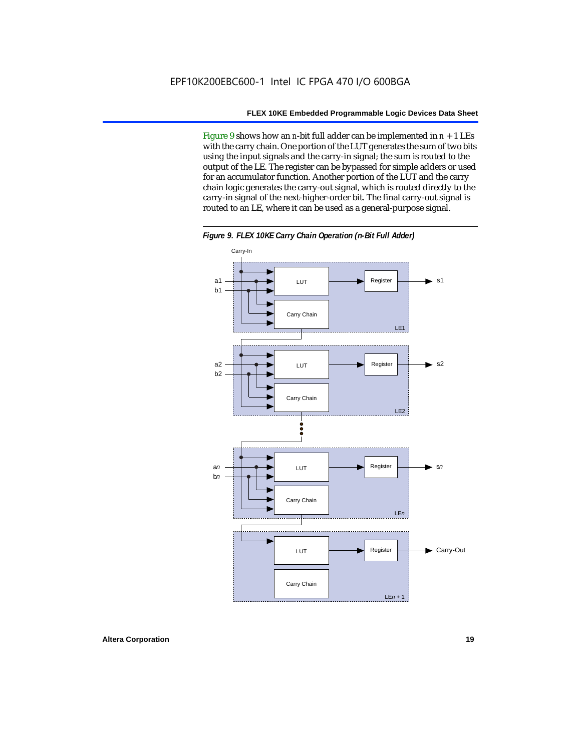Figure 9 shows how an *n*-bit full adder can be implemented in  $n + 1$  LEs with the carry chain. One portion of the LUT generates the sum of two bits using the input signals and the carry-in signal; the sum is routed to the output of the LE. The register can be bypassed for simple adders or used for an accumulator function. Another portion of the LUT and the carry chain logic generates the carry-out signal, which is routed directly to the carry-in signal of the next-higher-order bit. The final carry-out signal is routed to an LE, where it can be used as a general-purpose signal.



*Figure 9. FLEX 10KE Carry Chain Operation (n-Bit Full Adder)*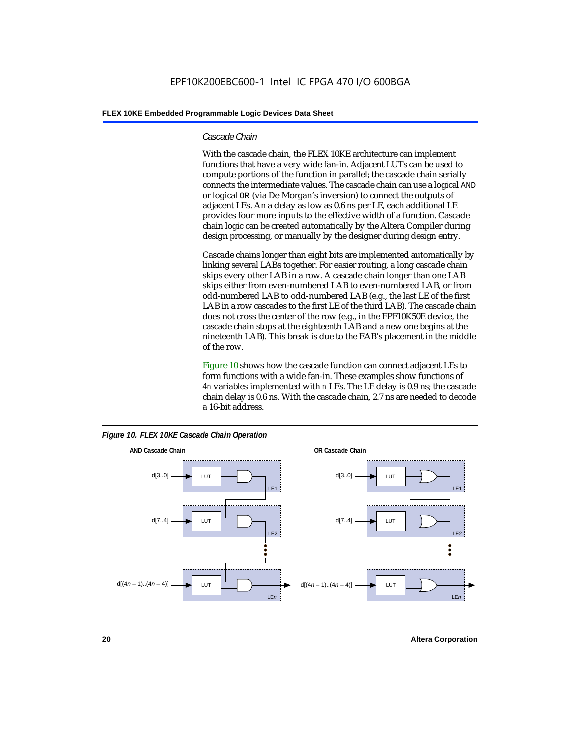#### *Cascade Chain*

With the cascade chain, the FLEX 10KE architecture can implement functions that have a very wide fan-in. Adjacent LUTs can be used to compute portions of the function in parallel; the cascade chain serially connects the intermediate values. The cascade chain can use a logical AND or logical OR (via De Morgan's inversion) to connect the outputs of adjacent LEs. An a delay as low as 0.6 ns per LE, each additional LE provides four more inputs to the effective width of a function. Cascade chain logic can be created automatically by the Altera Compiler during design processing, or manually by the designer during design entry.

Cascade chains longer than eight bits are implemented automatically by linking several LABs together. For easier routing, a long cascade chain skips every other LAB in a row. A cascade chain longer than one LAB skips either from even-numbered LAB to even-numbered LAB, or from odd-numbered LAB to odd-numbered LAB (e.g., the last LE of the first LAB in a row cascades to the first LE of the third LAB). The cascade chain does not cross the center of the row (e.g., in the EPF10K50E device, the cascade chain stops at the eighteenth LAB and a new one begins at the nineteenth LAB). This break is due to the EAB's placement in the middle of the row.

Figure 10 shows how the cascade function can connect adjacent LEs to form functions with a wide fan-in. These examples show functions of 4*n* variables implemented with *n* LEs. The LE delay is 0.9 ns; the cascade chain delay is 0.6 ns. With the cascade chain, 2.7 ns are needed to decode a 16-bit address.



*Figure 10. FLEX 10KE Cascade Chain Operation*

**20 Altera Corporation**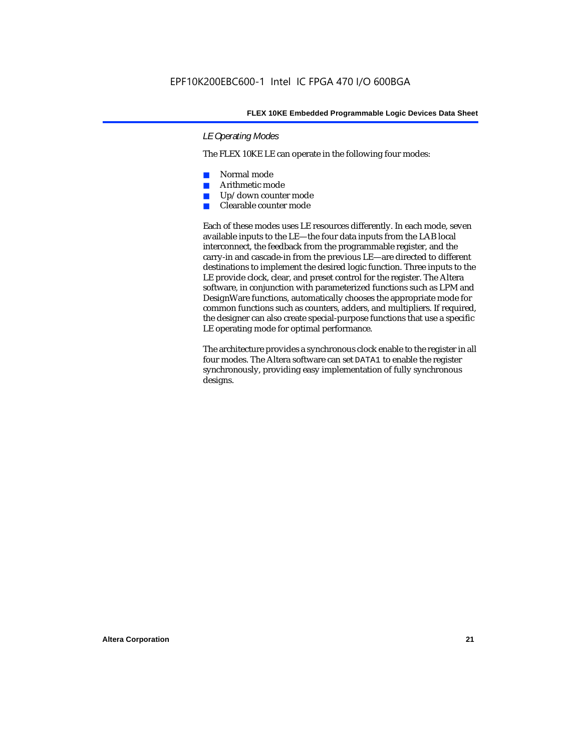#### *LE Operating Modes*

The FLEX 10KE LE can operate in the following four modes:

- Normal mode
- Arithmetic mode
- Up/down counter mode
- Clearable counter mode

Each of these modes uses LE resources differently. In each mode, seven available inputs to the LE—the four data inputs from the LAB local interconnect, the feedback from the programmable register, and the carry-in and cascade-in from the previous LE—are directed to different destinations to implement the desired logic function. Three inputs to the LE provide clock, clear, and preset control for the register. The Altera software, in conjunction with parameterized functions such as LPM and DesignWare functions, automatically chooses the appropriate mode for common functions such as counters, adders, and multipliers. If required, the designer can also create special-purpose functions that use a specific LE operating mode for optimal performance.

The architecture provides a synchronous clock enable to the register in all four modes. The Altera software can set DATA1 to enable the register synchronously, providing easy implementation of fully synchronous designs.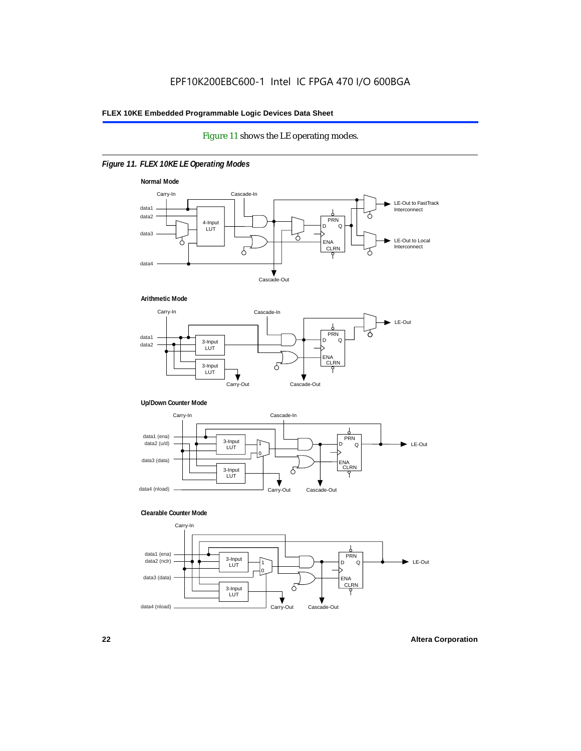#### Figure 11 shows the LE operating modes.

#### *Figure 11. FLEX 10KE LE Operating Modes*









#### **Clearable Counter Mode**

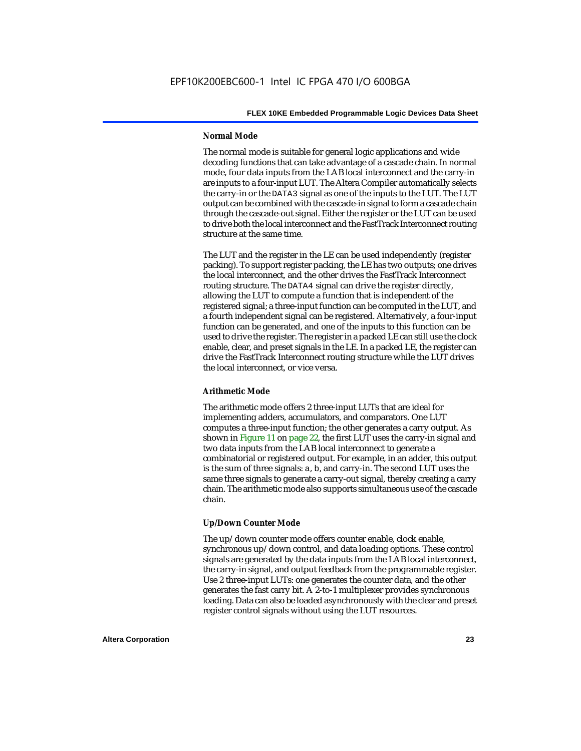#### **Normal Mode**

The normal mode is suitable for general logic applications and wide decoding functions that can take advantage of a cascade chain. In normal mode, four data inputs from the LAB local interconnect and the carry-in are inputs to a four-input LUT. The Altera Compiler automatically selects the carry-in or the DATA3 signal as one of the inputs to the LUT. The LUT output can be combined with the cascade-in signal to form a cascade chain through the cascade-out signal. Either the register or the LUT can be used to drive both the local interconnect and the FastTrack Interconnect routing structure at the same time.

The LUT and the register in the LE can be used independently (register packing). To support register packing, the LE has two outputs; one drives the local interconnect, and the other drives the FastTrack Interconnect routing structure. The DATA4 signal can drive the register directly, allowing the LUT to compute a function that is independent of the registered signal; a three-input function can be computed in the LUT, and a fourth independent signal can be registered. Alternatively, a four-input function can be generated, and one of the inputs to this function can be used to drive the register. The register in a packed LE can still use the clock enable, clear, and preset signals in the LE. In a packed LE, the register can drive the FastTrack Interconnect routing structure while the LUT drives the local interconnect, or vice versa.

#### **Arithmetic Mode**

The arithmetic mode offers 2 three-input LUTs that are ideal for implementing adders, accumulators, and comparators. One LUT computes a three-input function; the other generates a carry output. As shown in Figure 11 on page 22, the first LUT uses the carry-in signal and two data inputs from the LAB local interconnect to generate a combinatorial or registered output. For example, in an adder, this output is the sum of three signals: a, b, and carry-in. The second LUT uses the same three signals to generate a carry-out signal, thereby creating a carry chain. The arithmetic mode also supports simultaneous use of the cascade chain.

#### **Up/Down Counter Mode**

The up/down counter mode offers counter enable, clock enable, synchronous up/down control, and data loading options. These control signals are generated by the data inputs from the LAB local interconnect, the carry-in signal, and output feedback from the programmable register. Use 2 three-input LUTs: one generates the counter data, and the other generates the fast carry bit. A 2-to-1 multiplexer provides synchronous loading. Data can also be loaded asynchronously with the clear and preset register control signals without using the LUT resources.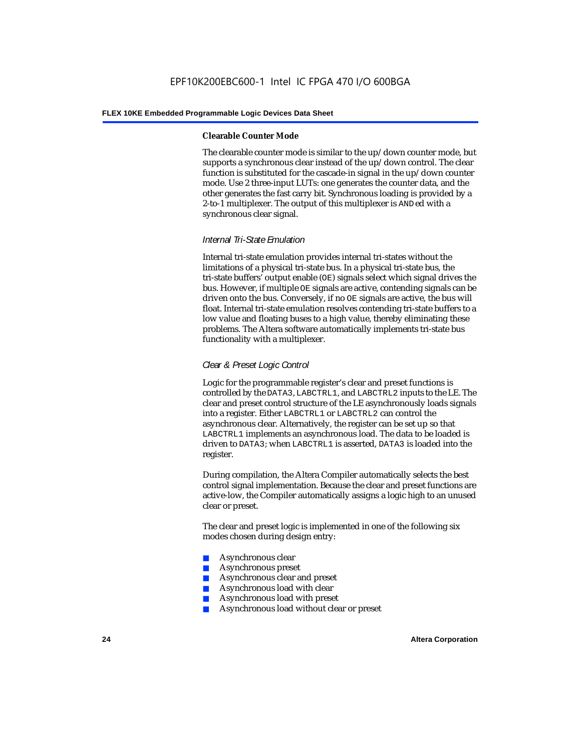#### **Clearable Counter Mode**

The clearable counter mode is similar to the up/down counter mode, but supports a synchronous clear instead of the up/down control. The clear function is substituted for the cascade-in signal in the up/down counter mode. Use 2 three-input LUTs: one generates the counter data, and the other generates the fast carry bit. Synchronous loading is provided by a 2-to-1 multiplexer. The output of this multiplexer is ANDed with a synchronous clear signal.

#### *Internal Tri-State Emulation*

Internal tri-state emulation provides internal tri-states without the limitations of a physical tri-state bus. In a physical tri-state bus, the tri-state buffers' output enable (OE) signals select which signal drives the bus. However, if multiple OE signals are active, contending signals can be driven onto the bus. Conversely, if no OE signals are active, the bus will float. Internal tri-state emulation resolves contending tri-state buffers to a low value and floating buses to a high value, thereby eliminating these problems. The Altera software automatically implements tri-state bus functionality with a multiplexer.

#### *Clear & Preset Logic Control*

Logic for the programmable register's clear and preset functions is controlled by the DATA3, LABCTRL1, and LABCTRL2 inputs to the LE. The clear and preset control structure of the LE asynchronously loads signals into a register. Either LABCTRL1 or LABCTRL2 can control the asynchronous clear. Alternatively, the register can be set up so that LABCTRL1 implements an asynchronous load. The data to be loaded is driven to DATA3; when LABCTRL1 is asserted, DATA3 is loaded into the register.

During compilation, the Altera Compiler automatically selects the best control signal implementation. Because the clear and preset functions are active-low, the Compiler automatically assigns a logic high to an unused clear or preset.

The clear and preset logic is implemented in one of the following six modes chosen during design entry:

- Asynchronous clear
- Asynchronous preset
- Asynchronous clear and preset
- Asynchronous load with clear
- Asynchronous load with preset
- Asynchronous load without clear or preset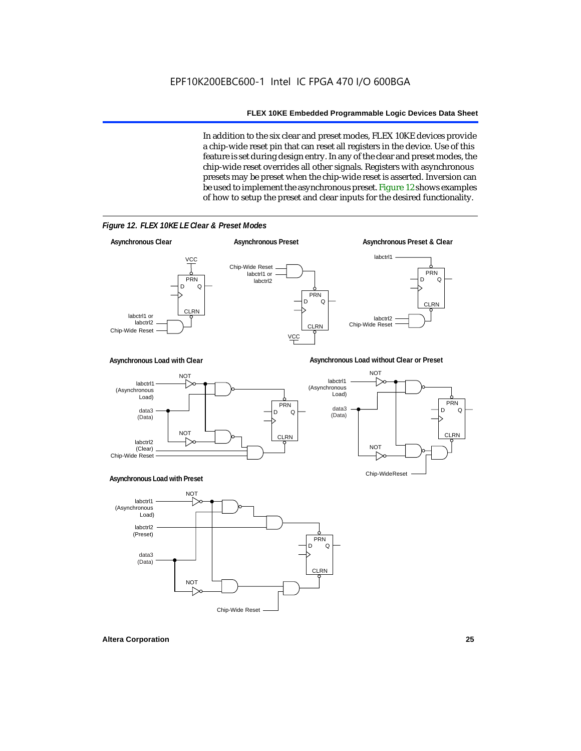In addition to the six clear and preset modes, FLEX 10KE devices provide a chip-wide reset pin that can reset all registers in the device. Use of this feature is set during design entry. In any of the clear and preset modes, the chip-wide reset overrides all other signals. Registers with asynchronous presets may be preset when the chip-wide reset is asserted. Inversion can be used to implement the asynchronous preset. Figure 12 shows examples of how to setup the preset and clear inputs for the desired functionality.

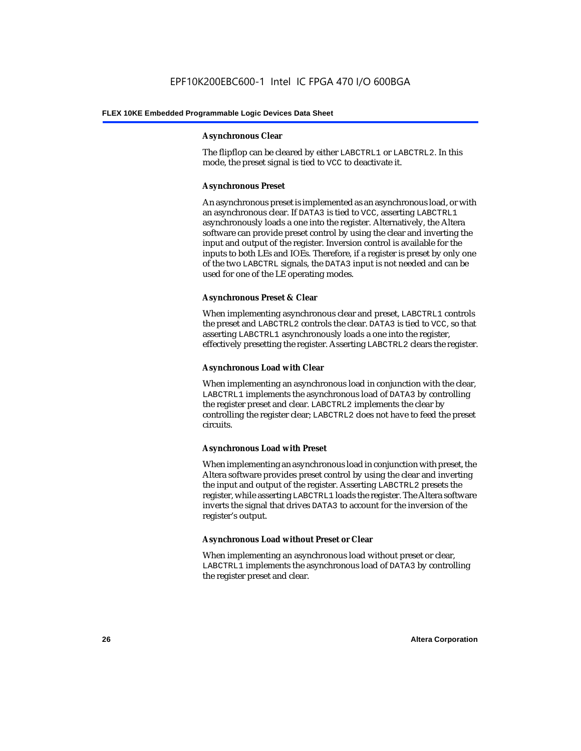#### **Asynchronous Clear**

The flipflop can be cleared by either LABCTRL1 or LABCTRL2. In this mode, the preset signal is tied to VCC to deactivate it.

#### **Asynchronous Preset**

An asynchronous preset is implemented as an asynchronous load, or with an asynchronous clear. If DATA3 is tied to VCC, asserting LABCTRL1 asynchronously loads a one into the register. Alternatively, the Altera software can provide preset control by using the clear and inverting the input and output of the register. Inversion control is available for the inputs to both LEs and IOEs. Therefore, if a register is preset by only one of the two LABCTRL signals, the DATA3 input is not needed and can be used for one of the LE operating modes.

#### **Asynchronous Preset & Clear**

When implementing asynchronous clear and preset, LABCTRL1 controls the preset and LABCTRL2 controls the clear. DATA3 is tied to VCC, so that asserting LABCTRL1 asynchronously loads a one into the register, effectively presetting the register. Asserting LABCTRL2 clears the register.

#### **Asynchronous Load with Clear**

When implementing an asynchronous load in conjunction with the clear, LABCTRL1 implements the asynchronous load of DATA3 by controlling the register preset and clear. LABCTRL2 implements the clear by controlling the register clear; LABCTRL2 does not have to feed the preset circuits.

#### **Asynchronous Load with Preset**

When implementing an asynchronous load in conjunction with preset, the Altera software provides preset control by using the clear and inverting the input and output of the register. Asserting LABCTRL2 presets the register, while asserting LABCTRL1 loads the register. The Altera software inverts the signal that drives DATA3 to account for the inversion of the register's output.

#### **Asynchronous Load without Preset or Clear**

When implementing an asynchronous load without preset or clear, LABCTRL1 implements the asynchronous load of DATA3 by controlling the register preset and clear.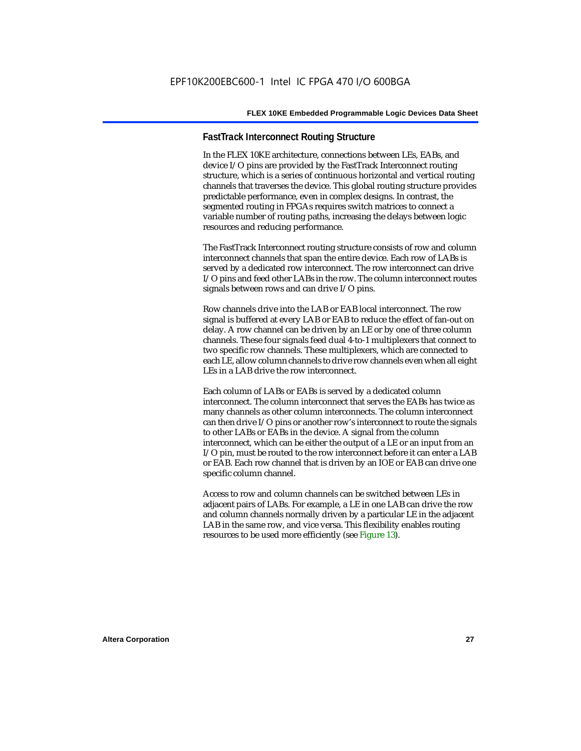#### **FastTrack Interconnect Routing Structure**

In the FLEX 10KE architecture, connections between LEs, EABs, and device I/O pins are provided by the FastTrack Interconnect routing structure, which is a series of continuous horizontal and vertical routing channels that traverses the device. This global routing structure provides predictable performance, even in complex designs. In contrast, the segmented routing in FPGAs requires switch matrices to connect a variable number of routing paths, increasing the delays between logic resources and reducing performance.

The FastTrack Interconnect routing structure consists of row and column interconnect channels that span the entire device. Each row of LABs is served by a dedicated row interconnect. The row interconnect can drive I/O pins and feed other LABs in the row. The column interconnect routes signals between rows and can drive I/O pins.

Row channels drive into the LAB or EAB local interconnect. The row signal is buffered at every LAB or EAB to reduce the effect of fan-out on delay. A row channel can be driven by an LE or by one of three column channels. These four signals feed dual 4-to-1 multiplexers that connect to two specific row channels. These multiplexers, which are connected to each LE, allow column channels to drive row channels even when all eight LEs in a LAB drive the row interconnect.

Each column of LABs or EABs is served by a dedicated column interconnect. The column interconnect that serves the EABs has twice as many channels as other column interconnects. The column interconnect can then drive I/O pins or another row's interconnect to route the signals to other LABs or EABs in the device. A signal from the column interconnect, which can be either the output of a LE or an input from an I/O pin, must be routed to the row interconnect before it can enter a LAB or EAB. Each row channel that is driven by an IOE or EAB can drive one specific column channel.

Access to row and column channels can be switched between LEs in adjacent pairs of LABs. For example, a LE in one LAB can drive the row and column channels normally driven by a particular LE in the adjacent LAB in the same row, and vice versa. This flexibility enables routing resources to be used more efficiently (see Figure 13).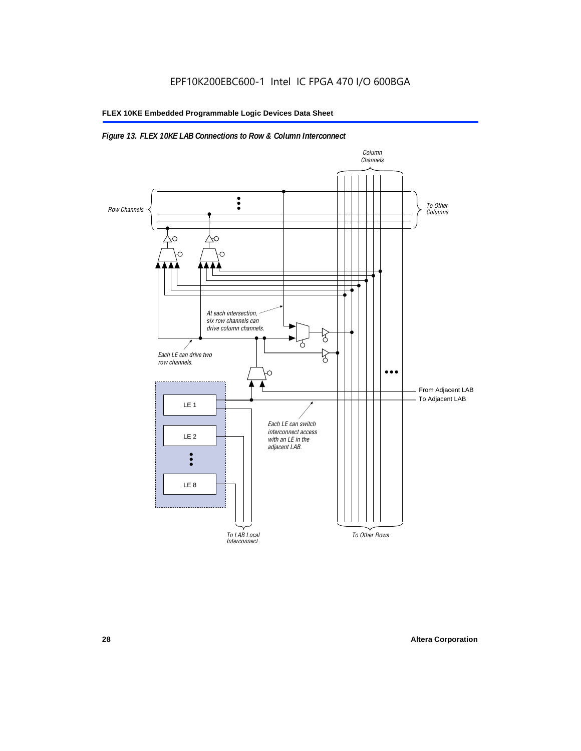#### *Figure 13. FLEX 10KE LAB Connections to Row & Column Interconnect*

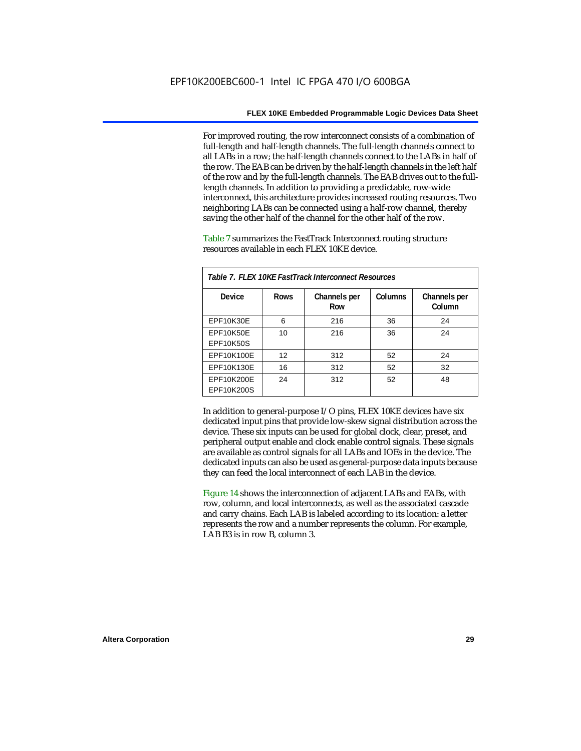For improved routing, the row interconnect consists of a combination of full-length and half-length channels. The full-length channels connect to all LABs in a row; the half-length channels connect to the LABs in half of the row. The EAB can be driven by the half-length channels in the left half of the row and by the full-length channels. The EAB drives out to the fulllength channels. In addition to providing a predictable, row-wide interconnect, this architecture provides increased routing resources. Two neighboring LABs can be connected using a half-row channel, thereby saving the other half of the channel for the other half of the row.

Table 7 summarizes the FastTrack Interconnect routing structure resources available in each FLEX 10KE device.

| Table 7. FLEX 10KE FastTrack Interconnect Resources |             |                     |         |                        |
|-----------------------------------------------------|-------------|---------------------|---------|------------------------|
| Device                                              | <b>Rows</b> | Channels per<br>Row | Columns | Channels per<br>Column |
| <b>EPF10K30E</b>                                    | 6           | 216                 | 36      | 24                     |
| EPF10K50E<br>EPF10K50S                              | 10          | 216                 | 36      | 24                     |
| EPF10K100E                                          | 12          | 312                 | 52      | 24                     |
| EPF10K130E                                          | 16          | 312                 | 52      | 32                     |
| EPF10K200E<br>EPF10K200S                            | 24          | 312                 | 52      | 48                     |

In addition to general-purpose I/O pins, FLEX 10KE devices have six dedicated input pins that provide low-skew signal distribution across the device. These six inputs can be used for global clock, clear, preset, and peripheral output enable and clock enable control signals. These signals are available as control signals for all LABs and IOEs in the device. The dedicated inputs can also be used as general-purpose data inputs because they can feed the local interconnect of each LAB in the device.

Figure 14 shows the interconnection of adjacent LABs and EABs, with row, column, and local interconnects, as well as the associated cascade and carry chains. Each LAB is labeled according to its location: a letter represents the row and a number represents the column. For example, LAB B3 is in row B, column 3.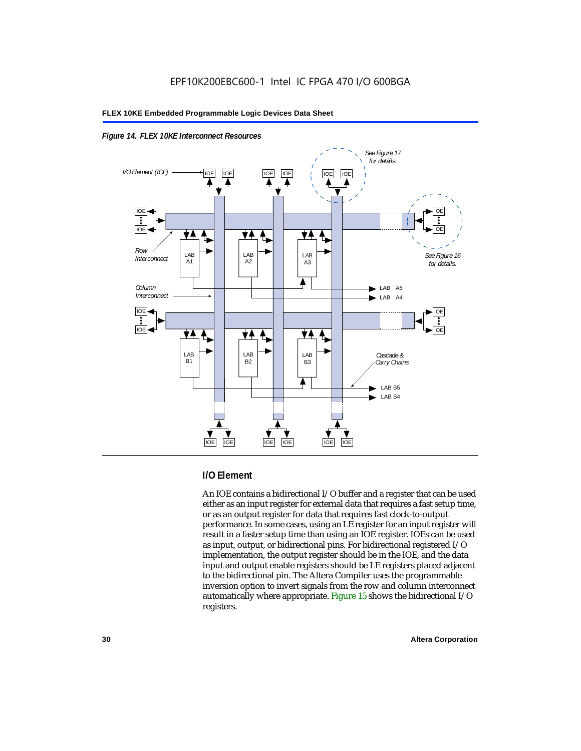



#### **I/O Element**

An IOE contains a bidirectional I/O buffer and a register that can be used either as an input register for external data that requires a fast setup time, or as an output register for data that requires fast clock-to-output performance. In some cases, using an LE register for an input register will result in a faster setup time than using an IOE register. IOEs can be used as input, output, or bidirectional pins. For bidirectional registered I/O implementation, the output register should be in the IOE, and the data input and output enable registers should be LE registers placed adjacent to the bidirectional pin. The Altera Compiler uses the programmable inversion option to invert signals from the row and column interconnect automatically where appropriate. Figure 15 shows the bidirectional I/O registers.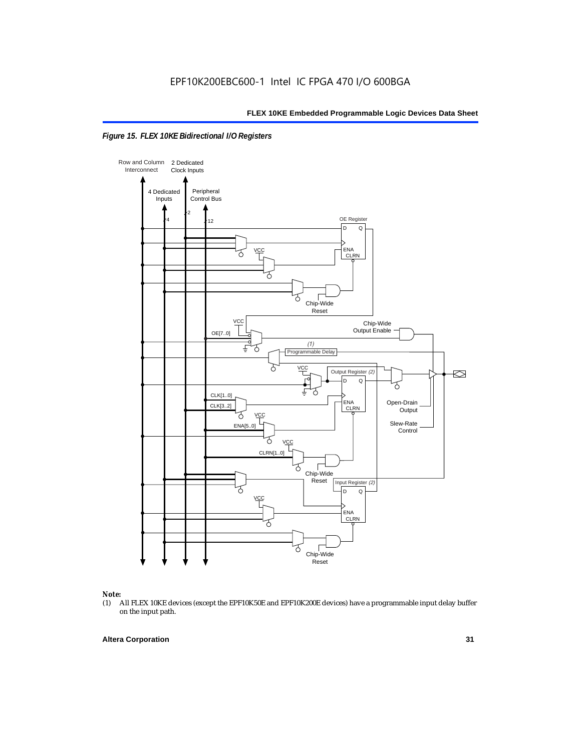



### *Note:*<br>(1) *A*

(1) All FLEX 10KE devices (except the EPF10K50E and EPF10K200E devices) have a programmable input delay buffer on the input path.

#### **Altera Corporation 31**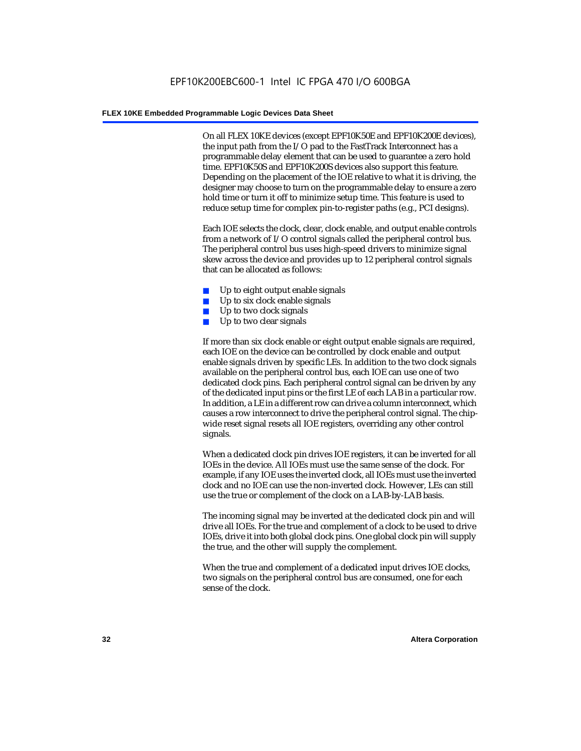On all FLEX 10KE devices (except EPF10K50E and EPF10K200E devices), the input path from the I/O pad to the FastTrack Interconnect has a programmable delay element that can be used to guarantee a zero hold time. EPF10K50S and EPF10K200S devices also support this feature. Depending on the placement of the IOE relative to what it is driving, the designer may choose to turn on the programmable delay to ensure a zero hold time or turn it off to minimize setup time. This feature is used to reduce setup time for complex pin-to-register paths (e.g., PCI designs).

Each IOE selects the clock, clear, clock enable, and output enable controls from a network of I/O control signals called the peripheral control bus. The peripheral control bus uses high-speed drivers to minimize signal skew across the device and provides up to 12 peripheral control signals that can be allocated as follows:

- Up to eight output enable signals
- Up to six clock enable signals
- Up to two clock signals
- Up to two clear signals

If more than six clock enable or eight output enable signals are required, each IOE on the device can be controlled by clock enable and output enable signals driven by specific LEs. In addition to the two clock signals available on the peripheral control bus, each IOE can use one of two dedicated clock pins. Each peripheral control signal can be driven by any of the dedicated input pins or the first LE of each LAB in a particular row. In addition, a LE in a different row can drive a column interconnect, which causes a row interconnect to drive the peripheral control signal. The chipwide reset signal resets all IOE registers, overriding any other control signals.

When a dedicated clock pin drives IOE registers, it can be inverted for all IOEs in the device. All IOEs must use the same sense of the clock. For example, if any IOE uses the inverted clock, all IOEs must use the inverted clock and no IOE can use the non-inverted clock. However, LEs can still use the true or complement of the clock on a LAB-by-LAB basis.

The incoming signal may be inverted at the dedicated clock pin and will drive all IOEs. For the true and complement of a clock to be used to drive IOEs, drive it into both global clock pins. One global clock pin will supply the true, and the other will supply the complement.

When the true and complement of a dedicated input drives IOE clocks, two signals on the peripheral control bus are consumed, one for each sense of the clock.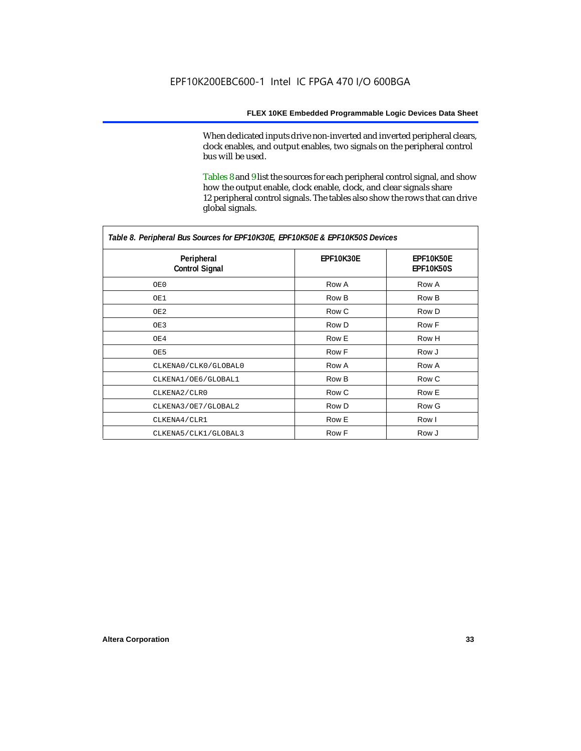When dedicated inputs drive non-inverted and inverted peripheral clears, clock enables, and output enables, two signals on the peripheral control bus will be used.

Tables 8 and 9 list the sources for each peripheral control signal, and show how the output enable, clock enable, clock, and clear signals share 12 peripheral control signals. The tables also show the rows that can drive global signals.

| Table 8. Peripheral Bus Sources for EPF10K30E, EPF10K50E & EPF10K50S Devices |                  |                               |  |  |
|------------------------------------------------------------------------------|------------------|-------------------------------|--|--|
| Peripheral<br><b>Control Signal</b>                                          | <b>EPF10K30E</b> | EPF10K50E<br><b>EPF10K50S</b> |  |  |
| OE0                                                                          | Row A            | Row A                         |  |  |
| OE1                                                                          | Row B            | Row B                         |  |  |
| OE2                                                                          | Row C            | Row D                         |  |  |
| OE3                                                                          | Row D            | Row F                         |  |  |
| OE4                                                                          | Row E            | Row H                         |  |  |
| OE5                                                                          | Row F            | Row J                         |  |  |
| CLKENA0/CLK0/GLOBAL0                                                         | Row A            | Row A                         |  |  |
| CLKENA1/OE6/GLOBAL1                                                          | Row B            | Row C                         |  |  |
| CLKENA2/CLR0                                                                 | Row C            | Row E                         |  |  |
| CLKENA3/OE7/GLOBAL2                                                          | Row D            | Row G                         |  |  |
| CLKENA4/CLR1                                                                 | Row E            | Row I                         |  |  |
| CLKENA5/CLK1/GLOBAL3                                                         | Row F            | Row J                         |  |  |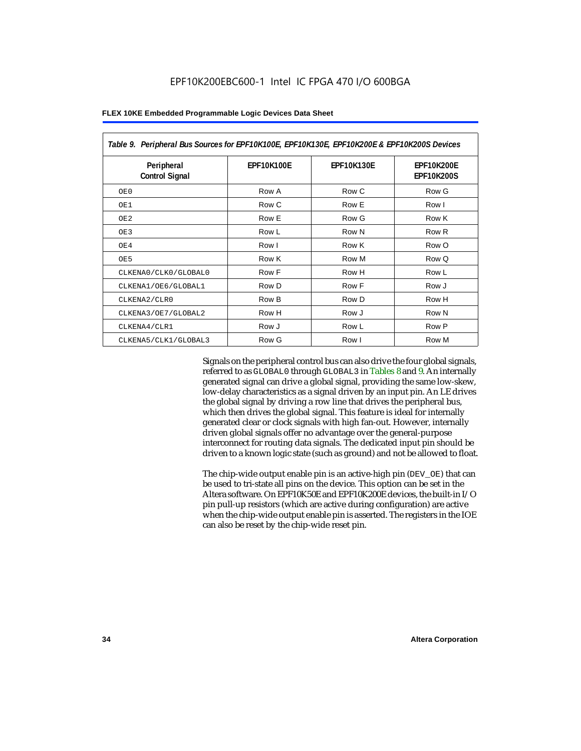| Table 9. Peripheral Bus Sources for EPF10K100E, EPF10K130E, EPF10K200E & EPF10K200S Devices |                   |                   |                                        |  |
|---------------------------------------------------------------------------------------------|-------------------|-------------------|----------------------------------------|--|
| Peripheral<br><b>Control Signal</b>                                                         | <b>EPF10K100E</b> | <b>EPF10K130E</b> | <b>EPF10K200E</b><br><b>EPF10K200S</b> |  |
| OE0                                                                                         | Row A             | Row C             | Row G                                  |  |
| OE1                                                                                         | Row C             | Row E             | Row I                                  |  |
| OE <sub>2</sub>                                                                             | Row E             | Row G             | Row K                                  |  |
| OE3                                                                                         | Row L             | Row N             | Row <sub>R</sub>                       |  |
| OE4                                                                                         | Row I             | Row K             | Row O                                  |  |
| OE5                                                                                         | Row K             | Row M             | Row Q                                  |  |
| CLKENA0/CLK0/GLOBAL0                                                                        | Row F             | Row H             | Row L                                  |  |
| CLKENA1/OE6/GLOBAL1                                                                         | Row D             | Row F             | Row J                                  |  |
| CLKENA2/CLR0                                                                                | Row B             | Row D             | Row H                                  |  |
| CLKENA3/OE7/GLOBAL2                                                                         | Row H             | Row J             | Row N                                  |  |
| CLKENA4/CLR1                                                                                | Row J             | Row L             | Row P                                  |  |
| CLKENA5/CLK1/GLOBAL3                                                                        | Row G             | Row I             | Row M                                  |  |

Signals on the peripheral control bus can also drive the four global signals, referred to as GLOBAL0 through GLOBAL3 in Tables 8 and 9. An internally generated signal can drive a global signal, providing the same low-skew, low-delay characteristics as a signal driven by an input pin. An LE drives the global signal by driving a row line that drives the peripheral bus, which then drives the global signal. This feature is ideal for internally generated clear or clock signals with high fan-out. However, internally driven global signals offer no advantage over the general-purpose interconnect for routing data signals. The dedicated input pin should be driven to a known logic state (such as ground) and not be allowed to float.

The chip-wide output enable pin is an active-high pin (DEV\_OE) that can be used to tri-state all pins on the device. This option can be set in the Altera software. On EPF10K50E and EPF10K200E devices, the built-in I/O pin pull-up resistors (which are active during configuration) are active when the chip-wide output enable pin is asserted. The registers in the IOE can also be reset by the chip-wide reset pin.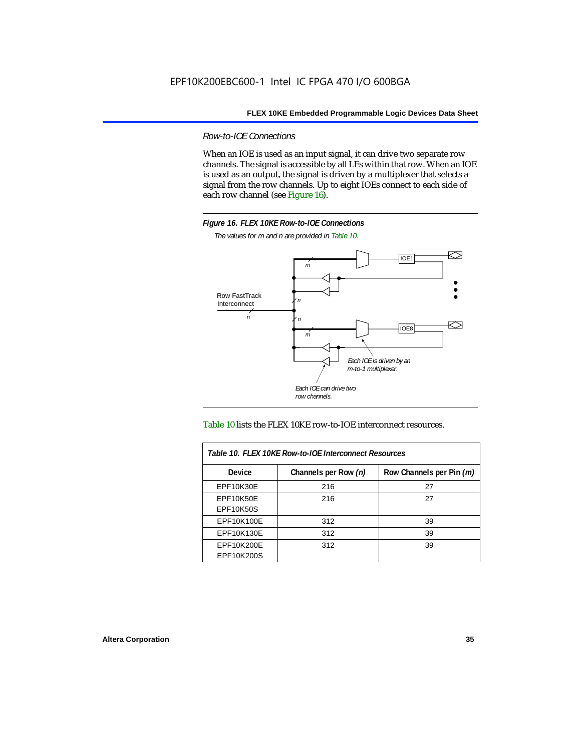*Row-to-IOE Connections*

When an IOE is used as an input signal, it can drive two separate row channels. The signal is accessible by all LEs within that row. When an IOE is used as an output, the signal is driven by a multiplexer that selects a signal from the row channels. Up to eight IOEs connect to each side of each row channel (see Figure 16).



*The values for m and n are provided in Table 10.*





| Table 10. FLEX 10KE Row-to-IOE Interconnect Resources |                      |                          |  |  |  |
|-------------------------------------------------------|----------------------|--------------------------|--|--|--|
| <b>Device</b>                                         | Channels per Row (n) | Row Channels per Pin (m) |  |  |  |
| <b>EPF10K30E</b>                                      | 216                  | 27                       |  |  |  |
| <b>EPF10K50E</b>                                      | 216                  | 27                       |  |  |  |
| <b>EPF10K50S</b>                                      |                      |                          |  |  |  |
| EPF10K100E                                            | 312                  | 39                       |  |  |  |
| EPF10K130E                                            | 312                  | 39                       |  |  |  |
| EPF10K200E<br>EPF10K200S                              | 312                  | 39                       |  |  |  |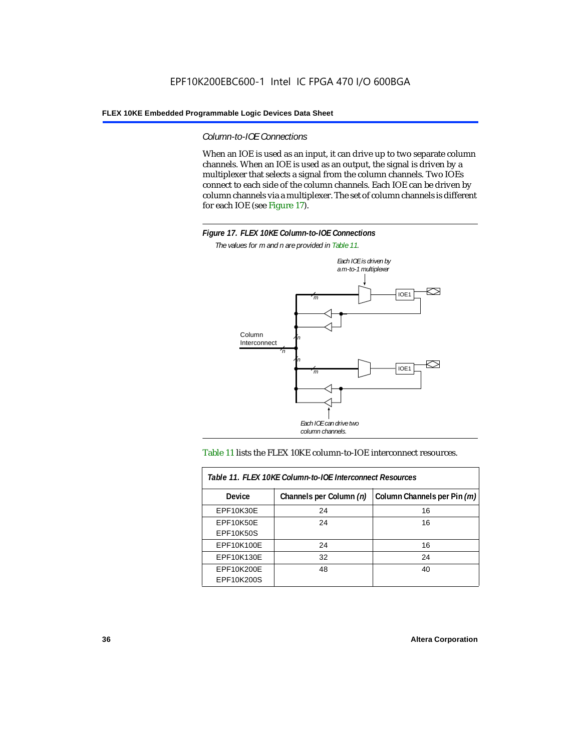*Column-to-IOE Connections*

When an IOE is used as an input, it can drive up to two separate column channels. When an IOE is used as an output, the signal is driven by a multiplexer that selects a signal from the column channels. Two IOEs connect to each side of the column channels. Each IOE can be driven by column channels via a multiplexer. The set of column channels is different for each IOE (see Figure 17).



*The values for m and n are provided in Table 11.*



#### Table 11 lists the FLEX 10KE column-to-IOE interconnect resources.

| Table 11. FLEX 10KE Column-to-IOE Interconnect Resources |                         |                             |  |  |  |
|----------------------------------------------------------|-------------------------|-----------------------------|--|--|--|
| <b>Device</b>                                            | Channels per Column (n) | Column Channels per Pin (m) |  |  |  |
| EPF10K30E                                                | 24                      | 16                          |  |  |  |
| <b>EPF10K50E</b><br><b>EPF10K50S</b>                     | 24                      | 16                          |  |  |  |
| EPF10K100E                                               | 24                      | 16                          |  |  |  |
| EPF10K130E                                               | 32                      | 24                          |  |  |  |
| EPF10K200E<br>EPF10K200S                                 | 48                      | 40                          |  |  |  |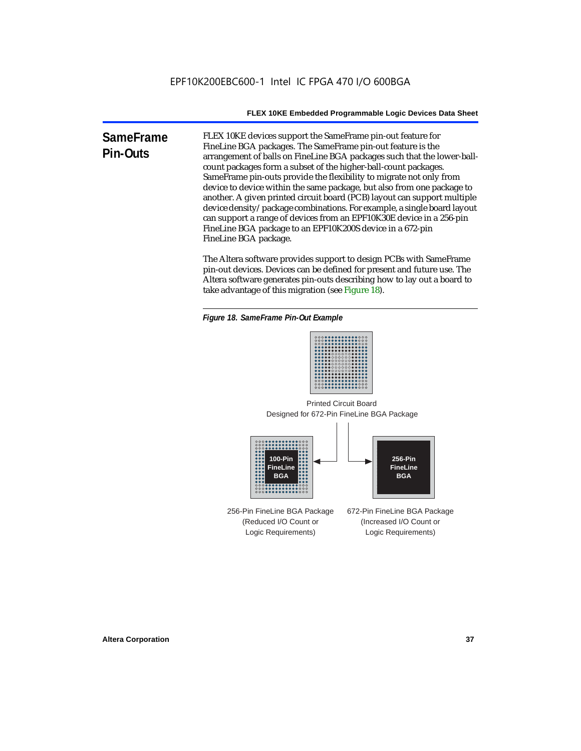**SameFrame Pin-Outs** FLEX 10KE devices support the SameFrame pin-out feature for FineLine BGA packages. The SameFrame pin-out feature is the arrangement of balls on FineLine BGA packages such that the lower-ballcount packages form a subset of the higher-ball-count packages. SameFrame pin-outs provide the flexibility to migrate not only from device to device within the same package, but also from one package to another. A given printed circuit board (PCB) layout can support multiple device density/package combinations. For example, a single board layout can support a range of devices from an EPF10K30E device in a 256-pin FineLine BGA package to an EPF10K200S device in a 672-pin FineLine BGA package.

> The Altera software provides support to design PCBs with SameFrame pin-out devices. Devices can be defined for present and future use. The Altera software generates pin-outs describing how to lay out a board to take advantage of this migration (see Figure 18).





Designed for 672-Pin FineLine BGA Package Printed Circuit Board



256-Pin FineLine BGA Package (Reduced I/O Count or Logic Requirements) 672-Pin FineLine BGA Package (Increased I/O Count or Logic Requirements)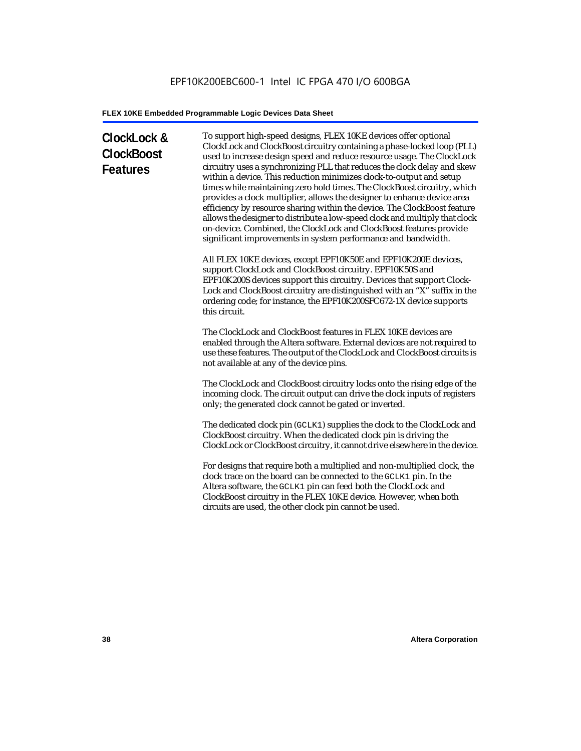# **ClockLock & ClockBoost Features**

To support high-speed designs, FLEX 10KE devices offer optional ClockLock and ClockBoost circuitry containing a phase-locked loop (PLL) used to increase design speed and reduce resource usage. The ClockLock circuitry uses a synchronizing PLL that reduces the clock delay and skew within a device. This reduction minimizes clock-to-output and setup times while maintaining zero hold times. The ClockBoost circuitry, which provides a clock multiplier, allows the designer to enhance device area efficiency by resource sharing within the device. The ClockBoost feature allows the designer to distribute a low-speed clock and multiply that clock on-device. Combined, the ClockLock and ClockBoost features provide significant improvements in system performance and bandwidth.

All FLEX 10KE devices, except EPF10K50E and EPF10K200E devices, support ClockLock and ClockBoost circuitry. EPF10K50S and EPF10K200S devices support this circuitry. Devices that support Clock-Lock and ClockBoost circuitry are distinguished with an "X" suffix in the ordering code; for instance, the EPF10K200SFC672-1X device supports this circuit.

The ClockLock and ClockBoost features in FLEX 10KE devices are enabled through the Altera software. External devices are not required to use these features. The output of the ClockLock and ClockBoost circuits is not available at any of the device pins.

The ClockLock and ClockBoost circuitry locks onto the rising edge of the incoming clock. The circuit output can drive the clock inputs of registers only; the generated clock cannot be gated or inverted.

The dedicated clock pin (GCLK1) supplies the clock to the ClockLock and ClockBoost circuitry. When the dedicated clock pin is driving the ClockLock or ClockBoost circuitry, it cannot drive elsewhere in the device.

For designs that require both a multiplied and non-multiplied clock, the clock trace on the board can be connected to the GCLK1 pin. In the Altera software, the GCLK1 pin can feed both the ClockLock and ClockBoost circuitry in the FLEX 10KE device. However, when both circuits are used, the other clock pin cannot be used.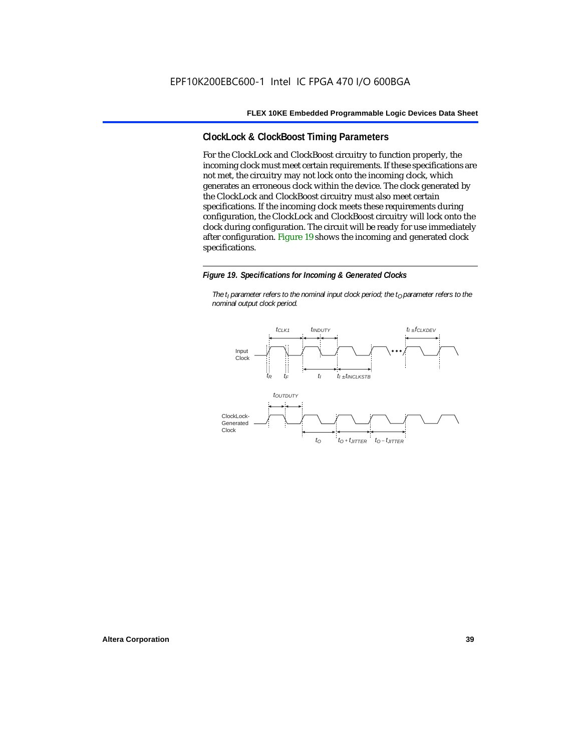# **ClockLock & ClockBoost Timing Parameters**

For the ClockLock and ClockBoost circuitry to function properly, the incoming clock must meet certain requirements. If these specifications are not met, the circuitry may not lock onto the incoming clock, which generates an erroneous clock within the device. The clock generated by the ClockLock and ClockBoost circuitry must also meet certain specifications. If the incoming clock meets these requirements during configuration, the ClockLock and ClockBoost circuitry will lock onto the clock during configuration. The circuit will be ready for use immediately after configuration. Figure 19 shows the incoming and generated clock specifications.

#### *Figure 19. Specifications for Incoming & Generated Clocks*

*The t<sub>I</sub> parameter refers to the nominal input clock period; the t<sub>0</sub> parameter refers to the nominal output clock period.*

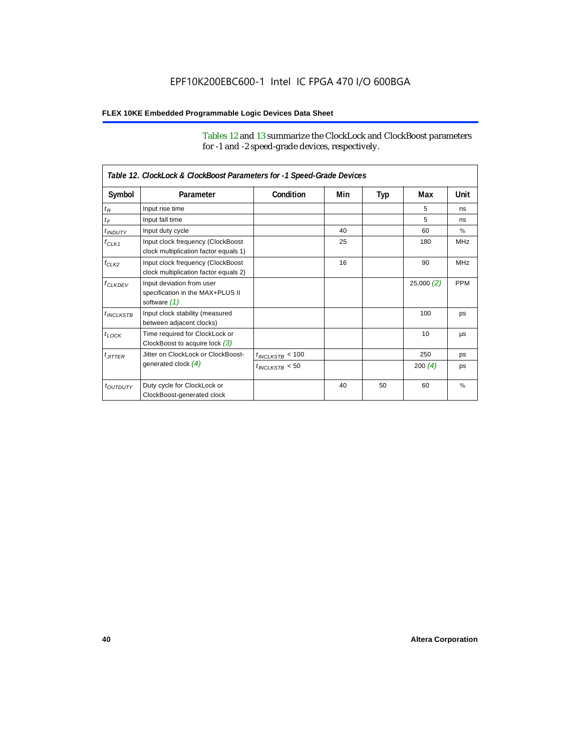Tables 12 and 13 summarize the ClockLock and ClockBoost parameters for -1 and -2 speed-grade devices, respectively.

| Table 12. ClockLock & ClockBoost Parameters for -1 Speed-Grade Devices |                                                                               |                      |     |     |           |               |  |
|------------------------------------------------------------------------|-------------------------------------------------------------------------------|----------------------|-----|-----|-----------|---------------|--|
| Symbol                                                                 | Parameter                                                                     | Condition            | Min | Typ | Max       | Unit          |  |
| $t_R$                                                                  | Input rise time                                                               |                      |     |     | 5         | ns            |  |
| $t_F$                                                                  | Input fall time                                                               |                      |     |     | 5         | ns            |  |
| $t$ <sub>INDUTY</sub>                                                  | Input duty cycle                                                              |                      | 40  |     | 60        | $\%$          |  |
| $f_{CLK1}$                                                             | Input clock frequency (ClockBoost<br>clock multiplication factor equals 1)    |                      | 25  |     | 180       | <b>MHz</b>    |  |
| $f_{CLK2}$                                                             | Input clock frequency (ClockBoost<br>clock multiplication factor equals 2)    |                      | 16  |     | 90        | <b>MHz</b>    |  |
| $f_{CLKDEV}$                                                           | Input deviation from user<br>specification in the MAX+PLUS II<br>software (1) |                      |     |     | 25,000(2) | <b>PPM</b>    |  |
| $t_{INCLKSTB}$                                                         | Input clock stability (measured<br>between adjacent clocks)                   |                      |     |     | 100       | ps            |  |
| $t_{\text{LOCK}}$                                                      | Time required for ClockLock or<br>ClockBoost to acquire lock $(3)$            |                      |     |     | 10        | μs            |  |
| $t_{JITTER}$                                                           | Jitter on ClockLock or ClockBoost-                                            | $t_{INCLKSTB} < 100$ |     |     | 250       | ps            |  |
|                                                                        | generated clock $(4)$                                                         | $t_{INCLKSTB}$ < 50  |     |     | 200 $(4)$ | ps            |  |
| <i>toutbuty</i>                                                        | Duty cycle for ClockLock or<br>ClockBoost-generated clock                     |                      | 40  | 50  | 60        | $\frac{9}{6}$ |  |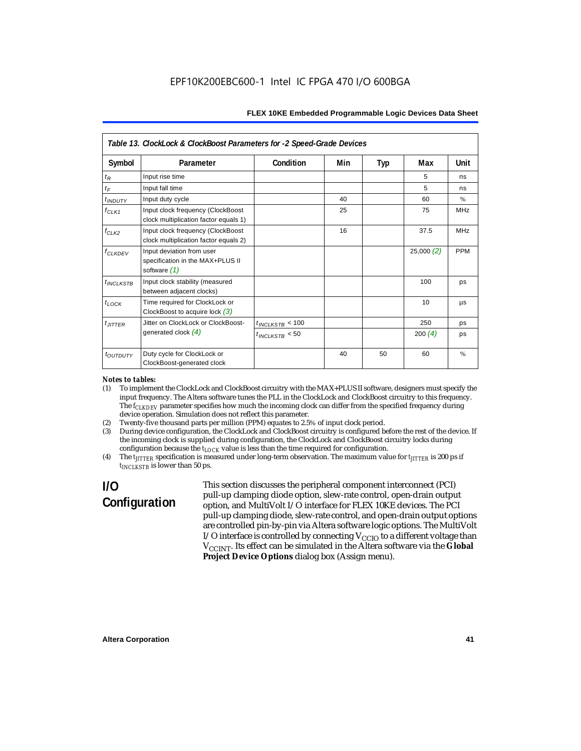| Table 13. ClockLock & ClockBoost Parameters for -2 Speed-Grade Devices |                                                                                 |                      |     |     |           |            |  |
|------------------------------------------------------------------------|---------------------------------------------------------------------------------|----------------------|-----|-----|-----------|------------|--|
| Symbol                                                                 | Parameter                                                                       | Condition            | Min | Typ | Max       | Unit       |  |
| $t_{R}$                                                                | Input rise time                                                                 |                      |     |     | 5         | ns         |  |
| $t_F$                                                                  | Input fall time                                                                 |                      |     |     | 5         | ns         |  |
| $t$ <sub>INDUTY</sub>                                                  | Input duty cycle                                                                |                      | 40  |     | 60        | $\%$       |  |
| $f_{CLK1}$                                                             | Input clock frequency (ClockBoost<br>clock multiplication factor equals 1)      |                      | 25  |     | 75        | <b>MHz</b> |  |
| $f_{CLK2}$                                                             | Input clock frequency (ClockBoost<br>clock multiplication factor equals 2)      |                      | 16  |     | 37.5      | <b>MHz</b> |  |
| $f_{\ensuremath{\text{CLKDFV}}}$                                       | Input deviation from user<br>specification in the MAX+PLUS II<br>software $(1)$ |                      |     |     | 25,000(2) | <b>PPM</b> |  |
| $t_{INCLKSTB}$                                                         | Input clock stability (measured<br>between adjacent clocks)                     |                      |     |     | 100       | ps         |  |
| $t_{LOCK}$                                                             | Time required for ClockLock or<br>ClockBoost to acquire lock $(3)$              |                      |     |     | 10        | μs         |  |
| $t_{JITTER}$                                                           | Jitter on ClockLock or ClockBoost-                                              | $t_{INCLKSTB}$ < 100 |     |     | 250       | ps         |  |
|                                                                        | generated clock $(4)$                                                           | $t_{INCIKSTB}$ < 50  |     |     | 200 $(4)$ | ps         |  |
| $t_{\text{OUTDUTY}}$                                                   | Duty cycle for ClockLock or<br>ClockBoost-generated clock                       |                      | 40  | 50  | 60        | $\%$       |  |

#### *Notes to tables:*

- (1) To implement the ClockLock and ClockBoost circuitry with the MAX+PLUS II software, designers must specify the input frequency. The Altera software tunes the PLL in the ClockLock and ClockBoost circuitry to this frequency. The *f<sub>CLKDEV</sub>* parameter specifies how much the incoming clock can differ from the specified frequency during device operation. Simulation does not reflect this parameter.
- (2) Twenty-five thousand parts per million (PPM) equates to 2.5% of input clock period.<br>(3) During device configuration, the ClockLock and ClockBoost circuitry is configured b
- (3) During device configuration, the ClockLock and ClockBoost circuitry is configured before the rest of the device. If the incoming clock is supplied during configuration, the ClockLock and ClockBoost circuitry locks during configuration because the  $t_{LOCK}$  value is less than the time required for configuration.
- (4) The *tJITTER* specification is measured under long-term observation. The maximum value for *tJITTER* is 200 ps if  $t_{INCI KSTB}$  is lower than 50 ps.

# **I/O Configuration**

This section discusses the peripheral component interconnect (PCI) pull-up clamping diode option, slew-rate control, open-drain output option, and MultiVolt I/O interface for FLEX 10KE devices. The PCI pull-up clamping diode, slew-rate control, and open-drain output options are controlled pin-by-pin via Altera software logic options. The MultiVolt I/O interface is controlled by connecting  $V_{CCIO}$  to a different voltage than V<sub>CCINT</sub>. Its effect can be simulated in the Altera software via the Global **Project Device Options** dialog box (Assign menu).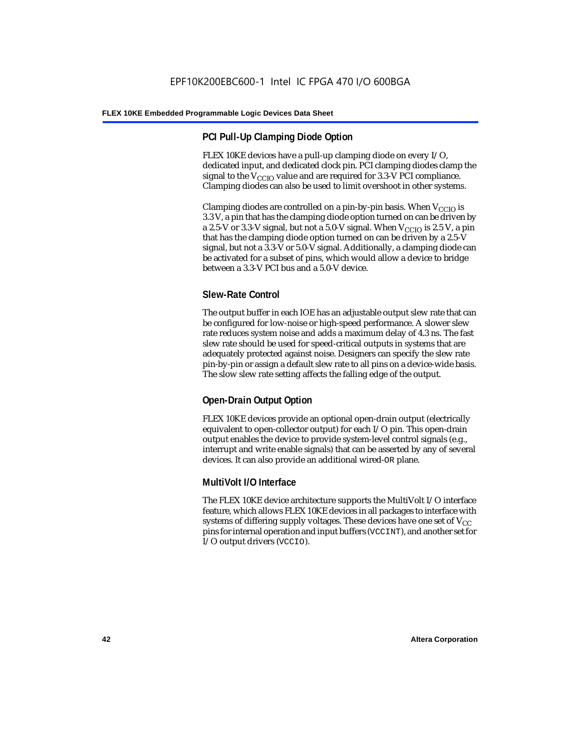# **PCI Pull-Up Clamping Diode Option**

FLEX 10KE devices have a pull-up clamping diode on every I/O, dedicated input, and dedicated clock pin. PCI clamping diodes clamp the signal to the  $V_{\text{CCIO}}$  value and are required for 3.3-V PCI compliance. Clamping diodes can also be used to limit overshoot in other systems.

Clamping diodes are controlled on a pin-by-pin basis. When  $V_{CCIO}$  is 3.3 V, a pin that has the clamping diode option turned on can be driven by a 2.5-V or 3.3-V signal, but not a 5.0-V signal. When  $V_{CCIO}$  is 2.5 V, a pin that has the clamping diode option turned on can be driven by a 2.5-V signal, but not a 3.3-V or 5.0-V signal. Additionally, a clamping diode can be activated for a subset of pins, which would allow a device to bridge between a 3.3-V PCI bus and a 5.0-V device.

# **Slew-Rate Control**

The output buffer in each IOE has an adjustable output slew rate that can be configured for low-noise or high-speed performance. A slower slew rate reduces system noise and adds a maximum delay of 4.3 ns. The fast slew rate should be used for speed-critical outputs in systems that are adequately protected against noise. Designers can specify the slew rate pin-by-pin or assign a default slew rate to all pins on a device-wide basis. The slow slew rate setting affects the falling edge of the output.

# **Open-Drain Output Option**

FLEX 10KE devices provide an optional open-drain output (electrically equivalent to open-collector output) for each I/O pin. This open-drain output enables the device to provide system-level control signals (e.g., interrupt and write enable signals) that can be asserted by any of several devices. It can also provide an additional wired-OR plane.

# **MultiVolt I/O Interface**

The FLEX 10KE device architecture supports the MultiVolt I/O interface feature, which allows FLEX 10KE devices in all packages to interface with systems of differing supply voltages. These devices have one set of  $V_{CC}$ pins for internal operation and input buffers (VCCINT), and another set for I/O output drivers (VCCIO).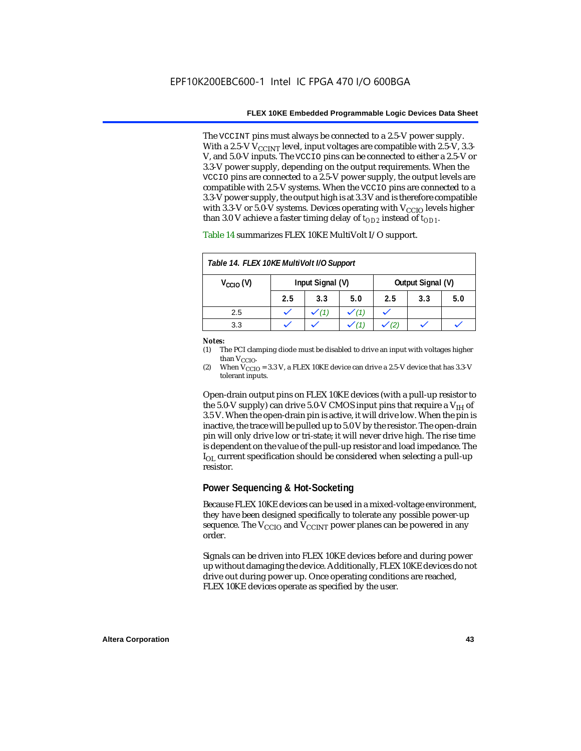The VCCINT pins must always be connected to a 2.5-V power supply. With a 2.5-V  $V_{CCMT}$  level, input voltages are compatible with 2.5-V, 3.3-V, and 5.0-V inputs. The VCCIO pins can be connected to either a 2.5-V or 3.3-V power supply, depending on the output requirements. When the VCCIO pins are connected to a 2.5-V power supply, the output levels are compatible with 2.5-V systems. When the VCCIO pins are connected to a 3.3-V power supply, the output high is at 3.3 V and is therefore compatible with 3.3-V or 5.0-V systems. Devices operating with  $V_{CCIO}$  levels higher than 3.0 V achieve a faster timing delay of  $t_{OD2}$  instead of  $t_{OD1}$ .

| Table 14. FLEX 10KE MultiVolt I/O Support |     |                  |     |                   |     |     |
|-------------------------------------------|-----|------------------|-----|-------------------|-----|-----|
| $V_{\text{CCIO}}(V)$                      |     | Input Signal (V) |     | Output Signal (V) |     |     |
|                                           | 2.5 | 3.3              | 5.0 | 2.5               | 3.3 | 5.0 |
| 2.5                                       |     |                  |     |                   |     |     |
| 3.3                                       |     |                  |     |                   |     |     |

Table 14 summarizes FLEX 10KE MultiVolt I/O support.

#### *Notes:*

(1) The PCI clamping diode must be disabled to drive an input with voltages higher than  $V_{CCIO}$ .

(2) When  $V_{\text{CCIO}} = 3.3$  V, a FLEX 10KE device can drive a 2.5-V device that has 3.3-V tolerant inputs.

Open-drain output pins on FLEX 10KE devices (with a pull-up resistor to the 5.0-V supply) can drive 5.0-V CMOS input pins that require a  $V_{\text{H}}$  of 3.5 V. When the open-drain pin is active, it will drive low. When the pin is inactive, the trace will be pulled up to 5.0 V by the resistor. The open-drain pin will only drive low or tri-state; it will never drive high. The rise time is dependent on the value of the pull-up resistor and load impedance. The  $I_{\text{OL}}$  current specification should be considered when selecting a pull-up resistor.

## **Power Sequencing & Hot-Socketing**

Because FLEX 10KE devices can be used in a mixed-voltage environment, they have been designed specifically to tolerate any possible power-up sequence. The  $V_{\text{CCIO}}$  and  $V_{\text{CCINT}}$  power planes can be powered in any order.

Signals can be driven into FLEX 10KE devices before and during power up without damaging the device. Additionally, FLEX 10KE devices do not drive out during power up. Once operating conditions are reached, FLEX 10KE devices operate as specified by the user.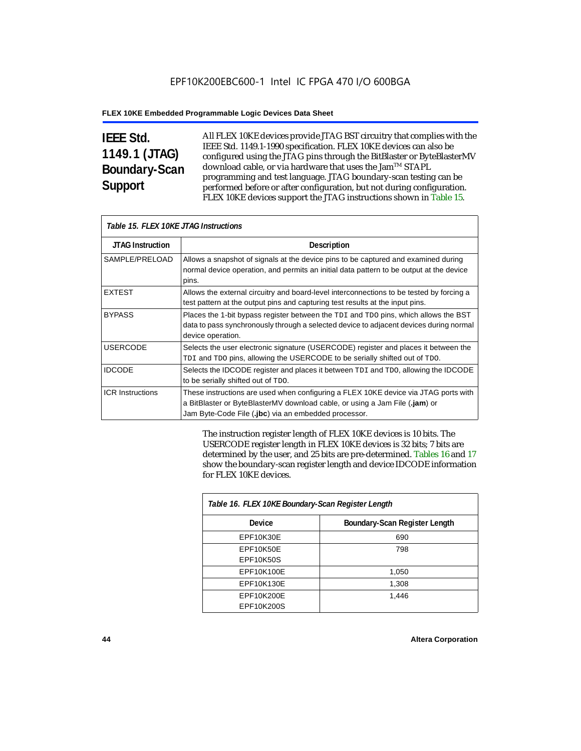# **IEEE Std. 1149.1 (JTAG) Boundary-Scan Support**

Г

All FLEX 10KE devices provide JTAG BST circuitry that complies with the IEEE Std. 1149.1-1990 specification. FLEX 10KE devices can also be configured using the JTAG pins through the BitBlaster or ByteBlasterMV download cable, or via hardware that uses the Jam™ STAPL programming and test language. JTAG boundary-scan testing can be performed before or after configuration, but not during configuration. FLEX 10KE devices support the JTAG instructions shown in Table 15.

| Table 15. FLEX 10KE JTAG Instructions |                                                                                                                                                                                                                            |  |  |  |
|---------------------------------------|----------------------------------------------------------------------------------------------------------------------------------------------------------------------------------------------------------------------------|--|--|--|
| <b>JTAG Instruction</b>               | <b>Description</b>                                                                                                                                                                                                         |  |  |  |
| SAMPLE/PRELOAD                        | Allows a snapshot of signals at the device pins to be captured and examined during<br>normal device operation, and permits an initial data pattern to be output at the device<br>pins.                                     |  |  |  |
| <b>EXTEST</b>                         | Allows the external circuitry and board-level interconnections to be tested by forcing a<br>test pattern at the output pins and capturing test results at the input pins.                                                  |  |  |  |
| <b>BYPASS</b>                         | Places the 1-bit bypass register between the TDI and TDO pins, which allows the BST<br>data to pass synchronously through a selected device to adjacent devices during normal<br>device operation.                         |  |  |  |
| <b>USERCODE</b>                       | Selects the user electronic signature (USERCODE) register and places it between the<br>TDI and TDO pins, allowing the USERCODE to be serially shifted out of TDO.                                                          |  |  |  |
| <b>IDCODE</b>                         | Selects the IDCODE register and places it between TDI and TDO, allowing the IDCODE<br>to be serially shifted out of TDO.                                                                                                   |  |  |  |
| <b>ICR Instructions</b>               | These instructions are used when configuring a FLEX 10KE device via JTAG ports with<br>a BitBlaster or ByteBlasterMV download cable, or using a Jam File (.jam) or<br>Jam Byte-Code File (.jbc) via an embedded processor. |  |  |  |

The instruction register length of FLEX 10KE devices is 10 bits. The USERCODE register length in FLEX 10KE devices is 32 bits; 7 bits are determined by the user, and 25 bits are pre-determined. Tables 16 and 17 show the boundary-scan register length and device IDCODE information for FLEX 10KE devices.

| Table 16. FLEX 10KE Boundary-Scan Register Length |                               |  |  |
|---------------------------------------------------|-------------------------------|--|--|
| Device                                            | Boundary-Scan Register Length |  |  |
| EPF10K30E                                         | 690                           |  |  |
| EPF10K50E                                         | 798                           |  |  |
| <b>EPF10K50S</b>                                  |                               |  |  |
| EPF10K100E                                        | 1,050                         |  |  |
| EPF10K130E                                        | 1,308                         |  |  |
| EPF10K200E                                        | 1,446                         |  |  |
| EPF10K200S                                        |                               |  |  |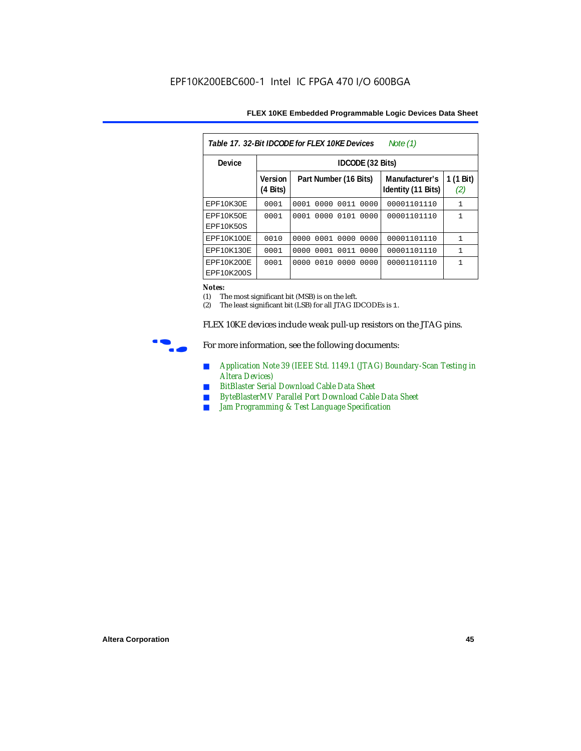| Table 17, 32-Bit IDCODE for FLEX 10KE Devices<br>Note (1) |                            |                       |                |                                      |                               |  |  |
|-----------------------------------------------------------|----------------------------|-----------------------|----------------|--------------------------------------|-------------------------------|--|--|
| Device                                                    |                            | IDCODE (32 Bits)      |                |                                      |                               |  |  |
|                                                           | <b>Version</b><br>(4 Bits) | Part Number (16 Bits) |                | Manufacturer's<br>Identity (11 Bits) | $(1 \text{ Bit})$<br>1<br>(2) |  |  |
| EPF10K30E                                                 | 0001                       | 0001 0000 0011 0000   |                | 00001101110                          | $\mathbf{1}$                  |  |  |
| EPF10K50E<br>EPF10K50S                                    | 0001                       | 0001                  | 0000 0101 0000 | 00001101110                          | 1                             |  |  |
| EPF10K100E                                                | 0010                       | 0000 0001 0000 0000   |                | 00001101110                          | 1                             |  |  |
| EPF10K130E                                                | 0001                       | 0001<br>0000          | 0011<br>0000   | 00001101110                          | $\mathbf{1}$                  |  |  |
| EPF10K200E<br>EPF10K200S                                  | 0001                       | 0000 0010 0000        | 0000           | 00001101110                          |                               |  |  |

#### *Notes:*

(1) The most significant bit (MSB) is on the left.

(2) The least significant bit (LSB) for all JTAG IDCODEs is 1.

FLEX 10KE devices include weak pull-up resistors on the JTAG pins.



For more information, see the following documents:

- *Application Note 39 (IEEE Std. 1149.1 (JTAG) Boundary-Scan Testing in Altera Devices)*
- *BitBlaster Serial Download Cable Data Sheet*
- *ByteBlasterMV Parallel Port Download Cable Data Sheet*
- *Jam Programming & Test Language Specification*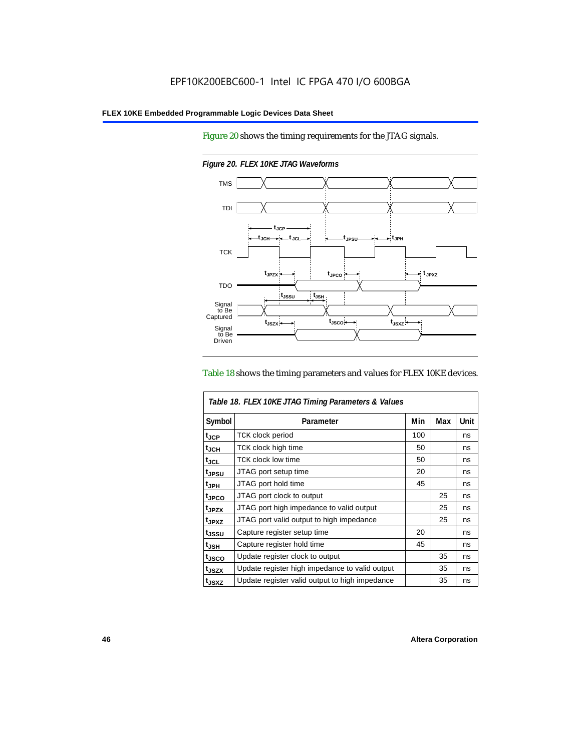Figure 20 shows the timing requirements for the JTAG signals.



*Figure 20. FLEX 10KE JTAG Waveforms*

#### Table 18 shows the timing parameters and values for FLEX 10KE devices.

| Table 18. FLEX 10KE JTAG Timing Parameters & Values |                                                |     |     |      |  |
|-----------------------------------------------------|------------------------------------------------|-----|-----|------|--|
| Symbol                                              | Parameter                                      | Min | Max | Unit |  |
| t <sub>JCP</sub>                                    | <b>TCK clock period</b>                        | 100 |     | ns   |  |
| $t_{JCH}$                                           | TCK clock high time                            | 50  |     | ns   |  |
| $t_{JCL}$                                           | TCK clock low time                             | 50  |     | ns   |  |
| tjpsu                                               | JTAG port setup time                           | 20  |     | ns   |  |
| t <sub>JPH</sub>                                    | JTAG port hold time                            | 45  |     | ns   |  |
| t <sub>JPCO</sub>                                   | JTAG port clock to output                      |     | 25  | ns   |  |
| t <sub>.IPZX</sub>                                  | JTAG port high impedance to valid output       |     | 25  | ns   |  |
| t <sub>JPXZ</sub>                                   | JTAG port valid output to high impedance       |     | 25  | ns   |  |
| tjssu                                               | Capture register setup time                    | 20  |     | ns   |  |
| $t_{JSH}$                                           | Capture register hold time                     | 45  |     | ns   |  |
| tjsco                                               | Update register clock to output                |     | 35  | ns   |  |
| t <sub>JSZX</sub>                                   | Update register high impedance to valid output |     | 35  | ns   |  |
| t <sub>JSXZ</sub>                                   | Update register valid output to high impedance |     | 35  | ns   |  |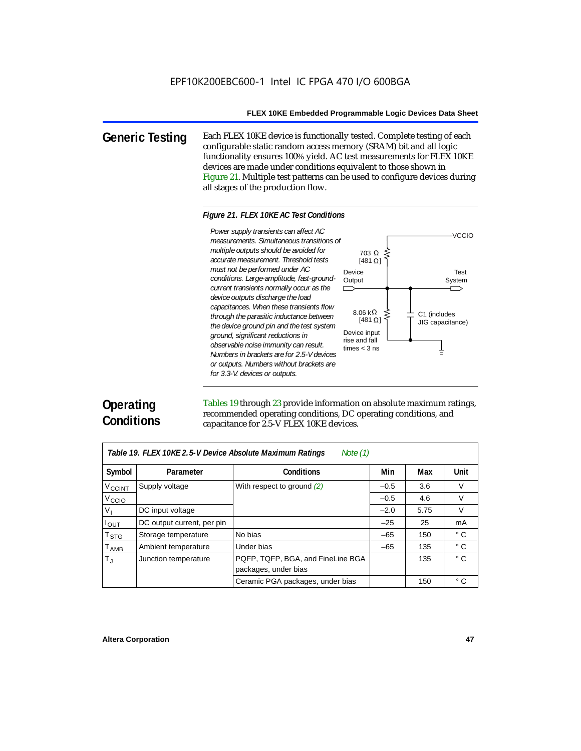**Generic Testing** Each FLEX 10KE device is functionally tested. Complete testing of each configurable static random access memory (SRAM) bit and all logic functionality ensures 100% yield. AC test measurements for FLEX 10KE devices are made under conditions equivalent to those shown in Figure 21. Multiple test patterns can be used to configure devices during all stages of the production flow.

#### *Figure 21. FLEX 10KE AC Test Conditions*

*measurements. Simultaneous transitions of multiple outputs should be avoided for accurate measurement. Threshold tests must not be performed under AC conditions. Large-amplitude, fast-groundcurrent transients normally occur as the device outputs discharge the load capacitances. When these transients flow through the parasitic inductance between the device ground pin and the test system ground, significant reductions in observable noise immunity can result. Numbers in brackets are for 2.5-V devices or outputs. Numbers without brackets are for 3.3-V. devices or outputs.*



# **Operating Conditions**

Tables 19 through 23 provide information on absolute maximum ratings, recommended operating conditions, DC operating conditions, and capacitance for 2.5-V FLEX 10KE devices.

| Table 19. FLEX 10KE 2.5-V Device Absolute Maximum Ratings<br>Note $(1)$ |                            |                                   |        |      |              |  |  |
|-------------------------------------------------------------------------|----------------------------|-----------------------------------|--------|------|--------------|--|--|
| Symbol                                                                  | Parameter                  | <b>Conditions</b>                 | Min    | Max  | <b>Unit</b>  |  |  |
| V <sub>CCINT</sub>                                                      | Supply voltage             | With respect to ground $(2)$      | $-0.5$ | 3.6  | $\vee$       |  |  |
| V <sub>CCIO</sub>                                                       |                            |                                   | $-0.5$ | 4.6  | V            |  |  |
| $V_{\parallel}$                                                         | DC input voltage           |                                   | $-2.0$ | 5.75 | $\vee$       |  |  |
| $I_{OUT}$                                                               | DC output current, per pin |                                   | $-25$  | 25   | mA           |  |  |
| $\mathsf{T}_{\textsf{STG}}$                                             | Storage temperature        | No bias                           | $-65$  | 150  | $^{\circ}$ C |  |  |
| $T_{AMB}$                                                               | Ambient temperature        | Under bias                        | $-65$  | 135  | $^{\circ}$ C |  |  |
| $T_{\rm J}$                                                             | Junction temperature       | PQFP, TQFP, BGA, and FineLine BGA |        | 135  | $^{\circ}$ C |  |  |
|                                                                         |                            | packages, under bias              |        |      |              |  |  |
|                                                                         |                            | Ceramic PGA packages, under bias  |        | 150  | $^{\circ}$ C |  |  |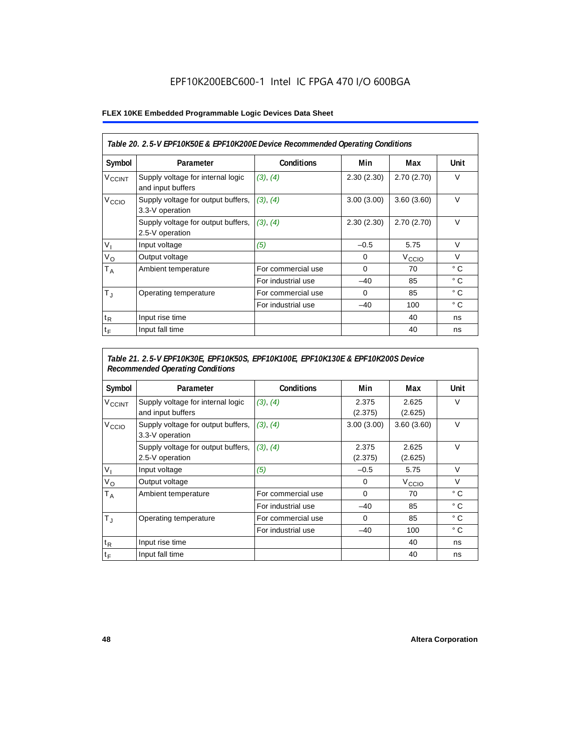# EPF10K200EBC600-1 Intel IC FPGA 470 I/O 600BGA

### **FLEX 10KE Embedded Programmable Logic Devices Data Sheet**

| Table 20. 2.5-V EPF10K50E & EPF10K200E Device Recommended Operating Conditions |                                                        |                    |            |                   |              |  |
|--------------------------------------------------------------------------------|--------------------------------------------------------|--------------------|------------|-------------------|--------------|--|
| Symbol                                                                         | Parameter                                              | <b>Conditions</b>  | Min        | Max               | Unit         |  |
| <b>V<sub>CCINT</sub></b>                                                       | Supply voltage for internal logic<br>and input buffers | (3), (4)           | 2.30(2.30) | 2.70(2.70)        | $\vee$       |  |
| V <sub>CCIO</sub>                                                              | Supply voltage for output buffers,<br>3.3-V operation  | (3), (4)           | 3.00(3.00) | 3.60(3.60)        | $\vee$       |  |
|                                                                                | Supply voltage for output buffers,<br>2.5-V operation  | (3), (4)           | 2.30(2.30) | 2.70(2.70)        | $\vee$       |  |
| $V_{1}$                                                                        | Input voltage                                          | (5)                | $-0.5$     | 5.75              | $\vee$       |  |
| $V_{\rm O}$                                                                    | Output voltage                                         |                    | 0          | V <sub>CCIO</sub> | $\vee$       |  |
| Т <sub>А</sub>                                                                 | Ambient temperature                                    | For commercial use | $\Omega$   | 70                | $^{\circ}$ C |  |
|                                                                                |                                                        | For industrial use | $-40$      | 85                | $^{\circ}$ C |  |
| $T_{\rm J}$                                                                    | Operating temperature                                  | For commercial use | $\Omega$   | 85                | $^{\circ}$ C |  |
|                                                                                |                                                        | For industrial use | $-40$      | 100               | $^{\circ}$ C |  |
| $t_{R}$                                                                        | Input rise time                                        |                    |            | 40                | ns           |  |
| $t_F$                                                                          | Input fall time                                        |                    |            | 40                | ns           |  |

# *Table 21. 2.5-V EPF10K30E, EPF10K50S, EPF10K100E, EPF10K130E & EPF10K200S Device Recommended Operating Conditions*

| Symbol                   | Parameter                                              | <b>Conditions</b>  | Min              | Max               | Unit         |
|--------------------------|--------------------------------------------------------|--------------------|------------------|-------------------|--------------|
| <b>V<sub>CCINT</sub></b> | Supply voltage for internal logic<br>and input buffers | (3), (4)           | 2.375<br>(2.375) | 2.625<br>(2.625)  | $\vee$       |
| V <sub>CCIO</sub>        | Supply voltage for output buffers,<br>3.3-V operation  | (3), (4)           | 3.00(3.00)       | 3.60(3.60)        | $\vee$       |
|                          | Supply voltage for output buffers,<br>2.5-V operation  | (3), (4)           | 2.375<br>(2.375) | 2.625<br>(2.625)  | $\vee$       |
| $V_{1}$                  | Input voltage                                          | (5)                | $-0.5$           | 5.75              | $\vee$       |
| $V_{\rm O}$              | Output voltage                                         |                    | 0                | V <sub>CCIO</sub> | $\vee$       |
| $T_A$                    | Ambient temperature                                    | For commercial use | 0                | 70                | ° C          |
|                          |                                                        | For industrial use | $-40$            | 85                | $^{\circ}$ C |
| $T_{\rm J}$              | Operating temperature                                  | For commercial use | $\mathbf 0$      | 85                | °C           |
|                          |                                                        | For industrial use | $-40$            | 100               | $^{\circ}$ C |
| $t_{R}$                  | Input rise time                                        |                    |                  | 40                | ns           |
| $t_F$                    | Input fall time                                        |                    |                  | 40                | ns           |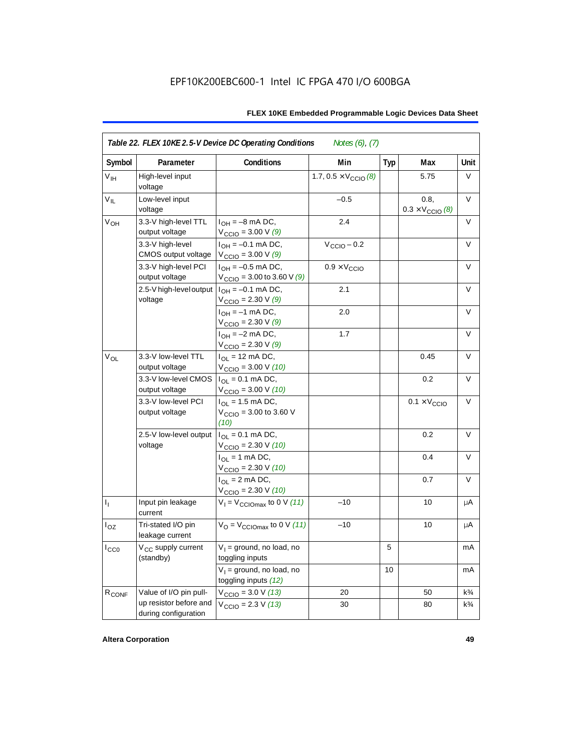| Symbol            | Parameter                                      | Conditions                                                              | Min                                   | <b>Typ</b> | Max                                      | Unit           |
|-------------------|------------------------------------------------|-------------------------------------------------------------------------|---------------------------------------|------------|------------------------------------------|----------------|
| V <sub>IH</sub>   | High-level input<br>voltage                    |                                                                         | 1.7, $0.5 \times V_{\text{CCIO}}$ (8) |            | 5.75                                     | V              |
| $V_{IL}$          | Low-level input<br>voltage                     |                                                                         | $-0.5$                                |            | 0.8,<br>$0.3 \times V_{\text{CCIO}}$ (8) | $\vee$         |
| V <sub>OH</sub>   | 3.3-V high-level TTL<br>output voltage         | $I_{OH} = -8$ mA DC,<br>$V_{\text{CCIO}} = 3.00 \text{ V} (9)$          | 2.4                                   |            |                                          | V              |
|                   | 3.3-V high-level<br>CMOS output voltage        | $I_{OH} = -0.1$ mA DC,<br>$V_{\text{CCIO}} = 3.00 V (9)$                | $V_{\text{CCIO}} - 0.2$               |            |                                          | V              |
|                   | 3.3-V high-level PCI<br>output voltage         | $I_{OH} = -0.5$ mA DC,<br>$V_{\text{CCIO}} = 3.00$ to 3.60 V (9)        | $0.9 \times V_{\text{CCIO}}$          |            |                                          | $\vee$         |
|                   | 2.5-V high-level output<br>voltage             | $I_{OH} = -0.1$ mA DC,<br>$V_{\text{CCIO}} = 2.30 \text{ V} (9)$        | 2.1                                   |            |                                          | V              |
|                   |                                                | $I_{OH} = -1$ mA DC,<br>$V_{\text{CCIO}} = 2.30 \text{ V} (9)$          | 2.0                                   |            |                                          | V              |
|                   |                                                | $I_{OH} = -2$ mA DC,<br>$V_{\text{CCIO}} = 2.30 V (9)$                  | 1.7                                   |            |                                          | V              |
| $V_{OL}$          | 3.3-V low-level TTL<br>output voltage          | $I_{\text{OI}} = 12 \text{ mA DC}$ ,<br>$V_{\text{CCIO}} = 3.00 V (10)$ |                                       |            | 0.45                                     | $\vee$         |
|                   | 3.3-V low-level CMOS<br>output voltage         | $I_{OL} = 0.1$ mA DC,<br>$V_{\text{CCIO}} = 3.00 V (10)$                |                                       |            | 0.2                                      | V              |
|                   | 3.3-V low-level PCI<br>output voltage          | $I_{OL}$ = 1.5 mA DC,<br>$V_{\text{CCIO}} = 3.00$ to 3.60 V<br>(10)     |                                       |            | $0.1 \times V_{\text{CCIO}}$             | V              |
|                   | 2.5-V low-level output<br>voltage              | $I_{\Omega} = 0.1$ mA DC,<br>$V_{\text{CCIO}} = 2.30 \text{ V} (10)$    |                                       |            | 0.2                                      | $\vee$         |
|                   |                                                | $I_{OL}$ = 1 mA DC,<br>$V_{\text{CCIO}} = 2.30 V (10)$                  |                                       |            | 0.4                                      | V              |
|                   |                                                | $I_{OL} = 2$ mA DC,<br>$V_{\text{CCIO}} = 2.30 V (10)$                  |                                       |            | 0.7                                      | $\vee$         |
| $I_1$             | Input pin leakage<br>current                   | $V_1 = V_{\text{CCIOMax}}$ to 0 V (11)                                  | $-10$                                 |            | 10                                       | μA             |
| $I_{OZ}$          | Tri-stated I/O pin<br>leakage current          | $V_{\rm O}$ = $V_{\rm CClOmax}$ to 0 V (11)                             | $-10$                                 |            | 10                                       | μA             |
| $I_{CC0}$         | V <sub>CC</sub> supply current<br>(standby)    | $V_1$ = ground, no load, no<br>toggling inputs                          |                                       | 5          |                                          | mA             |
|                   |                                                | $V_1$ = ground, no load, no<br>toggling inputs (12)                     |                                       | 10         |                                          | mA             |
| R <sub>CONF</sub> | Value of I/O pin pull-                         | $V_{\text{CCIO}} = 3.0 V (13)$                                          | 20                                    |            | 50                                       | $k\frac{3}{4}$ |
|                   | up resistor before and<br>during configuration | $V_{\text{CCIO}} = 2.3 V (13)$                                          | 30                                    |            | 80                                       | $k\frac{3}{4}$ |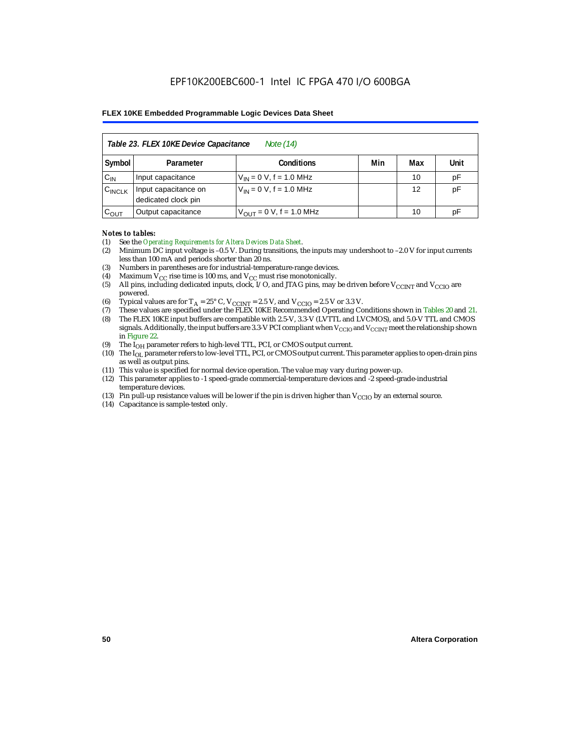|                    | Table 23. FLEX 10KE Device Capacitance<br>Note (14) |                               |     |     |      |  |
|--------------------|-----------------------------------------------------|-------------------------------|-----|-----|------|--|
| Symbol             | Parameter                                           | <b>Conditions</b>             | Min | Max | Unit |  |
| $C_{IN}$           | Input capacitance                                   | $V_{IN} = 0 V$ , f = 1.0 MHz  |     | 10  | pF   |  |
| $C_{\text{INCLK}}$ | Input capacitance on<br>dedicated clock pin         | $V_{IN} = 0 V$ , f = 1.0 MHz  |     | 12  | pF   |  |
| $C_{OUT}$          | Output capacitance                                  | $V_{OUT} = 0 V$ , f = 1.0 MHz |     | 10  | рF   |  |

#### *Notes to tables:*

- (1) See the *Operating Requirements for Altera Devices Data Sheet*.
- (2) Minimum DC input voltage is –0.5 V. During transitions, the inputs may undershoot to –2.0 V for input currents less than 100 mA and periods shorter than 20 ns.
- (3) Numbers in parentheses are for industrial-temperature-range devices.
- (4) Maximum  $V_{CC}$  rise time is 100 ms, and  $V_{CC}$  must rise monotonically.<br>(5) All pins, including dedicated inputs, clock, I/O, and JTAG pins, may
- All pins, including dedicated inputs, clock, I/O, and JTAG pins, may be driven before  $V_{CCTNT}$  and  $V_{CCTO}$  are powered.
- (6) Typical values are for  $T_A = 25^\circ$  C,  $V_{CClNT} = 2.5$  V, and  $V_{CClO} = 2.5$  V or 3.3 V.<br>(7) These values are specified under the FLEX 10KE Recommended Operating Co
- (7) These values are specified under the FLEX 10KE Recommended Operating Conditions shown in Tables 20 and 21.<br>(8) The FLEX 10KE input buffers are compatible with 2.5-V. 3.3-V (LVTTL and LVCMOS), and 5.0-V TTL and CMOS (8) The FLEX 10KE input buffers are compatible with 2.5-V, 3.3-V (LVTTL and LVCMOS), and 5.0-V TTL and CMOS
- signals. Additionally, the input buffers are 3.3-V PCI compliant when  $V_{CCIO}$  and  $V_{CCIVT}$  meet the relationship shown in Figure 22.
- (9) The  $I<sub>OH</sub>$  parameter refers to high-level TTL, PCI, or CMOS output current.
- (10) The IOL parameter refers to low-level TTL, PCI, or CMOS output current. This parameter applies to open-drain pins as well as output pins.
- (11) This value is specified for normal device operation. The value may vary during power-up.
- (12) This parameter applies to -1 speed-grade commercial-temperature devices and -2 speed-grade-industrial temperature devices.
- (13) Pin pull-up resistance values will be lower if the pin is driven higher than  $V_{CCIO}$  by an external source.
- (14) Capacitance is sample-tested only.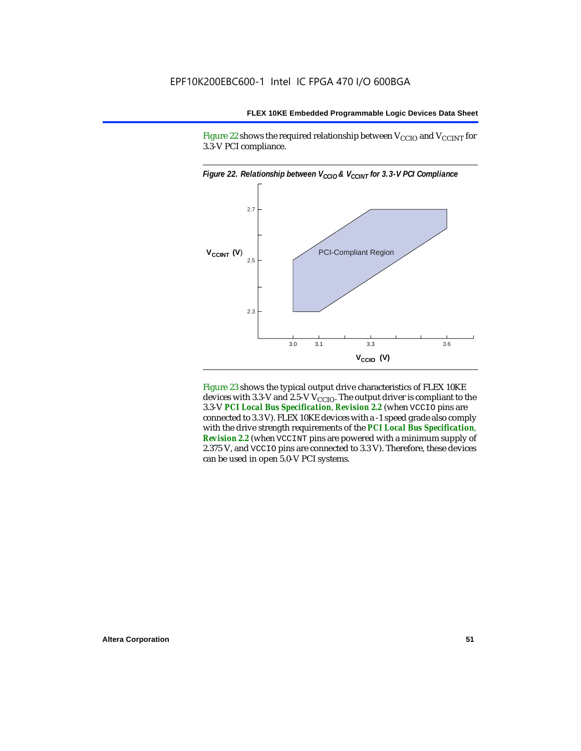Figure 22 shows the required relationship between  $V_{\text{CCIO}}$  and  $V_{\text{CCINT}}$  for 3.3-V PCI compliance.



Figure 23 shows the typical output drive characteristics of FLEX 10KE devices with 3.3-V and 2.5-V  $V_{\text{CCIO}}$ . The output driver is compliant to the 3.3-V *PCI Local Bus Specification*, *Revision 2.2* (when VCCIO pins are connected to 3.3 V). FLEX 10KE devices with a -1 speed grade also comply with the drive strength requirements of the *PCI Local Bus Specification*, *Revision 2.2* (when VCCINT pins are powered with a minimum supply of 2.375 V, and VCCIO pins are connected to 3.3 V). Therefore, these devices can be used in open 5.0-V PCI systems.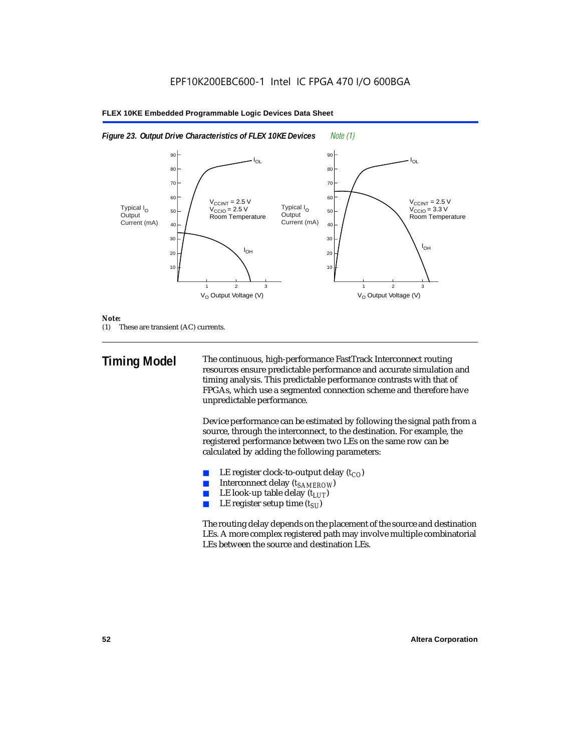



#### *Note:*

(1) These are transient (AC) currents.

**Timing Model** The continuous, high-performance FastTrack Interconnect routing resources ensure predictable performance and accurate simulation and timing analysis. This predictable performance contrasts with that of FPGAs, which use a segmented connection scheme and therefore have unpredictable performance.

> Device performance can be estimated by following the signal path from a source, through the interconnect, to the destination. For example, the registered performance between two LEs on the same row can be calculated by adding the following parameters:

- LE register clock-to-output delay  $(t_{CO})$
- **■** Interconnect delay  $(t_{SAMEROW})$ <br> **■** I.E look-up table delay  $(t_{LUT})$
- LE look-up table delay  $(t_{LUT})$
- LE register setup time  $(t_{SI})$

The routing delay depends on the placement of the source and destination LEs. A more complex registered path may involve multiple combinatorial LEs between the source and destination LEs.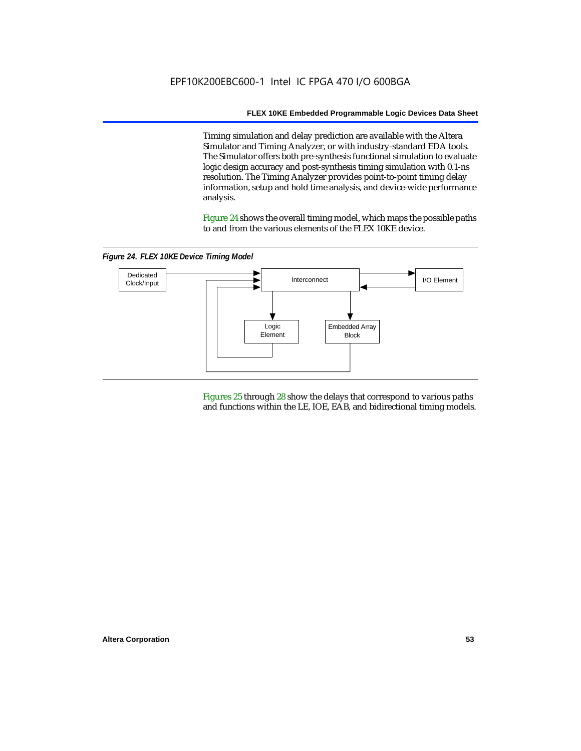Timing simulation and delay prediction are available with the Altera Simulator and Timing Analyzer, or with industry-standard EDA tools. The Simulator offers both pre-synthesis functional simulation to evaluate logic design accuracy and post-synthesis timing simulation with 0.1-ns resolution. The Timing Analyzer provides point-to-point timing delay information, setup and hold time analysis, and device-wide performance analysis.

Figure 24 shows the overall timing model, which maps the possible paths to and from the various elements of the FLEX 10KE device.

*Figure 24. FLEX 10KE Device Timing Model*



Figures 25 through 28 show the delays that correspond to various paths and functions within the LE, IOE, EAB, and bidirectional timing models.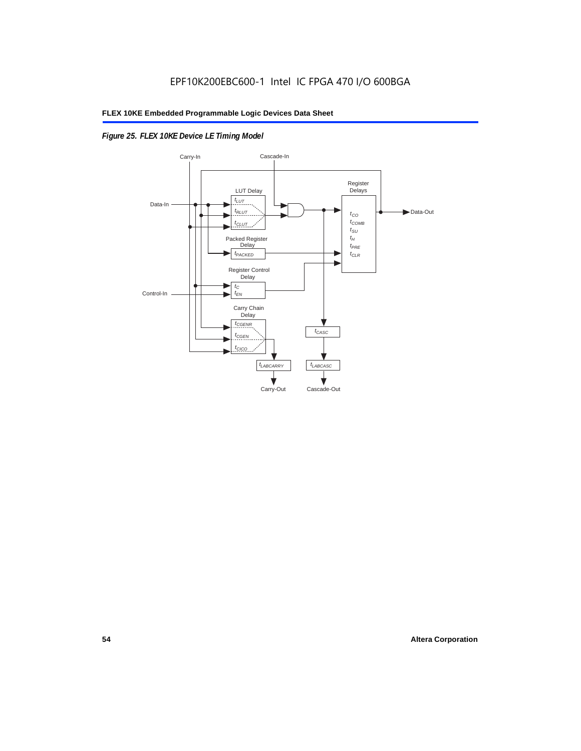# *Figure 25. FLEX 10KE Device LE Timing Model*

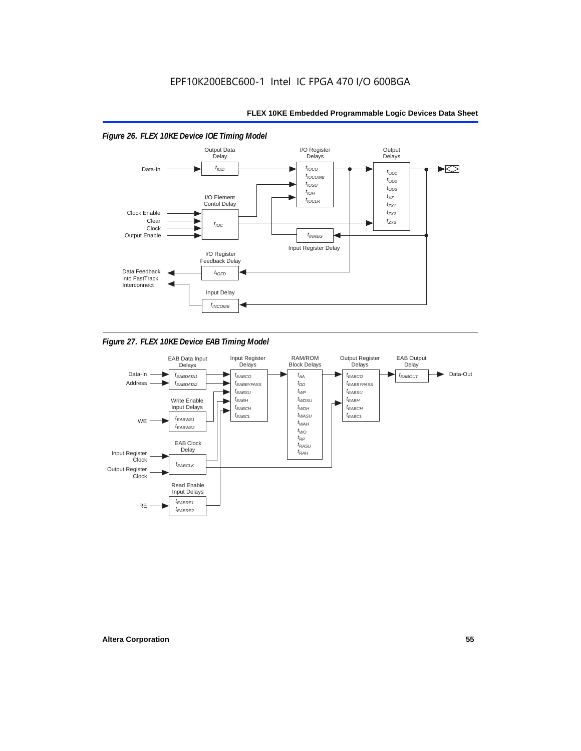

*Figure 27. FLEX 10KE Device EAB Timing Model*

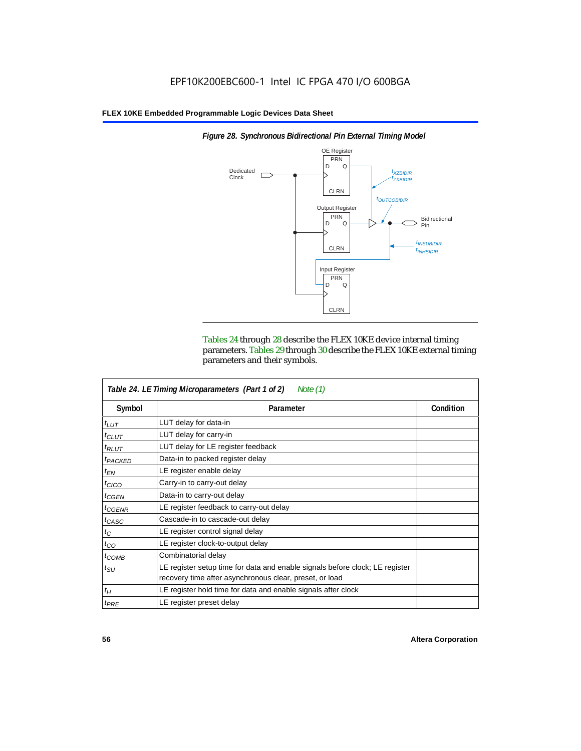

*Figure 28. Synchronous Bidirectional Pin External Timing Model*

Tables 24 through 28 describe the FLEX 10KE device internal timing parameters. Tables 29 through 30 describe the FLEX 10KE external timing parameters and their symbols.

|                     | Table 24. LE Timing Microparameters (Part 1 of 2)<br>Note (1)                                                                           |           |  |
|---------------------|-----------------------------------------------------------------------------------------------------------------------------------------|-----------|--|
| Symbol              | Parameter                                                                                                                               | Condition |  |
| $t_{LUT}$           | LUT delay for data-in                                                                                                                   |           |  |
| $t_{CLUT}$          | LUT delay for carry-in                                                                                                                  |           |  |
| $t_{RLUT}$          | LUT delay for LE register feedback                                                                                                      |           |  |
| <sup>t</sup> PACKED | Data-in to packed register delay                                                                                                        |           |  |
| $t_{EN}$            | LE register enable delay                                                                                                                |           |  |
| $t_{CICO}$          | Carry-in to carry-out delay                                                                                                             |           |  |
| $t_{GEN}$           | Data-in to carry-out delay                                                                                                              |           |  |
| ${}^t$ CGENR        | LE register feedback to carry-out delay                                                                                                 |           |  |
| $t_{CASC}$          | Cascade-in to cascade-out delay                                                                                                         |           |  |
| $t_C$               | LE register control signal delay                                                                                                        |           |  |
| $t_{CO}$            | LE register clock-to-output delay                                                                                                       |           |  |
| $t_{COMB}$          | Combinatorial delay                                                                                                                     |           |  |
| $t_{\rm SU}$        | LE register setup time for data and enable signals before clock; LE register<br>recovery time after asynchronous clear, preset, or load |           |  |
| $t_H$               | LE register hold time for data and enable signals after clock                                                                           |           |  |
| $t_{PRE}$           | LE register preset delay                                                                                                                |           |  |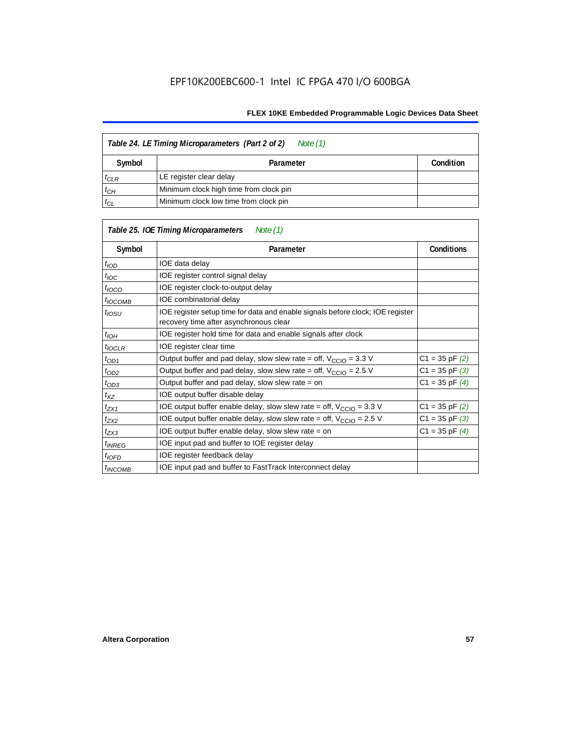| Table 24. LE Timing Microparameters (Part 2 of 2)<br>Note (1) |                                        |  |  |  |
|---------------------------------------------------------------|----------------------------------------|--|--|--|
| Symbol                                                        | Condition                              |  |  |  |
| $t_{CLR}$                                                     | LE register clear delay                |  |  |  |
| $t_{CH}$                                                      | Minimum clock high time from clock pin |  |  |  |
| $t_{CL}$                                                      | Minimum clock low time from clock pin  |  |  |  |

|                    | Table 25. IOE Timing Microparameters<br>Note (1)                                                                         |                    |
|--------------------|--------------------------------------------------------------------------------------------------------------------------|--------------------|
| Symbol             | Parameter                                                                                                                | <b>Conditions</b>  |
| $t_{\mathit{IOD}}$ | IOE data delay                                                                                                           |                    |
| $t_{\text{IOC}}$   | IOE register control signal delay                                                                                        |                    |
| $t_{\text{IOCO}}$  | IOE register clock-to-output delay                                                                                       |                    |
| $t_{IOCOMB}$       | IOE combinatorial delay                                                                                                  |                    |
| t <sub>iosu</sub>  | IOE register setup time for data and enable signals before clock; IOE register<br>recovery time after asynchronous clear |                    |
| $t_{IOH}$          | IOE register hold time for data and enable signals after clock                                                           |                    |
| $t_{IOCLR}$        | IOE register clear time                                                                                                  |                    |
| $t_{OD1}$          | Output buffer and pad delay, slow slew rate = off, $V_{\text{CCIO}} = 3.3$ V                                             | $C1 = 35$ pF $(2)$ |
| $t_{OD2}$          | Output buffer and pad delay, slow slew rate = off, $V_{\text{CCIO}} = 2.5 V$                                             | $C1 = 35$ pF $(3)$ |
| $t_{OD3}$          | Output buffer and pad delay, slow slew rate = on                                                                         | $C1 = 35$ pF $(4)$ |
| $t_{XZ}$           | IOE output buffer disable delay                                                                                          |                    |
| tzx1               | IOE output buffer enable delay, slow slew rate = off, $V_{\text{CCIO}} = 3.3$ V                                          | $C1 = 35$ pF $(2)$ |
| t <sub>ZX2</sub>   | IOE output buffer enable delay, slow slew rate = off, $V_{\text{CCIO}} = 2.5 V$                                          | $C1 = 35$ pF $(3)$ |
| t <sub>ZX3</sub>   | IOE output buffer enable delay, slow slew rate $=$ on                                                                    | $C1 = 35$ pF $(4)$ |
| <sup>t</sup> INREG | IOE input pad and buffer to IOE register delay                                                                           |                    |
| $t_{IOFD}$         | IOE register feedback delay                                                                                              |                    |
| $t_{INCOMB}$       | IOE input pad and buffer to FastTrack Interconnect delay                                                                 |                    |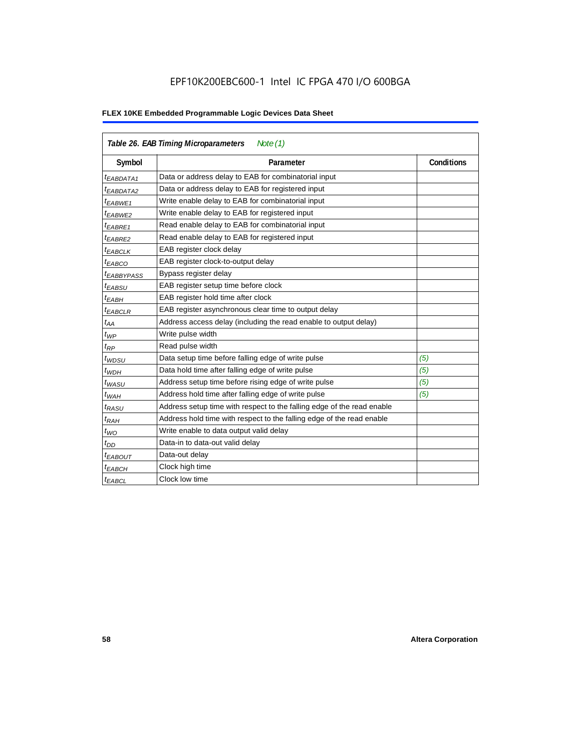|                        | Table 26. EAB Timing Microparameters<br>Note $(1)$                     |                   |
|------------------------|------------------------------------------------------------------------|-------------------|
| Symbol                 | Parameter                                                              | <b>Conditions</b> |
| $t_{EABDATA1}$         | Data or address delay to EAB for combinatorial input                   |                   |
| <sup>t</sup> EABDATA2  | Data or address delay to EAB for registered input                      |                   |
| <sup>t</sup> EABWE1    | Write enable delay to EAB for combinatorial input                      |                   |
| t <sub>EABWE2</sub>    | Write enable delay to EAB for registered input                         |                   |
| <sup>t</sup> EABRE1    | Read enable delay to EAB for combinatorial input                       |                   |
| $t_{EABRE2}$           | Read enable delay to EAB for registered input                          |                   |
| t <sub>EABCLK</sub>    | EAB register clock delay                                               |                   |
| <sup>t</sup> EABCO     | EAB register clock-to-output delay                                     |                   |
| <sup>t</sup> EABBYPASS | Bypass register delay                                                  |                   |
| <sup>t</sup> EABSU     | EAB register setup time before clock                                   |                   |
| $t_{EABH}$             | EAB register hold time after clock                                     |                   |
| $t_{EABCLR}$           | EAB register asynchronous clear time to output delay                   |                   |
| $t_{AA}$               | Address access delay (including the read enable to output delay)       |                   |
| $t_{WP}$               | Write pulse width                                                      |                   |
| $t_{RP}$               | Read pulse width                                                       |                   |
| $t_{WDSU}$             | Data setup time before falling edge of write pulse                     | (5)               |
| $t_{WDH}$              | Data hold time after falling edge of write pulse                       | (5)               |
| $t_{WASU}$             | Address setup time before rising edge of write pulse                   | (5)               |
| $t_{WAH}$              | Address hold time after falling edge of write pulse                    | (5)               |
| t <sub>RASU</sub>      | Address setup time with respect to the falling edge of the read enable |                   |
| $t_{RAH}$              | Address hold time with respect to the falling edge of the read enable  |                   |
| $t_{WO}$               | Write enable to data output valid delay                                |                   |
| $t_{DD}$               | Data-in to data-out valid delay                                        |                   |
| <sup>t</sup> EABOUT    | Data-out delay                                                         |                   |
| <sup>t</sup> EABCH     | Clock high time                                                        |                   |
| <sup>t</sup> EABCL     | Clock low time                                                         |                   |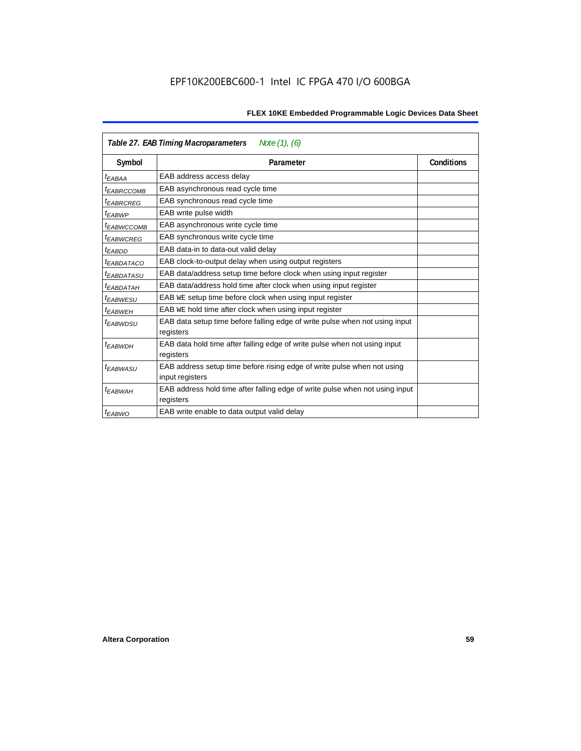|                        | Table 27. EAB Timing Macroparameters<br>Note (1), (6)                                     |                   |
|------------------------|-------------------------------------------------------------------------------------------|-------------------|
| Symbol                 | Parameter                                                                                 | <b>Conditions</b> |
| <sup>t</sup> EABAA     | EAB address access delay                                                                  |                   |
| <sup>t</sup> EABRCCOMB | EAB asynchronous read cycle time                                                          |                   |
| <sup>t</sup> EABRCREG  | EAB synchronous read cycle time                                                           |                   |
| <sup>t</sup> EABWP     | EAB write pulse width                                                                     |                   |
| <sup>t</sup> ЕАВWССОМВ | EAB asynchronous write cycle time                                                         |                   |
| <sup>t</sup> EABWCREG  | EAB synchronous write cycle time                                                          |                   |
| t <sub>EABDD</sub>     | EAB data-in to data-out valid delay                                                       |                   |
| <sup>t</sup> EABDATACO | EAB clock-to-output delay when using output registers                                     |                   |
| <sup>t</sup> EABDATASU | EAB data/address setup time before clock when using input register                        |                   |
| <sup>t</sup> EABDATAH  | EAB data/address hold time after clock when using input register                          |                   |
| <sup>t</sup> EABWESU   | EAB WE setup time before clock when using input register                                  |                   |
| t <sub>FARWFH</sub>    | EAB WE hold time after clock when using input register                                    |                   |
| t <sub>EABWDSU</sub>   | EAB data setup time before falling edge of write pulse when not using input               |                   |
|                        | registers                                                                                 |                   |
| <sup>t</sup> EABWDH    | EAB data hold time after falling edge of write pulse when not using input                 |                   |
|                        | registers                                                                                 |                   |
| <sup>t</sup> EABWASU   | EAB address setup time before rising edge of write pulse when not using                   |                   |
|                        | input registers                                                                           |                   |
| <sup>t</sup> EABWAH    | EAB address hold time after falling edge of write pulse when not using input<br>registers |                   |
| <sup>t</sup> EABWO     | EAB write enable to data output valid delay                                               |                   |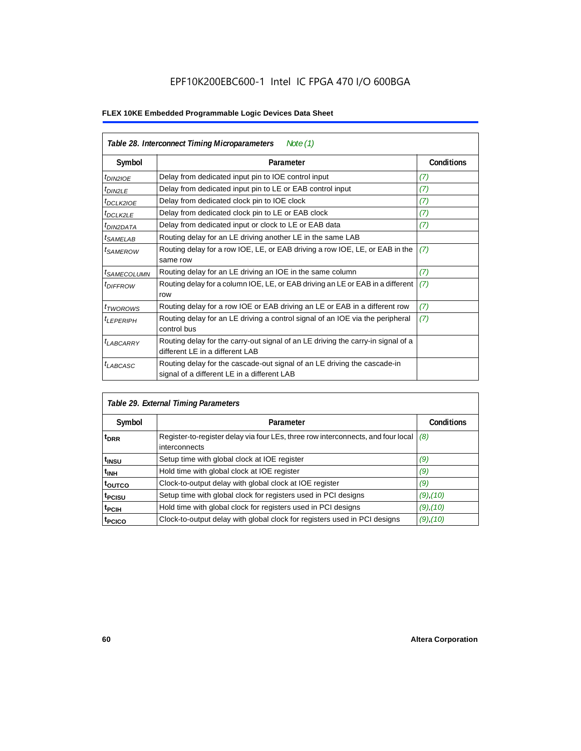|                            | Table 28. Interconnect Timing Microparameters<br>Note $(1)$                                                             |                   |
|----------------------------|-------------------------------------------------------------------------------------------------------------------------|-------------------|
| Symbol                     | Parameter                                                                                                               | <b>Conditions</b> |
| <i>t<sub>DIN2IOE</sub></i> | Delay from dedicated input pin to IOE control input                                                                     | (7)               |
| $t_{DIN2LE}$               | Delay from dedicated input pin to LE or EAB control input                                                               | (7)               |
| <sup>t</sup> DCLK2IOE      | Delay from dedicated clock pin to IOE clock                                                                             | (7)               |
| $t_{DCLK2LE}$              | Delay from dedicated clock pin to LE or EAB clock                                                                       | (7)               |
| <sup>t</sup> DIN2DATA      | Delay from dedicated input or clock to LE or EAB data                                                                   | (7)               |
| <sup>t</sup> SAMELAB       | Routing delay for an LE driving another LE in the same LAB                                                              |                   |
| <i>t</i> SAMEROW           | Routing delay for a row IOE, LE, or EAB driving a row IOE, LE, or EAB in the<br>same row                                | (7)               |
| <sup>I</sup> SAMECOLUMN    | Routing delay for an LE driving an IOE in the same column                                                               | (7)               |
| <i>t<sub>DIFFROW</sub></i> | Routing delay for a column IOE, LE, or EAB driving an LE or EAB in a different<br>row                                   | (7)               |
| <i>t</i> TWOROWS           | Routing delay for a row IOE or EAB driving an LE or EAB in a different row                                              | (7)               |
| <sup>t</sup> LEPERIPH      | Routing delay for an LE driving a control signal of an IOE via the peripheral<br>control bus                            | (7)               |
| $t_{LABCARRY}$             | Routing delay for the carry-out signal of an LE driving the carry-in signal of a<br>different LE in a different LAB     |                   |
| $t_{LABCASC}$              | Routing delay for the cascade-out signal of an LE driving the cascade-in<br>signal of a different LE in a different LAB |                   |

|                    | Table 29. External Timing Parameters                                                              |                   |  |  |  |
|--------------------|---------------------------------------------------------------------------------------------------|-------------------|--|--|--|
| Symbol             | Parameter                                                                                         | <b>Conditions</b> |  |  |  |
| <sup>t</sup> DRR   | Register-to-register delay via four LEs, three row interconnects, and four local<br>interconnects | (8)               |  |  |  |
| t <sub>insu</sub>  | Setup time with global clock at IOE register                                                      | (9)               |  |  |  |
| $t_{\rm INH}$      | Hold time with global clock at IOE register                                                       | (9)               |  |  |  |
| toutco             | Clock-to-output delay with global clock at IOE register                                           | (9)               |  |  |  |
| t <sub>PCISU</sub> | Setup time with global clock for registers used in PCI designs                                    | $(9)$ , $(10)$    |  |  |  |
| <sup>t</sup> PCIH  | Hold time with global clock for registers used in PCI designs                                     | $(9)$ , $(10)$    |  |  |  |
| <sup>T</sup> PCICO | Clock-to-output delay with global clock for registers used in PCI designs                         | $(9)$ , $(10)$    |  |  |  |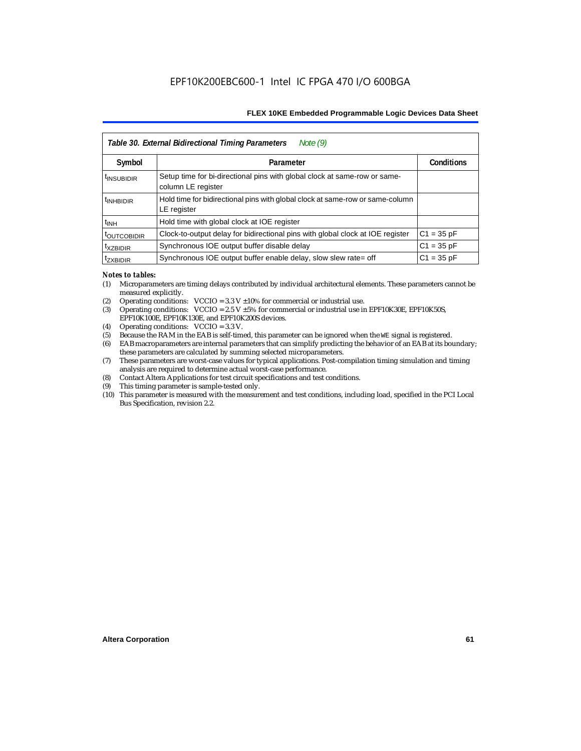|                           | Note $(9)$<br>Table 30. External Bidirectional Timing Parameters                                |                   |
|---------------------------|-------------------------------------------------------------------------------------------------|-------------------|
| Symbol                    | Parameter                                                                                       | <b>Conditions</b> |
| <sup>t</sup> INSUBIDIR    | Setup time for bi-directional pins with global clock at same-row or same-<br>column LE register |                   |
| <sup>t</sup> INHBIDIR     | Hold time for bidirectional pins with global clock at same-row or same-column<br>LE register    |                   |
| <sup>t</sup> INH          | Hold time with global clock at IOE register                                                     |                   |
| <b><i>LOUTCOBIDIR</i></b> | Clock-to-output delay for bidirectional pins with global clock at IOE register                  | $C1 = 35 pF$      |
| <sup>t</sup> xzbidir      | Synchronous IOE output buffer disable delay                                                     | $C1 = 35 pF$      |
| <sup>T</sup> ZXBIDIR      | Synchronous IOE output buffer enable delay, slow slew rate= off                                 | $C1 = 35 pF$      |

#### *Notes to tables:*

- (1) Microparameters are timing delays contributed by individual architectural elements. These parameters cannot be measured explicitly.
- (2) Operating conditions:  $VCCIO = 3.3 V ±10%$  for commercial or industrial use.<br>(3) Operating conditions:  $VCCIO = 2.5 V ±5%$  for commercial or industrial use in
- Operating conditions: VCCIO =  $2.5$  V  $\pm 5$ % for commercial or industrial use in EPF10K30E, EPF10K50S, EPF10K100E, EPF10K130E, and EPF10K200S devices.
- (4) Operating conditions: VCCIO = 3.3 V.
- (5) Because the RAM in the EAB is self-timed, this parameter can be ignored when the WE signal is registered.<br>(6) EAB macroparameters are internal parameters that can simplify predicting the behavior of an EAB at its bor
- EAB macroparameters are internal parameters that can simplify predicting the behavior of an EAB at its boundary; these parameters are calculated by summing selected microparameters.
- (7) These parameters are worst-case values for typical applications. Post-compilation timing simulation and timing analysis are required to determine actual worst-case performance.
- (8) Contact Altera Applications for test circuit specifications and test conditions.
- (9) This timing parameter is sample-tested only.
- (10) This parameter is measured with the measurement and test conditions, including load, specified in the PCI Local Bus Specification, revision 2.2.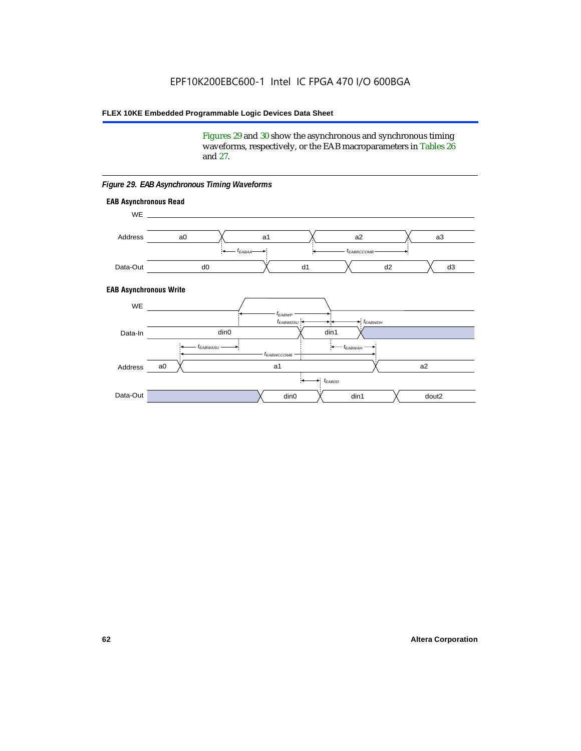Figures 29 and 30 show the asynchronous and synchronous timing waveforms, respectively, or the EAB macroparameters in Tables 26 and 27.

**EAB Asynchronous Write EAB Asynchronous Read** WE. a0 d0 d3  $t_{EABRCCOMB}$ a1 *《*、 a2 *《*、 a3 d2  $t_{FABA}$ d1 Address Data-Out WE a0 din1  $\chi$  dout2  $t_{EABDD}$ a1 a2 din1 din0  $t_{EABWCCOMB}$  $t_{EABWASU}$   $\longrightarrow$  $t_{EABWDSU}$  +  $\longrightarrow$   $t_{EABWDH}$  $t_{EABWP}$ Data-In din0 Address Data-Out

#### *Figure 29. EAB Asynchronous Timing Waveforms*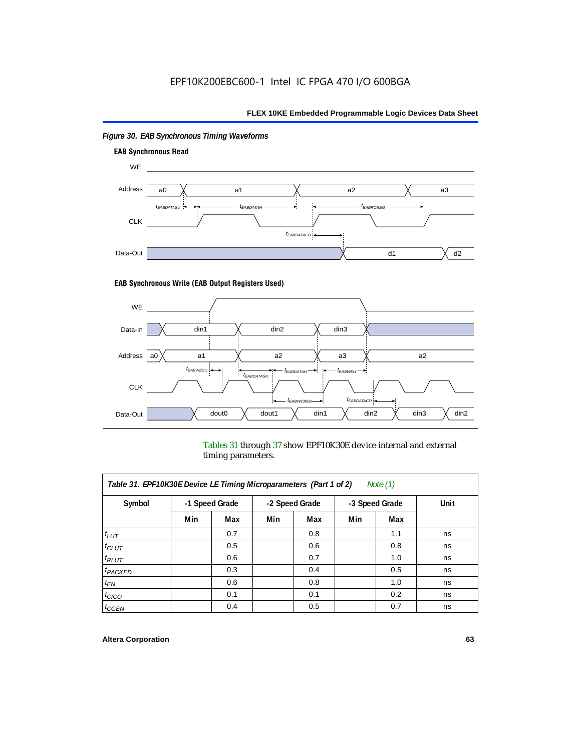

# *Figure 30. EAB Synchronous Timing Waveforms*

## **EAB Synchronous Write (EAB Output Registers Used)**



Tables 31 through 37 show EPF10K30E device internal and external timing parameters.

| Table 31. EPF10K30E Device LE Timing Microparameters (Part 1 of 2)<br>Note $(1)$ |     |                |                |     |     |                |      |
|----------------------------------------------------------------------------------|-----|----------------|----------------|-----|-----|----------------|------|
| Symbol                                                                           |     | -1 Speed Grade | -2 Speed Grade |     |     | -3 Speed Grade | Unit |
|                                                                                  | Min | Max            | Min            | Max | Min | Max            |      |
| $t_{LUT}$                                                                        |     | 0.7            |                | 0.8 |     | 1.1            | ns   |
| $t_{CLUT}$                                                                       |     | 0.5            |                | 0.6 |     | 0.8            | ns   |
| $t_{RLUT}$                                                                       |     | 0.6            |                | 0.7 |     | 1.0            | ns   |
| <sup>t</sup> PACKED                                                              |     | 0.3            |                | 0.4 |     | 0.5            | ns   |
| $t_{EN}$                                                                         |     | 0.6            |                | 0.8 |     | 1.0            | ns   |
| $t_{CICO}$                                                                       |     | 0.1            |                | 0.1 |     | 0.2            | ns   |
| $t_{\text{G}\text{E}\text{N}}$                                                   |     | 0.4            |                | 0.5 |     | 0.7            | ns   |

#### **Altera Corporation 63**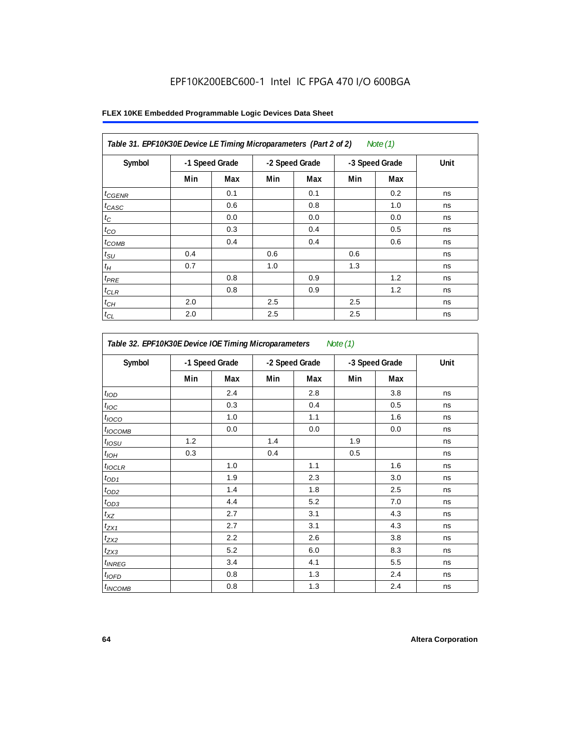| FLEX 10KE Embedded Programmable Logic Devices Data Sheet |  |
|----------------------------------------------------------|--|
|----------------------------------------------------------|--|

| Symbol       | -1 Speed Grade |     | -2 Speed Grade |     | -3 Speed Grade |     | Unit |
|--------------|----------------|-----|----------------|-----|----------------|-----|------|
|              | Min            | Max | Min            | Max | Min            | Max |      |
| $t_{GENR}$   |                | 0.1 |                | 0.1 |                | 0.2 | ns   |
| $t_{CASC}$   |                | 0.6 |                | 0.8 |                | 1.0 | ns   |
| $t_C$        |                | 0.0 |                | 0.0 |                | 0.0 | ns   |
| $t_{CO}$     |                | 0.3 |                | 0.4 |                | 0.5 | ns   |
| $t_{COMB}$   |                | 0.4 |                | 0.4 |                | 0.6 | ns   |
| $t_{\rm SU}$ | 0.4            |     | 0.6            |     | 0.6            |     | ns   |
| $t_H$        | 0.7            |     | 1.0            |     | 1.3            |     | ns   |
| $t_{PRE}$    |                | 0.8 |                | 0.9 |                | 1.2 | ns   |
| $t_{CLR}$    |                | 0.8 |                | 0.9 |                | 1.2 | ns   |
| $t_{CH}$     | 2.0            |     | 2.5            |     | 2.5            |     | ns   |
| $t_{CL}$     | 2.0            |     | 2.5            |     | 2.5            |     | ns   |

| Table 32. EPF10K30E Device IOE Timing Microparameters<br>Note (1) |                |     |     |                |     |                |      |  |  |
|-------------------------------------------------------------------|----------------|-----|-----|----------------|-----|----------------|------|--|--|
| Symbol                                                            | -1 Speed Grade |     |     | -2 Speed Grade |     | -3 Speed Grade | Unit |  |  |
|                                                                   | Min            | Max | Min | Max            | Min | Max            |      |  |  |
| t <sub>IOD</sub>                                                  |                | 2.4 |     | 2.8            |     | 3.8            | ns   |  |  |
| $t_{\text{loc}}$                                                  |                | 0.3 |     | 0.4            |     | 0.5            | ns   |  |  |
| $t_{IOCO}$                                                        |                | 1.0 |     | 1.1            |     | 1.6            | ns   |  |  |
| $t_{\text{IOCOMB}}$                                               |                | 0.0 |     | 0.0            |     | 0.0            | ns   |  |  |
| $t_{IOSU}$                                                        | 1.2            |     | 1.4 |                | 1.9 |                | ns   |  |  |
| $t_{I\underline{OH}}$                                             | 0.3            |     | 0.4 |                | 0.5 |                | ns   |  |  |
| $t_{IOCLR}$                                                       |                | 1.0 |     | 1.1            |     | 1.6            | ns   |  |  |
| $t_{OD1}$                                                         |                | 1.9 |     | 2.3            |     | 3.0            | ns   |  |  |
| $t_{OD2}$                                                         |                | 1.4 |     | 1.8            |     | 2.5            | ns   |  |  |
| $t_{OD3}$                                                         |                | 4.4 |     | 5.2            |     | 7.0            | ns   |  |  |
| $t_{XZ}$                                                          |                | 2.7 |     | 3.1            |     | 4.3            | ns   |  |  |
| $t_{ZX1}$                                                         |                | 2.7 |     | 3.1            |     | 4.3            | ns   |  |  |
| $t_{ZX2}$                                                         |                | 2.2 |     | 2.6            |     | 3.8            | ns   |  |  |
| $t_{ZX3}$                                                         |                | 5.2 |     | 6.0            |     | 8.3            | ns   |  |  |
| $t_{INREG}$                                                       |                | 3.4 |     | 4.1            |     | 5.5            | ns   |  |  |
| $t_{IOED}$                                                        |                | 0.8 |     | 1.3            |     | 2.4            | ns   |  |  |
| <i>t</i> <sub>INCOMB</sub>                                        |                | 0.8 |     | 1.3            |     | 2.4            | ns   |  |  |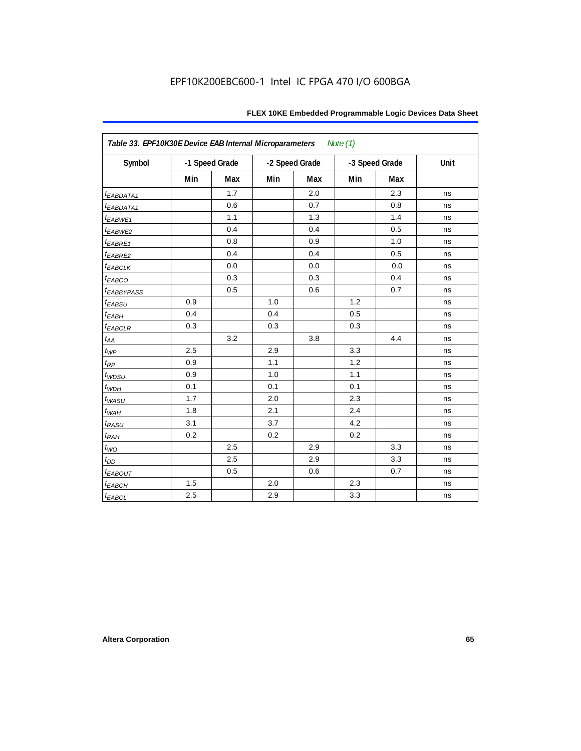| Table 33. EPF10K30E Device EAB Internal Microparameters<br>Note $(1)$ |     |                |     |                |     |                |      |  |  |
|-----------------------------------------------------------------------|-----|----------------|-----|----------------|-----|----------------|------|--|--|
| Symbol                                                                |     | -1 Speed Grade |     | -2 Speed Grade |     | -3 Speed Grade | Unit |  |  |
|                                                                       | Min | Max            | Min | Max            | Min | Max            |      |  |  |
| <i>EABDATA1</i>                                                       |     | 1.7            |     | 2.0            |     | 2.3            | ns   |  |  |
| $t_{EABDATA1}$                                                        |     | 0.6            |     | 0.7            |     | 0.8            | ns   |  |  |
| t <sub>EABWE1</sub>                                                   |     | 1.1            |     | 1.3            |     | 1.4            | ns   |  |  |
| t <sub>EABWE2</sub>                                                   |     | 0.4            |     | 0.4            |     | 0.5            | ns   |  |  |
| t <sub>EABRE1</sub>                                                   |     | 0.8            |     | 0.9            |     | 1.0            | ns   |  |  |
| $t_{EABRE2}$                                                          |     | 0.4            |     | 0.4            |     | 0.5            | ns   |  |  |
| <b><i>EABCLK</i></b>                                                  |     | 0.0            |     | 0.0            |     | 0.0            | ns   |  |  |
| t <sub>EABCO</sub>                                                    |     | 0.3            |     | 0.3            |     | 0.4            | ns   |  |  |
| <i><b>LEABBYPASS</b></i>                                              |     | 0.5            |     | 0.6            |     | 0.7            | ns   |  |  |
| t <sub>EABSU</sub>                                                    | 0.9 |                | 1.0 |                | 1.2 |                | ns   |  |  |
| $t_{EABH}$                                                            | 0.4 |                | 0.4 |                | 0.5 |                | ns   |  |  |
| $t_{EABCLR}$                                                          | 0.3 |                | 0.3 |                | 0.3 |                | ns   |  |  |
| $t_{AA}$                                                              |     | 3.2            |     | 3.8            |     | 4.4            | ns   |  |  |
| $t_{WP}$                                                              | 2.5 |                | 2.9 |                | 3.3 |                | ns   |  |  |
| $t_{\mathsf{RP}}$                                                     | 0.9 |                | 1.1 |                | 1.2 |                | ns   |  |  |
| $t_{WDSU}$                                                            | 0.9 |                | 1.0 |                | 1.1 |                | ns   |  |  |
| $t_{WDH}$                                                             | 0.1 |                | 0.1 |                | 0.1 |                | ns   |  |  |
| $t_{WASU}$                                                            | 1.7 |                | 2.0 |                | 2.3 |                | ns   |  |  |
| $t_{WAH}$                                                             | 1.8 |                | 2.1 |                | 2.4 |                | ns   |  |  |
| $t_{RASU}$                                                            | 3.1 |                | 3.7 |                | 4.2 |                | ns   |  |  |
| $t_{RAH}$                                                             | 0.2 |                | 0.2 |                | 0.2 |                | ns   |  |  |
| $t_{WO}$                                                              |     | 2.5            |     | 2.9            |     | 3.3            | ns   |  |  |
| $t_{DD}$                                                              |     | 2.5            |     | 2.9            |     | 3.3            | ns   |  |  |
| $t_{EABOUT}$                                                          |     | 0.5            |     | 0.6            |     | 0.7            | ns   |  |  |
| $t_{EABCH}$                                                           | 1.5 |                | 2.0 |                | 2.3 |                | ns   |  |  |
| $t_{EABCL}$                                                           | 2.5 |                | 2.9 |                | 3.3 |                | ns   |  |  |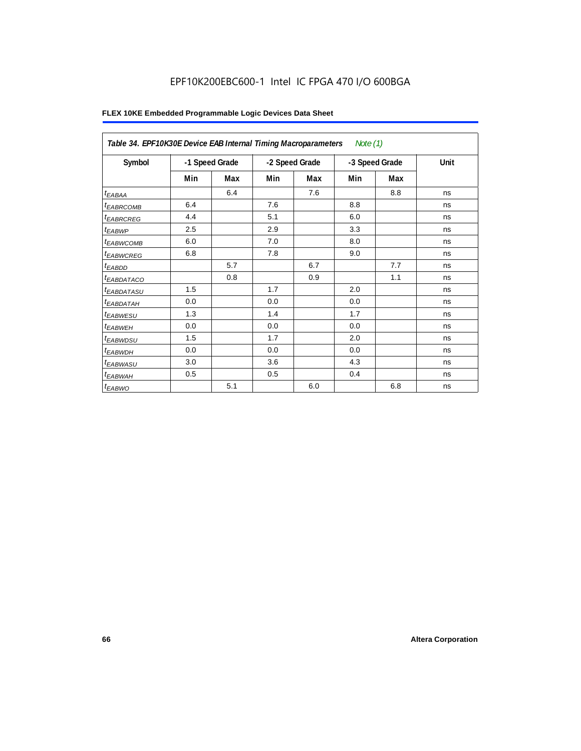# EPF10K200EBC600-1 Intel IC FPGA 470 I/O 600BGA

|                            | Table 34. EPF10K30E Device EAB Internal Timing Macroparameters<br>Note $(1)$ |     |                |     |                |     |      |  |  |  |  |
|----------------------------|------------------------------------------------------------------------------|-----|----------------|-----|----------------|-----|------|--|--|--|--|
| Symbol                     | -1 Speed Grade                                                               |     | -2 Speed Grade |     | -3 Speed Grade |     | Unit |  |  |  |  |
|                            | Min                                                                          | Max | Min            | Max | Min            | Max |      |  |  |  |  |
| $t_{EABA}$                 |                                                                              | 6.4 |                | 7.6 |                | 8.8 | ns   |  |  |  |  |
| <sup>t</sup> EABRCOMB      | 6.4                                                                          |     | 7.6            |     | 8.8            |     | ns   |  |  |  |  |
| <sup>t</sup> EABRCREG      | 4.4                                                                          |     | 5.1            |     | 6.0            |     | ns   |  |  |  |  |
| $t_{EABWP}$                | 2.5                                                                          |     | 2.9            |     | 3.3            |     | ns   |  |  |  |  |
| <sup>t</sup> EABWCOMB      | 6.0                                                                          |     | 7.0            |     | 8.0            |     | ns   |  |  |  |  |
| <sup>t</sup> EABWCREG      | 6.8                                                                          |     | 7.8            |     | 9.0            |     | ns   |  |  |  |  |
| $t_{EABDD}$                |                                                                              | 5.7 |                | 6.7 |                | 7.7 | ns   |  |  |  |  |
| t <sub>EABDATACO</sub>     |                                                                              | 0.8 |                | 0.9 |                | 1.1 | ns   |  |  |  |  |
| <sup>t</sup> EABDATASU     | 1.5                                                                          |     | 1.7            |     | 2.0            |     | ns   |  |  |  |  |
| t <sub>EABDATAH</sub>      | 0.0                                                                          |     | 0.0            |     | 0.0            |     | ns   |  |  |  |  |
| <i>t<sub>EABWESU</sub></i> | 1.3                                                                          |     | 1.4            |     | 1.7            |     | ns   |  |  |  |  |
| <sup>t</sup> EABWEH        | 0.0                                                                          |     | 0.0            |     | 0.0            |     | ns   |  |  |  |  |
| t <sub>EABWDSU</sub>       | 1.5                                                                          |     | 1.7            |     | 2.0            |     | ns   |  |  |  |  |
| <sup>t</sup> EABWDH        | 0.0                                                                          |     | 0.0            |     | 0.0            |     | ns   |  |  |  |  |
| t <sub>EABWASU</sub>       | 3.0                                                                          |     | 3.6            |     | 4.3            |     | ns   |  |  |  |  |
| <sup>t</sup> EABWAH        | 0.5                                                                          |     | 0.5            |     | 0.4            |     | ns   |  |  |  |  |
| $t_{EABWO}$                |                                                                              | 5.1 |                | 6.0 |                | 6.8 | ns   |  |  |  |  |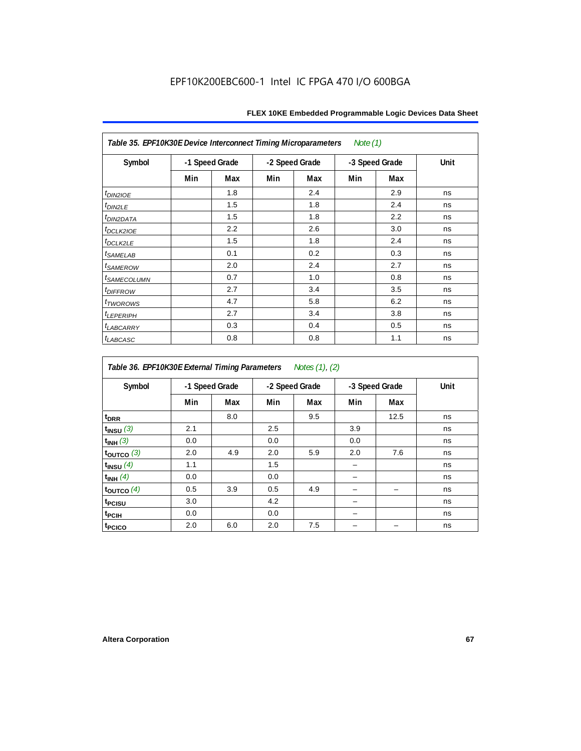| Table 35. EPF10K30E Device Interconnect Timing Microparameters<br>Note $(1)$ |                |     |                |     |                |     |      |  |  |  |
|------------------------------------------------------------------------------|----------------|-----|----------------|-----|----------------|-----|------|--|--|--|
| Symbol                                                                       | -1 Speed Grade |     | -2 Speed Grade |     | -3 Speed Grade |     | Unit |  |  |  |
|                                                                              | Min            | Max | Min            | Max | Min            | Max |      |  |  |  |
| $t_{DINZIOE}$                                                                |                | 1.8 |                | 2.4 |                | 2.9 | ns   |  |  |  |
| t <sub>DIN2LE</sub>                                                          |                | 1.5 |                | 1.8 |                | 2.4 | ns   |  |  |  |
| <sup>t</sup> DIN2DATA                                                        |                | 1.5 |                | 1.8 |                | 2.2 | ns   |  |  |  |
| t <sub>DCLK2IOE</sub>                                                        |                | 2.2 |                | 2.6 |                | 3.0 | ns   |  |  |  |
| $t_{DCLK2LE}$                                                                |                | 1.5 |                | 1.8 |                | 2.4 | ns   |  |  |  |
| <i>t</i> SAMELAB                                                             |                | 0.1 |                | 0.2 |                | 0.3 | ns   |  |  |  |
| <i>t<sub>SAMEROW</sub></i>                                                   |                | 2.0 |                | 2.4 |                | 2.7 | ns   |  |  |  |
| <i>t<sub>SAMECOLUMN</sub></i>                                                |                | 0.7 |                | 1.0 |                | 0.8 | ns   |  |  |  |
| <i>t<sub>DIFFROW</sub></i>                                                   |                | 2.7 |                | 3.4 |                | 3.5 | ns   |  |  |  |
| <i>t</i> <sub>TWOROWS</sub>                                                  |                | 4.7 |                | 5.8 |                | 6.2 | ns   |  |  |  |
| <b><i>LEPERIPH</i></b>                                                       |                | 2.7 |                | 3.4 |                | 3.8 | ns   |  |  |  |
| <b><i>t<sub>LABCARRY</sub></i></b>                                           |                | 0.3 |                | 0.4 |                | 0.5 | ns   |  |  |  |
| t <sub>LABCASC</sub>                                                         |                | 0.8 |                | 0.8 |                | 1.1 | ns   |  |  |  |

| Table 36. EPF10K30E External Timing Parameters Notes (1), (2) |                |     |     |                |     |                |      |  |  |  |
|---------------------------------------------------------------|----------------|-----|-----|----------------|-----|----------------|------|--|--|--|
| Symbol                                                        | -1 Speed Grade |     |     | -2 Speed Grade |     | -3 Speed Grade | Unit |  |  |  |
|                                                               | Min            | Max | Min | Max            | Min | Max            |      |  |  |  |
| $t_{DRR}$                                                     |                | 8.0 |     | 9.5            |     | 12.5           | ns   |  |  |  |
| $t_{INSU}$ (3)                                                | 2.1            |     | 2.5 |                | 3.9 |                | ns   |  |  |  |
| $t_{INH}$ (3)                                                 | 0.0            |     | 0.0 |                | 0.0 |                | ns   |  |  |  |
| $t_{OUTCO}$ (3)                                               | 2.0            | 4.9 | 2.0 | 5.9            | 2.0 | 7.6            | ns   |  |  |  |
| $t_{INSU}$ (4)                                                | 1.1            |     | 1.5 |                |     |                | ns   |  |  |  |
| $t_{INH}$ (4)                                                 | 0.0            |     | 0.0 |                |     |                | ns   |  |  |  |
| $t_{\text{OUTCO}}(4)$                                         | 0.5            | 3.9 | 0.5 | 4.9            |     |                | ns   |  |  |  |
| t <sub>PCISU</sub>                                            | 3.0            |     | 4.2 |                |     |                | ns   |  |  |  |
| t <sub>PCIH</sub>                                             | 0.0            |     | 0.0 |                |     |                | ns   |  |  |  |
| t <sub>PCICO</sub>                                            | 2.0            | 6.0 | 2.0 | 7.5            |     |                | ns   |  |  |  |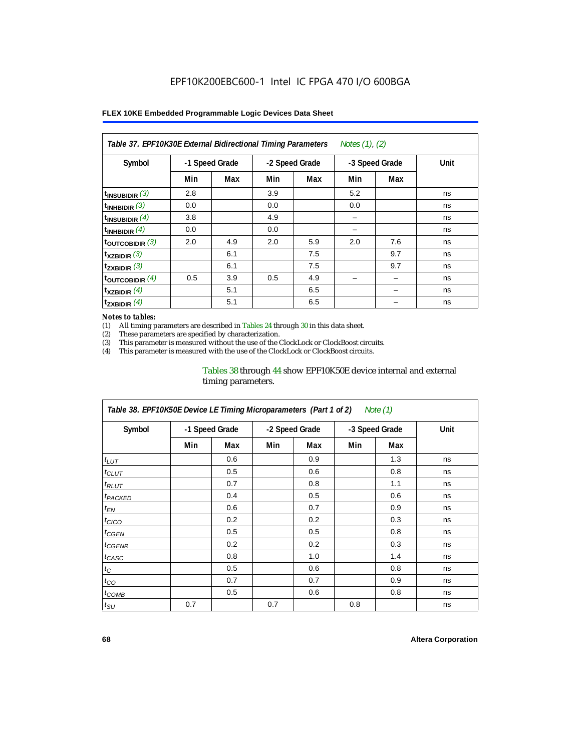| Notes (1), (2)<br>Table 37. EPF10K30E External Bidirectional Timing Parameters |                |     |     |                |     |                |      |  |  |  |
|--------------------------------------------------------------------------------|----------------|-----|-----|----------------|-----|----------------|------|--|--|--|
| Symbol                                                                         | -1 Speed Grade |     |     | -2 Speed Grade |     | -3 Speed Grade | Unit |  |  |  |
|                                                                                | Min            | Max | Min | Max            | Min | Max            |      |  |  |  |
| $t_{INSUBIDIR}$ (3)                                                            | 2.8            |     | 3.9 |                | 5.2 |                | ns   |  |  |  |
| $t_{INHBIDIR}$ (3)                                                             | 0.0            |     | 0.0 |                | 0.0 |                | ns   |  |  |  |
| t <sub>INSUBIDIR</sub> $(4)$                                                   | 3.8            |     | 4.9 |                | -   |                | ns   |  |  |  |
| $t_{INHBIDIR}$ (4)                                                             | 0.0            |     | 0.0 |                |     |                | ns   |  |  |  |
| toutcobidir $(3)$                                                              | 2.0            | 4.9 | 2.0 | 5.9            | 2.0 | 7.6            | ns   |  |  |  |
| $t_{XZBIDIR}$ (3)                                                              |                | 6.1 |     | 7.5            |     | 9.7            | ns   |  |  |  |
| $t_{ZXBIDIR}$ (3)                                                              |                | 6.1 |     | 7.5            |     | 9.7            | ns   |  |  |  |
| $t_{\text{OUTCOBIDIR}}$ (4)                                                    | 0.5            | 3.9 | 0.5 | 4.9            |     |                | ns   |  |  |  |
| $t_{XZBIDIR}$ (4)                                                              |                | 5.1 |     | 6.5            |     |                | ns   |  |  |  |
| $t_{ZXBIDIR}$ (4)                                                              |                | 5.1 |     | 6.5            |     |                | ns   |  |  |  |

#### *Notes to tables:*

(1) All timing parameters are described in Tables 24 through 30 in this data sheet.<br>(2) These parameters are specified by characterization.

(2) These parameters are specified by characterization.<br>(3) This parameter is measured without the use of the C

This parameter is measured without the use of the ClockLock or ClockBoost circuits.

(4) This parameter is measured with the use of the ClockLock or ClockBoost circuits.

### Tables 38 through 44 show EPF10K50E device internal and external timing parameters.

| Table 38. EPF10K50E Device LE Timing Microparameters (Part 1 of 2)<br>Note (1) |     |                |     |                |     |                |      |  |  |  |
|--------------------------------------------------------------------------------|-----|----------------|-----|----------------|-----|----------------|------|--|--|--|
| Symbol                                                                         |     | -1 Speed Grade |     | -2 Speed Grade |     | -3 Speed Grade | Unit |  |  |  |
|                                                                                | Min | Max            | Min | Max            | Min | Max            |      |  |  |  |
| $t_{LUT}$                                                                      |     | 0.6            |     | 0.9            |     | 1.3            | ns   |  |  |  |
| $t_{CLUT}$                                                                     |     | 0.5            |     | 0.6            |     | 0.8            | ns   |  |  |  |
| $t_{RLUT}$                                                                     |     | 0.7            |     | 0.8            |     | 1.1            | ns   |  |  |  |
| <b><i>t<sub>PACKED</sub></i></b>                                               |     | 0.4            |     | 0.5            |     | 0.6            | ns   |  |  |  |
| $t_{EN}$                                                                       |     | 0.6            |     | 0.7            |     | 0.9            | ns   |  |  |  |
| $t_{CICO}$                                                                     |     | 0.2            |     | 0.2            |     | 0.3            | ns   |  |  |  |
| $t_{GEN}$                                                                      |     | 0.5            |     | 0.5            |     | 0.8            | ns   |  |  |  |
| ${}^{t}$ CGENR                                                                 |     | 0.2            |     | 0.2            |     | 0.3            | ns   |  |  |  |
| t <sub>CASC</sub>                                                              |     | 0.8            |     | 1.0            |     | 1.4            | ns   |  |  |  |
| $t_C$                                                                          |     | 0.5            |     | 0.6            |     | 0.8            | ns   |  |  |  |
| $t_{CO}$                                                                       |     | 0.7            |     | 0.7            |     | 0.9            | ns   |  |  |  |
| $t_{\text{COMB}}$                                                              |     | 0.5            |     | 0.6            |     | 0.8            | ns   |  |  |  |
| $t_{\text{SU}}$                                                                | 0.7 |                | 0.7 |                | 0.8 |                | ns   |  |  |  |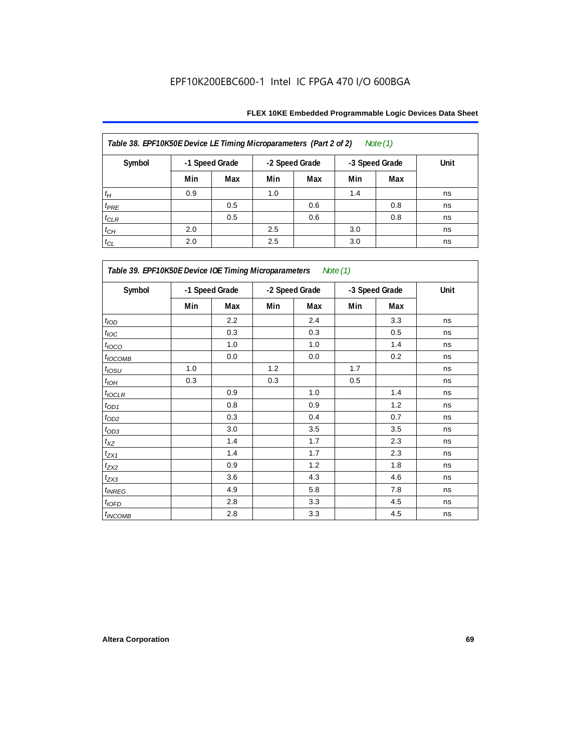| Table 38. EPF10K50E Device LE Timing Microparameters (Part 2 of 2)<br>Note $(1)$ |                |     |     |                |     |                |      |  |  |  |
|----------------------------------------------------------------------------------|----------------|-----|-----|----------------|-----|----------------|------|--|--|--|
| Symbol                                                                           | -1 Speed Grade |     |     | -2 Speed Grade |     | -3 Speed Grade | Unit |  |  |  |
|                                                                                  | Min            | Max | Min | Max            | Min | Max            |      |  |  |  |
| $t_H$                                                                            | 0.9            |     | 1.0 |                | 1.4 |                | ns   |  |  |  |
| $t_{PRE}$                                                                        |                | 0.5 |     | 0.6            |     | 0.8            | ns   |  |  |  |
| $t_{CLR}$                                                                        |                | 0.5 |     | 0.6            |     | 0.8            | ns   |  |  |  |
| $t_{CH}$                                                                         | 2.0            |     | 2.5 |                | 3.0 |                | ns   |  |  |  |
| $t_{CL}$                                                                         | 2.0            |     | 2.5 |                | 3.0 |                | ns   |  |  |  |

| Table 39. EPF10K50E Device IOE Timing Microparameters Note (1) |     |                |     |                |     |                |      |  |  |  |
|----------------------------------------------------------------|-----|----------------|-----|----------------|-----|----------------|------|--|--|--|
| Symbol                                                         |     | -1 Speed Grade |     | -2 Speed Grade |     | -3 Speed Grade | Unit |  |  |  |
|                                                                | Min | Max            | Min | Max            | Min | Max            |      |  |  |  |
| t <sub>IOD</sub>                                               |     | 2.2            |     | 2.4            |     | 3.3            | ns   |  |  |  |
| $t_{\text{IOC}}$                                               |     | 0.3            |     | 0.3            |     | 0.5            | ns   |  |  |  |
| $t_{IOCO}$                                                     |     | 1.0            |     | 1.0            |     | 1.4            | ns   |  |  |  |
| $t_{IOCOMB}$                                                   |     | 0.0            |     | 0.0            |     | 0.2            | ns   |  |  |  |
| $t_{IOSU}$                                                     | 1.0 |                | 1.2 |                | 1.7 |                | ns   |  |  |  |
| $t_{IOH}$                                                      | 0.3 |                | 0.3 |                | 0.5 |                | ns   |  |  |  |
| $t_{IOCLR}$                                                    |     | 0.9            |     | 1.0            |     | 1.4            | ns   |  |  |  |
| $t_{OD1}$                                                      |     | 0.8            |     | 0.9            |     | 1.2            | ns   |  |  |  |
| $t_{OD2}$                                                      |     | 0.3            |     | 0.4            |     | 0.7            | ns   |  |  |  |
| $t_{OD3}$                                                      |     | 3.0            |     | 3.5            |     | 3.5            | ns   |  |  |  |
| $t_{\mathsf{XZ}}$                                              |     | 1.4            |     | 1.7            |     | 2.3            | ns   |  |  |  |
| $t_{ZX1}$                                                      |     | 1.4            |     | 1.7            |     | 2.3            | ns   |  |  |  |
| $t_{ZX2}$                                                      |     | 0.9            |     | 1.2            |     | 1.8            | ns   |  |  |  |
| $t_{ZX3}$                                                      |     | 3.6            |     | 4.3            |     | 4.6            | ns   |  |  |  |
| $t_{INREG}$                                                    |     | 4.9            |     | 5.8            |     | 7.8            | ns   |  |  |  |
| $t_{IOFD}$                                                     |     | 2.8            |     | 3.3            |     | 4.5            | ns   |  |  |  |
| $t_{INCOMB}$                                                   |     | 2.8            |     | 3.3            |     | 4.5            | ns   |  |  |  |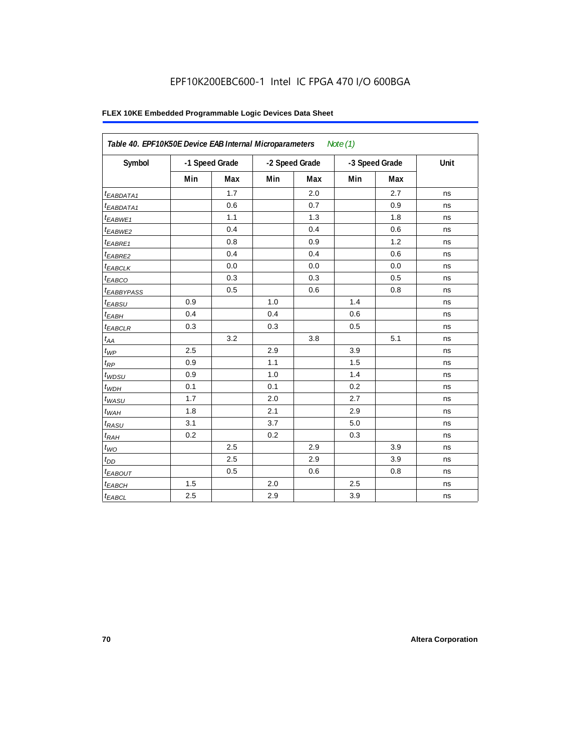| Symbol                 |         | -1 Speed Grade |     | -2 Speed Grade |     | -3 Speed Grade | Unit |
|------------------------|---------|----------------|-----|----------------|-----|----------------|------|
|                        | Min     | Max            | Min | Max            | Min | Max            |      |
| $t_{EABDATA1}$         |         | 1.7            |     | 2.0            |     | 2.7            | ns   |
| $t_{EABDATA1}$         |         | 0.6            |     | 0.7            |     | 0.9            | ns   |
| t <sub>EABWE1</sub>    |         | 1.1            |     | 1.3            |     | 1.8            | ns   |
| t <sub>EABWE2</sub>    |         | 0.4            |     | 0.4            |     | 0.6            | ns   |
| t <sub>EABRE1</sub>    |         | 0.8            |     | 0.9            |     | 1.2            | ns   |
| $t_{EABRE2}$           |         | 0.4            |     | 0.4            |     | 0.6            | ns   |
| $t_{EABCLK}$           |         | 0.0            |     | 0.0            |     | 0.0            | ns   |
| $t_{EABCO}$            |         | 0.3            |     | 0.3            |     | 0.5            | ns   |
| t <sub>EABBYPASS</sub> |         | 0.5            |     | 0.6            |     | 0.8            | ns   |
| t <sub>EABSU</sub>     | 0.9     |                | 1.0 |                | 1.4 |                | ns   |
| $t_{EABH}$             | 0.4     |                | 0.4 |                | 0.6 |                | ns   |
| $t_{EABCLR}$           | 0.3     |                | 0.3 |                | 0.5 |                | ns   |
| $t_{AA}$               |         | 3.2            |     | 3.8            |     | 5.1            | ns   |
| $t_{\mathit{WP}}$      | 2.5     |                | 2.9 |                | 3.9 |                | ns   |
| $t_{\mathsf{RP}}$      | 0.9     |                | 1.1 |                | 1.5 |                | ns   |
| $t_{W\!D\!S\!U}$       | 0.9     |                | 1.0 |                | 1.4 |                | ns   |
| $t_{WDH}$              | 0.1     |                | 0.1 |                | 0.2 |                | ns   |
| $t_{WASU}$             | 1.7     |                | 2.0 |                | 2.7 |                | ns   |
| $t_{W\!AH}$            | 1.8     |                | 2.1 |                | 2.9 |                | ns   |
| $t_{RASU}$             | 3.1     |                | 3.7 |                | 5.0 |                | ns   |
| $t_{RAH}$              | 0.2     |                | 0.2 |                | 0.3 |                | ns   |
| $t_{WO}$               |         | 2.5            |     | 2.9            |     | 3.9            | ns   |
| $t_{DD}$               |         | 2.5            |     | 2.9            |     | 3.9            | ns   |
| t <sub>EABOUT</sub>    |         | 0.5            |     | 0.6            |     | 0.8            | ns   |
| $t_{EABCH}$            | $1.5$   |                | 2.0 |                | 2.5 |                | ns   |
| $t_{EABCL}$            | $2.5\,$ |                | 2.9 |                | 3.9 |                | ns   |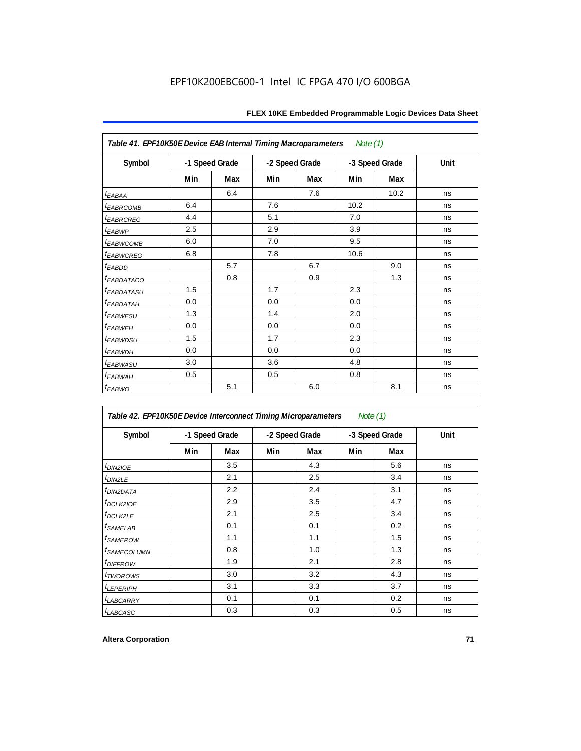| Table 41. EPF10K50E Device EAB Internal Timing Macroparameters |                |     |                |     | Note (1)       |      |      |
|----------------------------------------------------------------|----------------|-----|----------------|-----|----------------|------|------|
| Symbol                                                         | -1 Speed Grade |     | -2 Speed Grade |     | -3 Speed Grade |      | Unit |
|                                                                | Min            | Max | Min            | Max | Min            | Max  |      |
| $t_{EABA}$                                                     |                | 6.4 |                | 7.6 |                | 10.2 | ns   |
| <i>EABRCOMB</i>                                                | 6.4            |     | 7.6            |     | 10.2           |      | ns   |
| <sup>t</sup> EABRCREG                                          | 4.4            |     | 5.1            |     | 7.0            |      | ns   |
| <sup>t</sup> EABWP                                             | 2.5            |     | 2.9            |     | 3.9            |      | ns   |
| <sup>t</sup> EABWCOMB                                          | 6.0            |     | 7.0            |     | 9.5            |      | ns   |
| t <sub>EABWCREG</sub>                                          | 6.8            |     | 7.8            |     | 10.6           |      | ns   |
| t <sub>EABDD</sub>                                             |                | 5.7 |                | 6.7 |                | 9.0  | ns   |
| <sup>t</sup> EABDATACO                                         |                | 0.8 |                | 0.9 |                | 1.3  | ns   |
| <sup>t</sup> EABDATASU                                         | 1.5            |     | 1.7            |     | 2.3            |      | ns   |
| <sup>t</sup> EABDATAH                                          | 0.0            |     | 0.0            |     | 0.0            |      | ns   |
| <sup>t</sup> EABWESU                                           | 1.3            |     | 1.4            |     | 2.0            |      | ns   |
| <sup>t</sup> EABWEH                                            | 0.0            |     | 0.0            |     | 0.0            |      | ns   |
| <sup>t</sup> EABWDSU                                           | 1.5            |     | 1.7            |     | 2.3            |      | ns   |
| <sup>t</sup> EABWDH                                            | 0.0            |     | 0.0            |     | 0.0            |      | ns   |
| <sup>t</sup> EABWASU                                           | 3.0            |     | 3.6            |     | 4.8            |      | ns   |
| t <sub>EABWAH</sub>                                            | 0.5            |     | 0.5            |     | 0.8            |      | ns   |
| $t_{EABWO}$                                                    |                | 5.1 |                | 6.0 |                | 8.1  | ns   |

| Table 42. EPF10K50E Device Interconnect Timing Microparameters<br>Note $(1)$ |                |     |                |     |                |     |      |
|------------------------------------------------------------------------------|----------------|-----|----------------|-----|----------------|-----|------|
| Symbol                                                                       | -1 Speed Grade |     | -2 Speed Grade |     | -3 Speed Grade |     | Unit |
|                                                                              | Min            | Max | Min            | Max | Min            | Max |      |
| $t_{DIN2IOE}$                                                                |                | 3.5 |                | 4.3 |                | 5.6 | ns   |
| t <sub>DIN2LE</sub>                                                          |                | 2.1 |                | 2.5 |                | 3.4 | ns   |
| <sup>t</sup> DIN2DATA                                                        |                | 2.2 |                | 2.4 |                | 3.1 | ns   |
| <sup>t</sup> DCLK2IOE                                                        |                | 2.9 |                | 3.5 |                | 4.7 | ns   |
| t <sub>DCLK2LE</sub>                                                         |                | 2.1 |                | 2.5 |                | 3.4 | ns   |
| <i>t</i> SAMELAB                                                             |                | 0.1 |                | 0.1 |                | 0.2 | ns   |
| <i>t</i> SAMEROW                                                             |                | 1.1 |                | 1.1 |                | 1.5 | ns   |
| <i><b>ISAMECOLUMN</b></i>                                                    |                | 0.8 |                | 1.0 |                | 1.3 | ns   |
| <i>t<sub>DIFFROW</sub></i>                                                   |                | 1.9 |                | 2.1 |                | 2.8 | ns   |
| <i>t</i> TWOROWS                                                             |                | 3.0 |                | 3.2 |                | 4.3 | ns   |
| <b><i>LEPERIPH</i></b>                                                       |                | 3.1 |                | 3.3 |                | 3.7 | ns   |
| <b>LABCARRY</b>                                                              |                | 0.1 |                | 0.1 |                | 0.2 | ns   |
| t <sub>LABCASC</sub>                                                         |                | 0.3 |                | 0.3 |                | 0.5 | ns   |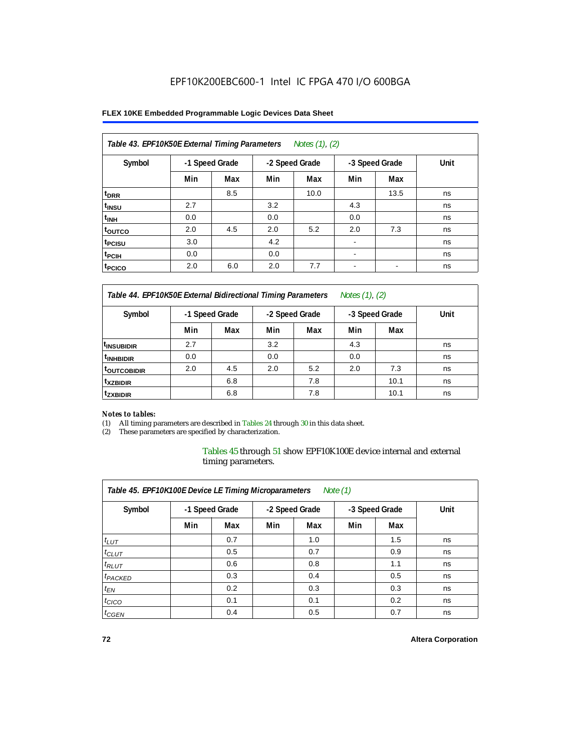### **FLEX 10KE Embedded Programmable Logic Devices Data Sheet**

| Table 43. EPF10K50E External Timing Parameters<br>Notes $(1)$ , $(2)$ |                |     |                |      |                          |      |      |  |  |  |
|-----------------------------------------------------------------------|----------------|-----|----------------|------|--------------------------|------|------|--|--|--|
| Symbol                                                                | -1 Speed Grade |     | -2 Speed Grade |      | -3 Speed Grade           |      | Unit |  |  |  |
|                                                                       | Min            | Max | Min            | Max  | Min                      | Max  |      |  |  |  |
| t <sub>DRR</sub>                                                      |                | 8.5 |                | 10.0 |                          | 13.5 | ns   |  |  |  |
| t <sub>insu</sub>                                                     | 2.7            |     | 3.2            |      | 4.3                      |      | ns   |  |  |  |
| $t_{\rm INH}$                                                         | 0.0            |     | 0.0            |      | 0.0                      |      | ns   |  |  |  |
| <sup>t</sup> outco                                                    | 2.0            | 4.5 | 2.0            | 5.2  | 2.0                      | 7.3  | ns   |  |  |  |
| t <sub>PCISU</sub>                                                    | 3.0            |     | 4.2            |      | $\blacksquare$           |      | ns   |  |  |  |
| <sup>t</sup> PCIH                                                     | 0.0            |     | 0.0            |      | $\blacksquare$           |      | ns   |  |  |  |
| t <sub>PCICO</sub>                                                    | 2.0            | 6.0 | 2.0            | 7.7  | $\overline{\phantom{a}}$ | -    | ns   |  |  |  |

*Table 44. EPF10K50E External Bidirectional Timing Parameters Notes (1), (2)*

| Symbol                   | -1 Speed Grade |     | -2 Speed Grade |     | -3 Speed Grade |      | Unit |  |  |  |
|--------------------------|----------------|-----|----------------|-----|----------------|------|------|--|--|--|
|                          | Min            | Max | Min            | Max | Min            | Max  |      |  |  |  |
| I <sup>t</sup> insubidir | 2.7            |     | 3.2            |     | 4.3            |      | ns   |  |  |  |
| <sup>t</sup> INHBIDIR    | 0.0            |     | 0.0            |     | 0.0            |      | ns   |  |  |  |
| <b>LOUTCOBIDIR</b>       | 2.0            | 4.5 | 2.0            | 5.2 | 2.0            | 7.3  | ns   |  |  |  |
| <sup>t</sup> xzbidir     |                | 6.8 |                | 7.8 |                | 10.1 | ns   |  |  |  |
| <sup>t</sup> zxbidir     |                | 6.8 |                | 7.8 |                | 10.1 | ns   |  |  |  |

### *Notes to tables:*

(1) All timing parameters are described in Tables 24 through 30 in this data sheet.

(2) These parameters are specified by characterization.

Tables 45 through 51 show EPF10K100E device internal and external timing parameters.

| Table 45. EPF10K100E Device LE Timing Microparameters<br>Note $(1)$ |                |     |     |                |     |                |      |  |  |  |
|---------------------------------------------------------------------|----------------|-----|-----|----------------|-----|----------------|------|--|--|--|
| Symbol                                                              | -1 Speed Grade |     |     | -2 Speed Grade |     | -3 Speed Grade | Unit |  |  |  |
|                                                                     | Min            | Max | Min | Max            | Min | Max            |      |  |  |  |
| $t_{LUT}$                                                           |                | 0.7 |     | 1.0            |     | 1.5            | ns   |  |  |  |
| $t_{CLUT}$                                                          |                | 0.5 |     | 0.7            |     | 0.9            | ns   |  |  |  |
| $t_{RLUT}$                                                          |                | 0.6 |     | 0.8            |     | 1.1            | ns   |  |  |  |
| <sup>t</sup> PACKED                                                 |                | 0.3 |     | 0.4            |     | 0.5            | ns   |  |  |  |
| $t_{EN}$                                                            |                | 0.2 |     | 0.3            |     | 0.3            | ns   |  |  |  |
| $t_{CICO}$                                                          |                | 0.1 |     | 0.1            |     | 0.2            | ns   |  |  |  |
| $t_{GEN}$                                                           |                | 0.4 |     | 0.5            |     | 0.7            | ns   |  |  |  |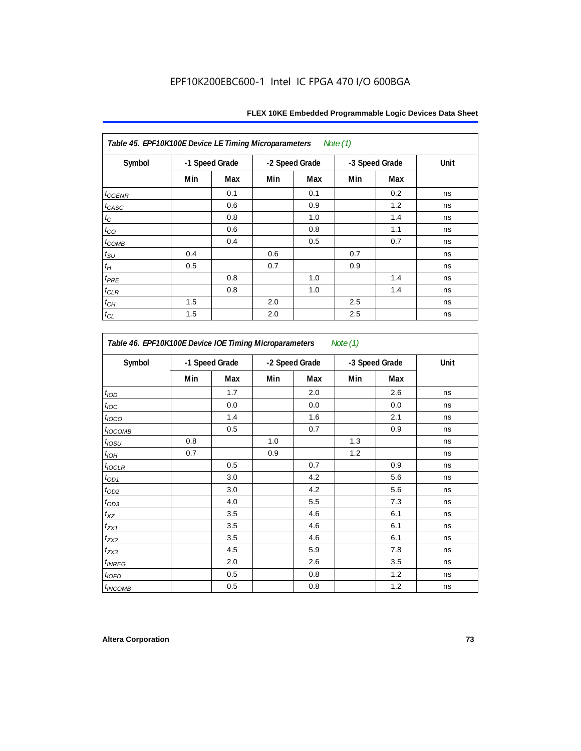| Table 45. EPF10K100E Device LE Timing Microparameters<br>Note (1) |                |     |     |                |     |                |      |  |  |  |
|-------------------------------------------------------------------|----------------|-----|-----|----------------|-----|----------------|------|--|--|--|
| Symbol                                                            | -1 Speed Grade |     |     | -2 Speed Grade |     | -3 Speed Grade | Unit |  |  |  |
|                                                                   | Min            | Max | Min | Max            | Min | Max            |      |  |  |  |
| $t_{CGENR}$                                                       |                | 0.1 |     | 0.1            |     | 0.2            | ns   |  |  |  |
| $t_{CASC}$                                                        |                | 0.6 |     | 0.9            |     | 1.2            | ns   |  |  |  |
| $t_{\rm C}$                                                       |                | 0.8 |     | 1.0            |     | 1.4            | ns   |  |  |  |
| $t_{CO}$                                                          |                | 0.6 |     | 0.8            |     | 1.1            | ns   |  |  |  |
| $t_{COMB}$                                                        |                | 0.4 |     | 0.5            |     | 0.7            | ns   |  |  |  |
| $t_{\text{SU}}$                                                   | 0.4            |     | 0.6 |                | 0.7 |                | ns   |  |  |  |
| $t_H\,$                                                           | 0.5            |     | 0.7 |                | 0.9 |                | ns   |  |  |  |
| $t_{PRE}$                                                         |                | 0.8 |     | 1.0            |     | 1.4            | ns   |  |  |  |
| $t_{CLR}$                                                         |                | 0.8 |     | 1.0            |     | 1.4            | ns   |  |  |  |
| $t_{CH}$                                                          | 1.5            |     | 2.0 |                | 2.5 |                | ns   |  |  |  |
| $t_{CL}$                                                          | 1.5            |     | 2.0 |                | 2.5 |                | ns   |  |  |  |

| Symbol                   |     | -1 Speed Grade |     | -2 Speed Grade | -3 Speed Grade |     | Unit |
|--------------------------|-----|----------------|-----|----------------|----------------|-----|------|
|                          | Min | Max            | Min | Max            | Min            | Max |      |
| t <sub>IOD</sub>         |     | 1.7            |     | 2.0            |                | 2.6 | ns   |
| $t_{\text{loc}}$         |     | 0.0            |     | 0.0            |                | 0.0 | ns   |
| $t_{\text{IOCO}}$        |     | 1.4            |     | 1.6            |                | 2.1 | ns   |
| t <sub>IOCOMB</sub>      |     | 0.5            |     | 0.7            |                | 0.9 | ns   |
| $t_{IOSU}$               | 0.8 |                | 1.0 |                | 1.3            |     | ns   |
| $t_{IOH}$                | 0.7 |                | 0.9 |                | 1.2            |     | ns   |
| $t_{IOCLR}$              |     | 0.5            |     | 0.7            |                | 0.9 | ns   |
| $t_{OD1}$                |     | 3.0            |     | 4.2            |                | 5.6 | ns   |
| $t_{OD2}$                |     | 3.0            |     | 4.2            |                | 5.6 | ns   |
| $t_{OD3}$                |     | 4.0            |     | 5.5            |                | 7.3 | ns   |
| $t_{XZ}$                 |     | 3.5            |     | 4.6            |                | 6.1 | ns   |
| $t_{ZX1}$                |     | 3.5            |     | 4.6            |                | 6.1 | ns   |
| $t_{ZX2}$                |     | 3.5            |     | 4.6            |                | 6.1 | ns   |
| $t_{ZX3}$                |     | 4.5            |     | 5.9            |                | 7.8 | ns   |
| <i>t<sub>INREG</sub></i> |     | 2.0            |     | 2.6            |                | 3.5 | ns   |
| $t_{IOED}$               |     | 0.5            |     | 0.8            |                | 1.2 | ns   |
| <sup>t</sup> INCOMB      |     | 0.5            |     | 0.8            |                | 1.2 | ns   |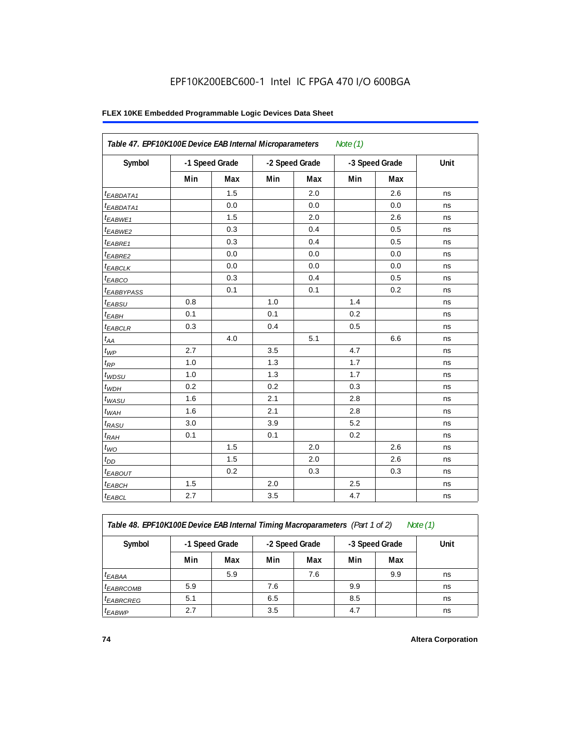| Table 47. EPF10K100E Device EAB Internal Microparameters |     |                |                |     | Note $(1)$ |                |             |
|----------------------------------------------------------|-----|----------------|----------------|-----|------------|----------------|-------------|
| Symbol                                                   |     | -1 Speed Grade | -2 Speed Grade |     |            | -3 Speed Grade | <b>Unit</b> |
|                                                          | Min | <b>Max</b>     | Min            | Max | Min        | Max            |             |
| <sup>t</sup> EABDATA1                                    |     | 1.5            |                | 2.0 |            | 2.6            | ns          |
| <sup>t</sup> EABDATA1                                    |     | 0.0            |                | 0.0 |            | 0.0            | ns          |
| t <sub>EABWE1</sub>                                      |     | 1.5            |                | 2.0 |            | 2.6            | ns          |
| <sup>t</sup> EABWE2                                      |     | 0.3            |                | 0.4 |            | 0.5            | ns          |
| t <sub>EABRE1</sub>                                      |     | 0.3            |                | 0.4 |            | 0.5            | ns          |
| $t_{EABRE2}$                                             |     | 0.0            |                | 0.0 |            | 0.0            | ns          |
| <sup>t</sup> EABCLK                                      |     | 0.0            |                | 0.0 |            | 0.0            | ns          |
| t <sub>EABCO</sub>                                       |     | 0.3            |                | 0.4 |            | 0.5            | ns          |
| <b><i>t<sub>EABBYPASS</sub></i></b>                      |     | 0.1            |                | 0.1 |            | 0.2            | ns          |
| t <sub>EABSU</sub>                                       | 0.8 |                | 1.0            |     | 1.4        |                | ns          |
| $t_{EABH}$                                               | 0.1 |                | 0.1            |     | 0.2        |                | ns          |
| $t_{EABCLR}$                                             | 0.3 |                | 0.4            |     | 0.5        |                | ns          |
| $t_{AA}$                                                 |     | 4.0            |                | 5.1 |            | 6.6            | ns          |
| $t_{WP}$                                                 | 2.7 |                | 3.5            |     | 4.7        |                | ns          |
| $t_{RP}$                                                 | 1.0 |                | 1.3            |     | 1.7        |                | ns          |
| $t_{WDSU}$                                               | 1.0 |                | 1.3            |     | 1.7        |                | ns          |
| $t_{WDH}$                                                | 0.2 |                | 0.2            |     | 0.3        |                | ns          |
| $t_{WASU}$                                               | 1.6 |                | 2.1            |     | 2.8        |                | ns          |
| $t_{WAH}$                                                | 1.6 |                | 2.1            |     | 2.8        |                | ns          |
| $t_{RASU}$                                               | 3.0 |                | 3.9            |     | 5.2        |                | ns          |
| $t_{RAH}$                                                | 0.1 |                | 0.1            |     | 0.2        |                | ns          |
| $t_{WO}$                                                 |     | 1.5            |                | 2.0 |            | 2.6            | ns          |
| $t_{DD}$                                                 |     | 1.5            |                | 2.0 |            | 2.6            | ns          |
| t <sub>EABOUT</sub>                                      |     | 0.2            |                | 0.3 |            | 0.3            | ns          |
| t <sub>EABCH</sub>                                       | 1.5 |                | 2.0            |     | 2.5        |                | ns          |
| $t_{EABCL}$                                              | 2.7 |                | 3.5            |     | 4.7        |                | ns          |

Table 48. EPF10K100E Device EAB Internal Timing Macroparameters (Part 1 of 2)

| Note (1 |  |
|---------|--|
|         |  |

| Symbol                | -1 Speed Grade |     | -2 Speed Grade |     | -3 Speed Grade |     | Unit |
|-----------------------|----------------|-----|----------------|-----|----------------|-----|------|
|                       | Min            | Max | Min            | Max | Min            | Max |      |
| $t_{EABA}$            |                | 5.9 |                | 7.6 |                | 9.9 | ns   |
| <sup>t</sup> EABRCOMB | 5.9            |     | 7.6            |     | 9.9            |     | ns   |
| <sup>I</sup> EABRCREG | 5.1            |     | 6.5            |     | 8.5            |     | ns   |
| <sup>t</sup> EABWP    | 2.7            |     | 3.5            |     | 4.7            |     | ns   |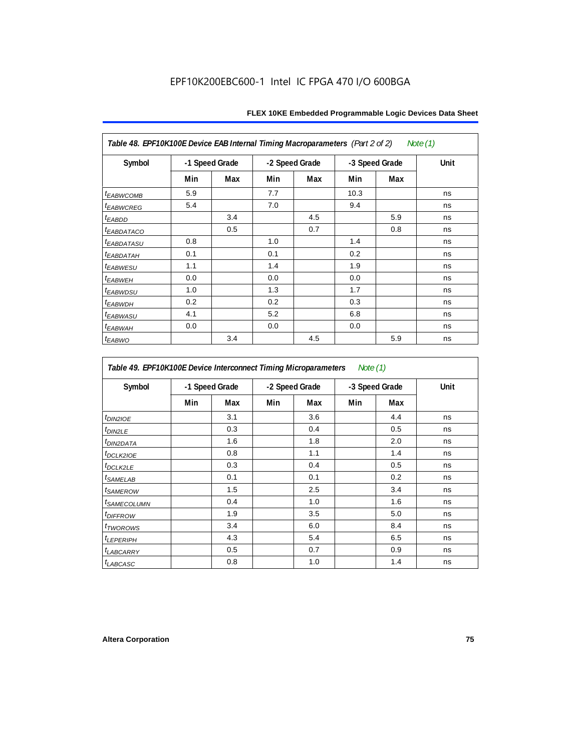| Table 48. EPF10K100E Device EAB Internal Timing Macroparameters (Part 2 of 2)<br>Note (1) |                |     |     |                |      |                |             |  |  |  |
|-------------------------------------------------------------------------------------------|----------------|-----|-----|----------------|------|----------------|-------------|--|--|--|
| Symbol                                                                                    | -1 Speed Grade |     |     | -2 Speed Grade |      | -3 Speed Grade | <b>Unit</b> |  |  |  |
|                                                                                           | Min            | Max | Min | Max            | Min  | Max            |             |  |  |  |
| <b>t</b> EABWCOMB                                                                         | 5.9            |     | 7.7 |                | 10.3 |                | ns          |  |  |  |
| <sup>t</sup> EABWCREG                                                                     | 5.4            |     | 7.0 |                | 9.4  |                | ns          |  |  |  |
| <sup>t</sup> EABDD                                                                        |                | 3.4 |     | 4.5            |      | 5.9            | ns          |  |  |  |
| <i>EABDATACO</i>                                                                          |                | 0.5 |     | 0.7            |      | 0.8            | ns          |  |  |  |
| <sup>t</sup> EABDATASU                                                                    | 0.8            |     | 1.0 |                | 1.4  |                | ns          |  |  |  |
| <sup>t</sup> EABDATAH                                                                     | 0.1            |     | 0.1 |                | 0.2  |                | ns          |  |  |  |
| <sup>t</sup> EABWESU                                                                      | 1.1            |     | 1.4 |                | 1.9  |                | ns          |  |  |  |
| <sup>t</sup> EABWEH                                                                       | 0.0            |     | 0.0 |                | 0.0  |                | ns          |  |  |  |
| t <sub>EABWDSU</sub>                                                                      | 1.0            |     | 1.3 |                | 1.7  |                | ns          |  |  |  |
| <sup>t</sup> EABWDH                                                                       | 0.2            |     | 0.2 |                | 0.3  |                | ns          |  |  |  |
| <sup>t</sup> EABWASU                                                                      | 4.1            |     | 5.2 |                | 6.8  |                | ns          |  |  |  |
| <sup>t</sup> ЕАВWАН                                                                       | 0.0            |     | 0.0 |                | 0.0  |                | ns          |  |  |  |
| t <sub>EABWO</sub>                                                                        |                | 3.4 |     | 4.5            |      | 5.9            | ns          |  |  |  |

*Table 49. EPF10K100E Device Interconnect Timing Microparameters Note (1)*

| Symbol                        |     | -1 Speed Grade |     | -2 Speed Grade | -3 Speed Grade |     | Unit |
|-------------------------------|-----|----------------|-----|----------------|----------------|-----|------|
|                               | Min | Max            | Min | Max            | Min            | Max |      |
| $tD$ IN2IOE                   |     | 3.1            |     | 3.6            |                | 4.4 | ns   |
| t <sub>DIN2LE</sub>           |     | 0.3            |     | 0.4            |                | 0.5 | ns   |
| <sup>t</sup> DIN2DATA         |     | 1.6            |     | 1.8            |                | 2.0 | ns   |
| $t_{DCLK2IOE}$                |     | 0.8            |     | 1.1            |                | 1.4 | ns   |
| $t$ DCLK2LE                   |     | 0.3            |     | 0.4            |                | 0.5 | ns   |
| <sup>t</sup> SAMELAB          |     | 0.1            |     | 0.1            |                | 0.2 | ns   |
| <i>t</i> SAMEROW              |     | 1.5            |     | 2.5            |                | 3.4 | ns   |
| <i>t<sub>SAMECOLUMN</sub></i> |     | 0.4            |     | 1.0            |                | 1.6 | ns   |
| <i>t<sub>DIFFROW</sub></i>    |     | 1.9            |     | 3.5            |                | 5.0 | ns   |
| <i>t</i> TWOROWS              |     | 3.4            |     | 6.0            |                | 8.4 | ns   |
| <b>LEPERIPH</b>               |     | 4.3            |     | 5.4            |                | 6.5 | ns   |
| t <sub>LABCARRY</sub>         |     | 0.5            |     | 0.7            |                | 0.9 | ns   |
| $t_{LABCASC}$                 |     | 0.8            |     | 1.0            |                | 1.4 | ns   |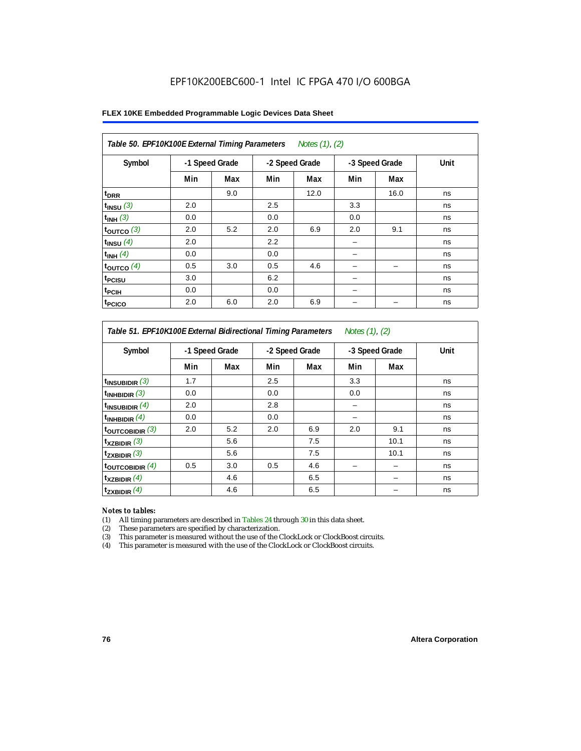| Table 50. EPF10K100E External Timing Parameters Notes (1), (2) |                |     |     |                |     |                |      |  |  |  |
|----------------------------------------------------------------|----------------|-----|-----|----------------|-----|----------------|------|--|--|--|
| Symbol                                                         | -1 Speed Grade |     |     | -2 Speed Grade |     | -3 Speed Grade | Unit |  |  |  |
|                                                                | Min            | Max | Min | Max            | Min | Max            |      |  |  |  |
| t <sub>DRR</sub>                                               |                | 9.0 |     | 12.0           |     | 16.0           | ns   |  |  |  |
| $t$ <sub>INSU</sub> $(3)$                                      | 2.0            |     | 2.5 |                | 3.3 |                | ns   |  |  |  |
| $t_{INH}$ (3)                                                  | 0.0            |     | 0.0 |                | 0.0 |                | ns   |  |  |  |
| $t_{OUTCO}$ (3)                                                | 2.0            | 5.2 | 2.0 | 6.9            | 2.0 | 9.1            | ns   |  |  |  |
| $t_{INSU}$ (4)                                                 | 2.0            |     | 2.2 |                |     |                | ns   |  |  |  |
| $t_{INH}$ (4)                                                  | 0.0            |     | 0.0 |                |     |                | ns   |  |  |  |
| $t_{OUTCO}$ (4)                                                | 0.5            | 3.0 | 0.5 | 4.6            |     |                | ns   |  |  |  |
| t <sub>PCISU</sub>                                             | 3.0            |     | 6.2 |                |     |                | ns   |  |  |  |
| t <sub>PCIH</sub>                                              | 0.0            |     | 0.0 |                | -   |                | ns   |  |  |  |
| <sup>t</sup> PCICO                                             | 2.0            | 6.0 | 2.0 | 6.9            |     |                | ns   |  |  |  |

*Table 51. EPF10K100E External Bidirectional Timing Parameters Notes (1), (2)*

| Symbol                      |     | -1 Speed Grade |     | -2 Speed Grade |     | -3 Speed Grade | Unit |
|-----------------------------|-----|----------------|-----|----------------|-----|----------------|------|
|                             | Min | Max            | Min | Max            | Min | Max            |      |
| $t_{INSUBIDIR}$ (3)         | 1.7 |                | 2.5 |                | 3.3 |                | ns   |
| $t_{INHBIDIR}$ (3)          | 0.0 |                | 0.0 |                | 0.0 |                | ns   |
| $t_{INSUBIDIR}(4)$          | 2.0 |                | 2.8 |                |     |                | ns   |
| $t_{INHBIDIR}$ $(4)$        | 0.0 |                | 0.0 |                |     |                | ns   |
| $t_{\text{OUTCOBIDIR}}$ (3) | 2.0 | 5.2            | 2.0 | 6.9            | 2.0 | 9.1            | ns   |
| $t_{XZBIDIR}$ (3)           |     | 5.6            |     | 7.5            |     | 10.1           | ns   |
| $t_{ZXBIDIR}$ (3)           |     | 5.6            |     | 7.5            |     | 10.1           | ns   |
| $t_{\text{OUTCOBIDIR}}$ (4) | 0.5 | 3.0            | 0.5 | 4.6            |     |                | ns   |
| $t_{XZBIDIR}$ (4)           |     | 4.6            |     | 6.5            |     |                | ns   |
| $t_{ZXBIDIR}$ (4)           |     | 4.6            |     | 6.5            |     |                | ns   |

### *Notes to tables:*

(1) All timing parameters are described in Tables 24 through 30 in this data sheet.

(2) These parameters are specified by characterization.

(3) This parameter is measured without the use of the ClockLock or ClockBoost circuits.

(4) This parameter is measured with the use of the ClockLock or ClockBoost circuits.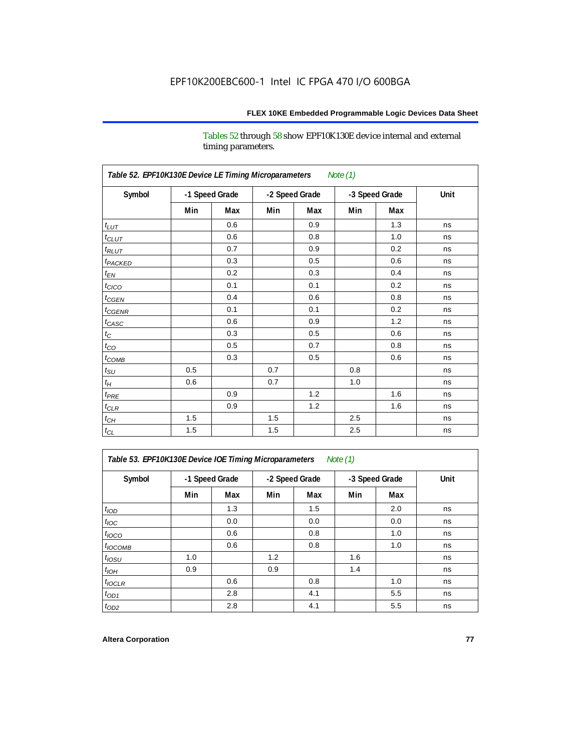Tables 52 through 58 show EPF10K130E device internal and external timing parameters.

| Table 52. EPF10K130E Device LE Timing Microparameters<br>Note (1) |     |                |                |     |                |     |      |  |  |  |
|-------------------------------------------------------------------|-----|----------------|----------------|-----|----------------|-----|------|--|--|--|
| Symbol                                                            |     | -1 Speed Grade | -2 Speed Grade |     | -3 Speed Grade |     | Unit |  |  |  |
|                                                                   | Min | Max            | Min            | Max | Min            | Max |      |  |  |  |
| $t_{LUT}$                                                         |     | 0.6            |                | 0.9 |                | 1.3 | ns   |  |  |  |
| $t_{CLUT}$                                                        |     | 0.6            |                | 0.8 |                | 1.0 | ns   |  |  |  |
| $t_{RLUT}$                                                        |     | 0.7            |                | 0.9 |                | 0.2 | ns   |  |  |  |
| t <sub>PACKED</sub>                                               |     | 0.3            |                | 0.5 |                | 0.6 | ns   |  |  |  |
| $t_{EN}$                                                          |     | 0.2            |                | 0.3 |                | 0.4 | ns   |  |  |  |
| $t_{CICO}$                                                        |     | 0.1            |                | 0.1 |                | 0.2 | ns   |  |  |  |
| $t_{CGEN}$                                                        |     | 0.4            |                | 0.6 |                | 0.8 | ns   |  |  |  |
| $t_{\text{CGENR}}$                                                |     | 0.1            |                | 0.1 |                | 0.2 | ns   |  |  |  |
| $t_{CASC}$                                                        |     | 0.6            |                | 0.9 |                | 1.2 | ns   |  |  |  |
| $t_{\rm C}$                                                       |     | 0.3            |                | 0.5 |                | 0.6 | ns   |  |  |  |
| $t_{CO}$                                                          |     | 0.5            |                | 0.7 |                | 0.8 | ns   |  |  |  |
| $t_{COMB}$                                                        |     | 0.3            |                | 0.5 |                | 0.6 | ns   |  |  |  |
| $t_{\rm SU}$                                                      | 0.5 |                | 0.7            |     | 0.8            |     | ns   |  |  |  |
| $t_H$                                                             | 0.6 |                | 0.7            |     | 1.0            |     | ns   |  |  |  |
| $t_{PRE}$                                                         |     | 0.9            |                | 1.2 |                | 1.6 | ns   |  |  |  |
| $t_{CLR}$                                                         |     | 0.9            |                | 1.2 |                | 1.6 | ns   |  |  |  |
| $t_{CH}$                                                          | 1.5 |                | 1.5            |     | 2.5            |     | ns   |  |  |  |
| $t_{\rm CL}$                                                      | 1.5 |                | 1.5            |     | 2.5            |     | ns   |  |  |  |

*Table 53. EPF10K130E Device IOE Timing Microparameters Note (1)*

| Symbol           |     | -1 Speed Grade |     | -2 Speed Grade |     | -3 Speed Grade | Unit |  |
|------------------|-----|----------------|-----|----------------|-----|----------------|------|--|
|                  | Min | Max            | Min | Max            | Min | Max            |      |  |
| t <sub>IOD</sub> |     | 1.3            |     | 1.5            |     | 2.0            | ns   |  |
| $t_{\text{IOC}}$ |     | 0.0            |     | 0.0            |     | 0.0            | ns   |  |
| $t_{IOCO}$       |     | 0.6            |     | 0.8            |     | 1.0            | ns   |  |
| $t_{IOCOMB}$     |     | 0.6            |     | 0.8            |     | 1.0            | ns   |  |
| $t_{IOSU}$       | 1.0 |                | 1.2 |                | 1.6 |                | ns   |  |
| $t_{IOH}$        | 0.9 |                | 0.9 |                | 1.4 |                | ns   |  |
| $t_{IOCLR}$      |     | 0.6            |     | 0.8            |     | 1.0            | ns   |  |
| $t_{OD1}$        |     | 2.8            |     | 4.1            |     | 5.5            | ns   |  |
| $t_{OD2}$        |     | 2.8            |     | 4.1            |     | 5.5            | ns   |  |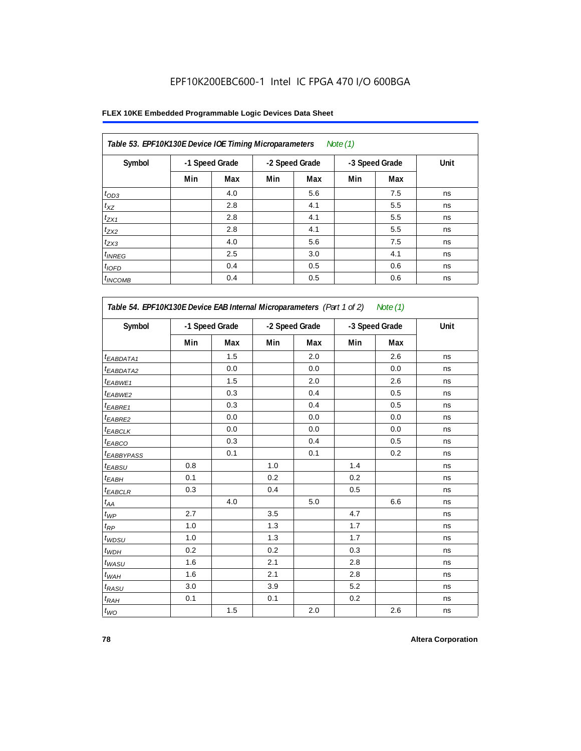| Table 53. EPF10K130E Device IOE Timing Microparameters |                |     |     |                | Note $(1)$ |                |      |
|--------------------------------------------------------|----------------|-----|-----|----------------|------------|----------------|------|
| Symbol                                                 | -1 Speed Grade |     |     | -2 Speed Grade |            | -3 Speed Grade | Unit |
|                                                        | Min            | Max | Min | Max            | Min        | Max            |      |
| $t_{OD3}$                                              |                | 4.0 |     | 5.6            |            | 7.5            | ns   |
| $t_{XZ}$                                               |                | 2.8 |     | 4.1            |            | 5.5            | ns   |
| $t_{ZX1}$                                              |                | 2.8 |     | 4.1            |            | 5.5            | ns   |
| $t_{ZX2}$                                              |                | 2.8 |     | 4.1            |            | 5.5            | ns   |
| $t_{ZX3}$                                              |                | 4.0 |     | 5.6            |            | 7.5            | ns   |
| $t_{INREG}$                                            |                | 2.5 |     | 3.0            |            | 4.1            | ns   |
| $t_{IOFD}$                                             |                | 0.4 |     | 0.5            |            | 0.6            | ns   |
| $t_{INCOMB}$                                           |                | 0.4 |     | 0.5            |            | 0.6            | ns   |

| Symbol                 | -1 Speed Grade |     | -2 Speed Grade |     | -3 Speed Grade |     | Unit |
|------------------------|----------------|-----|----------------|-----|----------------|-----|------|
|                        | Min            | Max | Min            | Max | Min            | Max |      |
| <sup>t</sup> EABDATA1  |                | 1.5 |                | 2.0 |                | 2.6 | ns   |
| <sup>t</sup> EABDATA2  |                | 0.0 |                | 0.0 |                | 0.0 | ns   |
| t <sub>EABWE1</sub>    |                | 1.5 |                | 2.0 |                | 2.6 | ns   |
| <sup>t</sup> EABWE2    |                | 0.3 |                | 0.4 |                | 0.5 | ns   |
| <sup>t</sup> EABRE1    |                | 0.3 |                | 0.4 |                | 0.5 | ns   |
| <sup>t</sup> EABRE2    |                | 0.0 |                | 0.0 |                | 0.0 | ns   |
| t <sub>EABCLK</sub>    |                | 0.0 |                | 0.0 |                | 0.0 | ns   |
| t <sub>EABCO</sub>     |                | 0.3 |                | 0.4 |                | 0.5 | ns   |
| <sup>t</sup> EABBYPASS |                | 0.1 |                | 0.1 |                | 0.2 | ns   |
| t <sub>EABSU</sub>     | 0.8            |     | 1.0            |     | 1.4            |     | ns   |
| t <sub>ЕАВН</sub>      | 0.1            |     | 0.2            |     | 0.2            |     | ns   |
| <sup>t</sup> EABCLR    | 0.3            |     | 0.4            |     | 0.5            |     | ns   |
| t <sub>АА</sub>        |                | 4.0 |                | 5.0 |                | 6.6 | ns   |
| $t_{\mathcal{WP}}$     | 2.7            |     | 3.5            |     | 4.7            |     | ns   |
| $t_{\mathsf{RP}}$      | 1.0            |     | 1.3            |     | 1.7            |     | ns   |
| ${}^t\!$ wdsu          | 1.0            |     | 1.3            |     | 1.7            |     | ns   |
| $t_{WDH}$              | 0.2            |     | 0.2            |     | 0.3            |     | ns   |
| $t_{WASU}$             | 1.6            |     | 2.1            |     | 2.8            |     | ns   |
| $t_{WAH}$              | 1.6            |     | 2.1            |     | 2.8            |     | ns   |
| t <sub>RASU</sub>      | 3.0            |     | 3.9            |     | 5.2            |     | ns   |
| $t_{RAH}$              | 0.1            |     | 0.1            |     | 0.2            |     | ns   |
| $t_{WO}$               |                | 1.5 |                | 2.0 |                | 2.6 | ns   |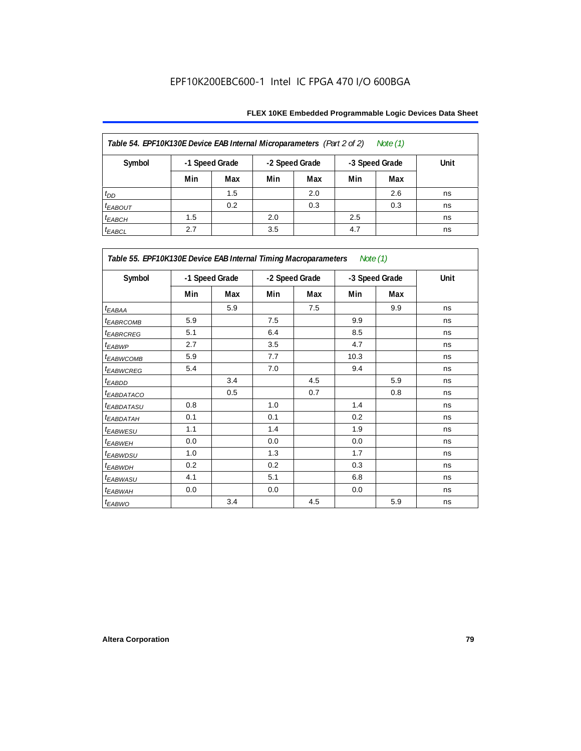| Table 54. EPF10K130E Device EAB Internal Microparameters (Part 2 of 2)<br>Note (1) |     |                |     |                |     |                |      |  |  |  |
|------------------------------------------------------------------------------------|-----|----------------|-----|----------------|-----|----------------|------|--|--|--|
| Symbol                                                                             |     | -1 Speed Grade |     | -2 Speed Grade |     | -3 Speed Grade | Unit |  |  |  |
|                                                                                    | Min | Max            | Min | Max            | Min | Max            |      |  |  |  |
| $t_{DD}$                                                                           |     | 1.5            |     | 2.0            |     | 2.6            | ns   |  |  |  |
| <b><i>EABOUT</i></b>                                                               |     | 0.2            |     | 0.3            |     | 0.3            | ns   |  |  |  |
| $t_{EABCH}$                                                                        | 1.5 |                | 2.0 |                | 2.5 |                | ns   |  |  |  |
| $t_{EABCL}$                                                                        | 2.7 |                | 3.5 |                | 4.7 |                | ns   |  |  |  |

| Table 55. EPF10K130E Device EAB Internal Timing Macroparameters Note (1) |     |                |                |     |      |                |             |
|--------------------------------------------------------------------------|-----|----------------|----------------|-----|------|----------------|-------------|
| Symbol                                                                   |     | -1 Speed Grade | -2 Speed Grade |     |      | -3 Speed Grade | <b>Unit</b> |
|                                                                          | Min | Max            | Min            | Max | Min  | Max            |             |
| $t_{EABA}$                                                               |     | 5.9            |                | 7.5 |      | 9.9            | ns          |
| <sup>t</sup> EABRCOMB                                                    | 5.9 |                | 7.5            |     | 9.9  |                | ns          |
| <sup>t</sup> EABRCREG                                                    | 5.1 |                | 6.4            |     | 8.5  |                | ns          |
| t <sub>EABWP</sub>                                                       | 2.7 |                | 3.5            |     | 4.7  |                | ns          |
| <sup>t</sup> EABWCOMB                                                    | 5.9 |                | 7.7            |     | 10.3 |                | ns          |
| <sup>t</sup> EABWCREG                                                    | 5.4 |                | 7.0            |     | 9.4  |                | ns          |
| <sup>t</sup> EABDD                                                       |     | 3.4            |                | 4.5 |      | 5.9            | ns          |
| <sup>t</sup> EABDATACO                                                   |     | 0.5            |                | 0.7 |      | 0.8            | ns          |
| <sup>t</sup> EABDATASU                                                   | 0.8 |                | 1.0            |     | 1.4  |                | ns          |
| <sup>t</sup> EABDATAH                                                    | 0.1 |                | 0.1            |     | 0.2  |                | ns          |
| t <sub>EABWESU</sub>                                                     | 1.1 |                | 1.4            |     | 1.9  |                | ns          |
| <sup>t</sup> EABWEH                                                      | 0.0 |                | 0.0            |     | 0.0  |                | ns          |
| <sup>t</sup> EABWDSU                                                     | 1.0 |                | 1.3            |     | 1.7  |                | ns          |
| <sup>t</sup> EABWDH                                                      | 0.2 |                | 0.2            |     | 0.3  |                | ns          |
| <sup>t</sup> EABWASU                                                     | 4.1 |                | 5.1            |     | 6.8  |                | ns          |
| <sup>t</sup> EABWAH                                                      | 0.0 |                | 0.0            |     | 0.0  |                | ns          |
| t <sub>EABWO</sub>                                                       |     | 3.4            |                | 4.5 |      | 5.9            | ns          |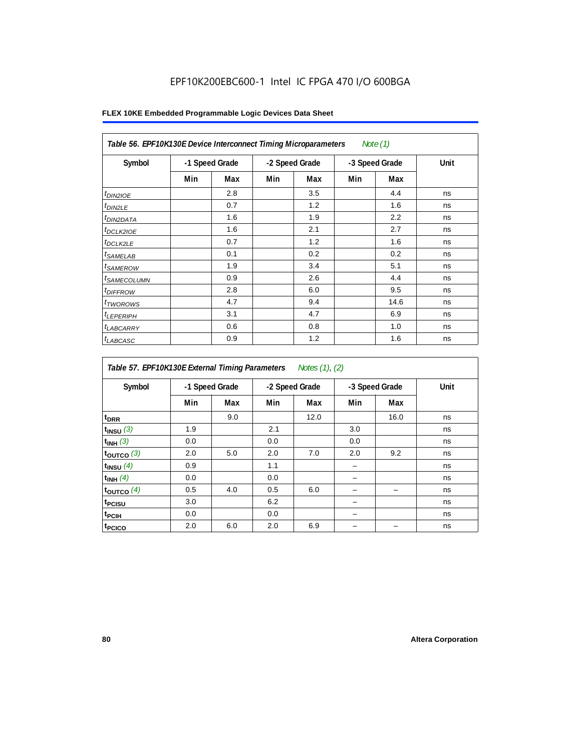|                            | Table 56. EPF10K130E Device Interconnect Timing Microparameters<br>Note $(1)$ |     |                |     |                |      |      |  |  |  |  |
|----------------------------|-------------------------------------------------------------------------------|-----|----------------|-----|----------------|------|------|--|--|--|--|
| Symbol                     | -1 Speed Grade                                                                |     | -2 Speed Grade |     | -3 Speed Grade |      | Unit |  |  |  |  |
|                            | Min                                                                           | Max | Min            | Max | Min            | Max  |      |  |  |  |  |
| $t_{DIN2IOE}$              |                                                                               | 2.8 |                | 3.5 |                | 4.4  | ns   |  |  |  |  |
| $t_{DIN2LE}$               |                                                                               | 0.7 |                | 1.2 |                | 1.6  | ns   |  |  |  |  |
| <sup>t</sup> DIN2DATA      |                                                                               | 1.6 |                | 1.9 |                | 2.2  | ns   |  |  |  |  |
| $t_{DCLK2IOE}$             |                                                                               | 1.6 |                | 2.1 |                | 2.7  | ns   |  |  |  |  |
| <sup>t</sup> DCLK2LE       |                                                                               | 0.7 |                | 1.2 |                | 1.6  | ns   |  |  |  |  |
| <sup>t</sup> SAMELAB       |                                                                               | 0.1 |                | 0.2 |                | 0.2  | ns   |  |  |  |  |
| <i>t</i> SAMEROW           |                                                                               | 1.9 |                | 3.4 |                | 5.1  | ns   |  |  |  |  |
| <sup>t</sup> SAMECOLUMN    |                                                                               | 0.9 |                | 2.6 |                | 4.4  | ns   |  |  |  |  |
| <i>t<sub>DIFFROW</sub></i> |                                                                               | 2.8 |                | 6.0 |                | 9.5  | ns   |  |  |  |  |
| <sup>t</sup> TWOROWS       |                                                                               | 4.7 |                | 9.4 |                | 14.6 | ns   |  |  |  |  |
| <sup>t</sup> LEPERIPH      |                                                                               | 3.1 |                | 4.7 |                | 6.9  | ns   |  |  |  |  |
| <sup>t</sup> LABCARRY      |                                                                               | 0.6 |                | 0.8 |                | 1.0  | ns   |  |  |  |  |
| t <sub>LABCASC</sub>       |                                                                               | 0.9 |                | 1.2 |                | 1.6  | ns   |  |  |  |  |

| Symbol             |     | -1 Speed Grade |     | -2 Speed Grade |     | -3 Speed Grade | Unit |
|--------------------|-----|----------------|-----|----------------|-----|----------------|------|
|                    | Min | Max            | Min | Max            | Min | Max            |      |
| t <sub>DRR</sub>   |     | 9.0            |     | 12.0           |     | 16.0           | ns   |
| $t_{INSU}$ (3)     | 1.9 |                | 2.1 |                | 3.0 |                | ns   |
| $t_{INH}$ (3)      | 0.0 |                | 0.0 |                | 0.0 |                | ns   |
| $t_{OUT}$ co $(3)$ | 2.0 | 5.0            | 2.0 | 7.0            | 2.0 | 9.2            | ns   |
| $t_{INSU}$ (4)     | 0.9 |                | 1.1 |                |     |                | ns   |
| $t_{INH}$ (4)      | 0.0 |                | 0.0 |                |     |                | ns   |
| toutco $(4)$       | 0.5 | 4.0            | 0.5 | 6.0            |     |                | ns   |
| t <sub>PCISU</sub> | 3.0 |                | 6.2 |                |     |                | ns   |
| <sup>t</sup> PCIH  | 0.0 |                | 0.0 |                |     |                | ns   |
| t <sub>PCICO</sub> | 2.0 | 6.0            | 2.0 | 6.9            |     |                | ns   |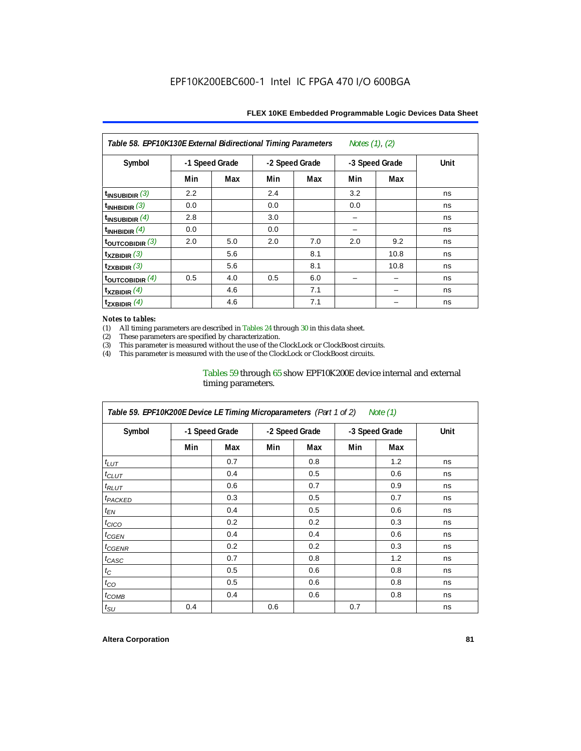| Notes $(1)$ , $(2)$<br>Table 58. EPF10K130E External Bidirectional Timing Parameters |                |     |     |                |     |                |      |  |  |  |
|--------------------------------------------------------------------------------------|----------------|-----|-----|----------------|-----|----------------|------|--|--|--|
| Symbol                                                                               | -1 Speed Grade |     |     | -2 Speed Grade |     | -3 Speed Grade | Unit |  |  |  |
|                                                                                      | Min            | Max | Min | Max            | Min | Max            |      |  |  |  |
| $t_{\text{INSUBIDIR}}$ (3)                                                           | 2.2            |     | 2.4 |                | 3.2 |                | ns   |  |  |  |
| $t_{INHBIDIR}$ (3)                                                                   | 0.0            |     | 0.0 |                | 0.0 |                | ns   |  |  |  |
| $t_{INSUBIDIR}$ (4)                                                                  | 2.8            |     | 3.0 |                |     |                | ns   |  |  |  |
| $t_{INHBIDIR}(4)$                                                                    | 0.0            |     | 0.0 |                |     |                | ns   |  |  |  |
| $t_{\text{OUTCOBIDIR}}$ (3)                                                          | 2.0            | 5.0 | 2.0 | 7.0            | 2.0 | 9.2            | ns   |  |  |  |
| $t_{XZBIDIR}$ (3)                                                                    |                | 5.6 |     | 8.1            |     | 10.8           | ns   |  |  |  |
| $t_{ZXBIDIR}$ (3)                                                                    |                | 5.6 |     | 8.1            |     | 10.8           | ns   |  |  |  |
| toutcobidir $(4)$                                                                    | 0.5            | 4.0 | 0.5 | 6.0            |     |                | ns   |  |  |  |
| $t_{XZBIDIR}$ (4)                                                                    |                | 4.6 |     | 7.1            |     |                | ns   |  |  |  |
| $t_{ZXBIDIR}$ (4)                                                                    |                | 4.6 |     | 7.1            |     |                | ns   |  |  |  |

### *Notes to tables:*

(1) All timing parameters are described in Tables 24 through 30 in this data sheet.<br>(2) These parameters are specified by characterization.

(2) These parameters are specified by characterization.<br>
(3) This parameter is measured without the use of the C

This parameter is measured without the use of the ClockLock or ClockBoost circuits.

(4) This parameter is measured with the use of the ClockLock or ClockBoost circuits.

### Tables 59 through 65 show EPF10K200E device internal and external timing parameters.

| Table 59. EPF10K200E Device LE Timing Microparameters (Part 1 of 2) Note (1) |     |                |     |                |     |                |             |  |  |  |
|------------------------------------------------------------------------------|-----|----------------|-----|----------------|-----|----------------|-------------|--|--|--|
| Symbol                                                                       |     | -1 Speed Grade |     | -2 Speed Grade |     | -3 Speed Grade | <b>Unit</b> |  |  |  |
|                                                                              | Min | Max            | Min | Max            | Min | Max            |             |  |  |  |
| $t_{LUT}$                                                                    |     | 0.7            |     | 0.8            |     | 1.2            | ns          |  |  |  |
| $t_{CLUT}$                                                                   |     | 0.4            |     | 0.5            |     | 0.6            | ns          |  |  |  |
| $t_{RLUT}$                                                                   |     | 0.6            |     | 0.7            |     | 0.9            | ns          |  |  |  |
| <sup>t</sup> PACKED                                                          |     | 0.3            |     | 0.5            |     | 0.7            | ns          |  |  |  |
| $t_{EN}$                                                                     |     | 0.4            |     | 0.5            |     | 0.6            | ns          |  |  |  |
| $t_{CICO}$                                                                   |     | 0.2            |     | 0.2            |     | 0.3            | ns          |  |  |  |
| $t_{CGEN}$                                                                   |     | 0.4            |     | 0.4            |     | 0.6            | ns          |  |  |  |
| t <sub>CGENR</sub>                                                           |     | 0.2            |     | 0.2            |     | 0.3            | ns          |  |  |  |
| $t_{CASC}$                                                                   |     | 0.7            |     | 0.8            |     | 1.2            | ns          |  |  |  |
| $t_{\rm C}$                                                                  |     | 0.5            |     | 0.6            |     | 0.8            | ns          |  |  |  |
| $t_{CO}$                                                                     |     | 0.5            |     | 0.6            |     | 0.8            | ns          |  |  |  |
| $t_{COMB}$                                                                   |     | 0.4            |     | 0.6            |     | 0.8            | ns          |  |  |  |
| $t_{\rm SU}$                                                                 | 0.4 |                | 0.6 |                | 0.7 |                | ns          |  |  |  |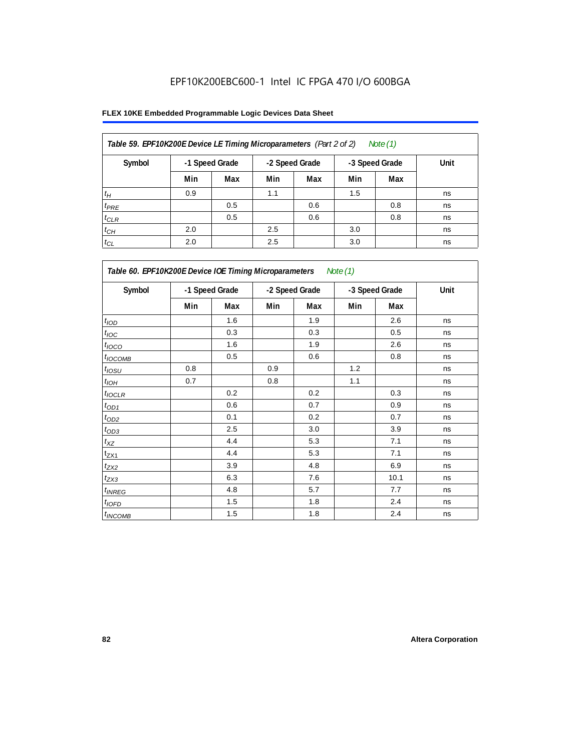| Table 59. EPF10K200E Device LE Timing Microparameters (Part 2 of 2) |     |                |     |                |     | Note (1)       |      |
|---------------------------------------------------------------------|-----|----------------|-----|----------------|-----|----------------|------|
| Symbol                                                              |     | -1 Speed Grade |     | -2 Speed Grade |     | -3 Speed Grade | Unit |
|                                                                     | Min | Max            | Min | Max            | Min | Max            |      |
| $t_H$                                                               | 0.9 |                | 1.1 |                | 1.5 |                | ns   |
| $t_{PRE}$                                                           |     | 0.5            |     | 0.6            |     | 0.8            | ns   |
| $t_{CLR}$                                                           |     | 0.5            |     | 0.6            |     | 0.8            | ns   |
| $t_{CH}$                                                            | 2.0 |                | 2.5 |                | 3.0 |                | ns   |
| $t_{CL}$                                                            | 2.0 |                | 2.5 |                | 3.0 |                | ns   |

| Table 60. EPF10K200E Device IOE Timing Microparameters Note (1) |     |                |     |                |     |                |      |  |  |
|-----------------------------------------------------------------|-----|----------------|-----|----------------|-----|----------------|------|--|--|
| Symbol                                                          |     | -1 Speed Grade |     | -2 Speed Grade |     | -3 Speed Grade | Unit |  |  |
|                                                                 | Min | Max            | Min | Max            | Min | Max            |      |  |  |
| t <sub>IOD</sub>                                                |     | 1.6            |     | 1.9            |     | 2.6            | ns   |  |  |
| $t_{\text{IOC}}$                                                |     | 0.3            |     | 0.3            |     | 0.5            | ns   |  |  |
| $t_{IOCO}$                                                      |     | 1.6            |     | 1.9            |     | 2.6            | ns   |  |  |
| $t_{IOCOMB}$                                                    |     | 0.5            |     | 0.6            |     | 0.8            | ns   |  |  |
| $t_{IOSU}$                                                      | 0.8 |                | 0.9 |                | 1.2 |                | ns   |  |  |
| $t_{IOH}$                                                       | 0.7 |                | 0.8 |                | 1.1 |                | ns   |  |  |
| $t_{IOCLR}$                                                     |     | 0.2            |     | 0.2            |     | 0.3            | ns   |  |  |
| $t_{OD1}$                                                       |     | 0.6            |     | 0.7            |     | 0.9            | ns   |  |  |
| $t_{OD2}$                                                       |     | 0.1            |     | 0.2            |     | 0.7            | ns   |  |  |
| $t_{\underline{OD3}}$                                           |     | 2.5            |     | 3.0            |     | 3.9            | ns   |  |  |
| $t_{\mathsf{XZ}}$                                               |     | 4.4            |     | 5.3            |     | 7.1            | ns   |  |  |
| $t_{ZX1}$                                                       |     | 4.4            |     | 5.3            |     | 7.1            | ns   |  |  |
| $t_{ZX2}$                                                       |     | 3.9            |     | 4.8            |     | 6.9            | ns   |  |  |
| $t_{ZX3}$                                                       |     | 6.3            |     | 7.6            |     | 10.1           | ns   |  |  |
| $t_{INREG}$                                                     |     | 4.8            |     | 5.7            |     | 7.7            | ns   |  |  |
| $t_{IOED}$                                                      |     | 1.5            |     | 1.8            |     | 2.4            | ns   |  |  |
| $t_{INCOMB}$                                                    |     | 1.5            |     | 1.8            |     | 2.4            | ns   |  |  |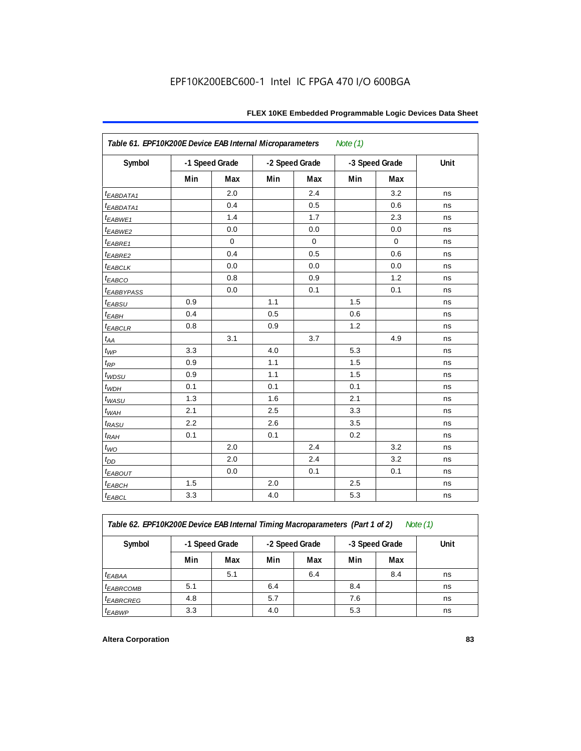| Table 61. EPF10K200E Device EAB Internal Microparameters<br>Note $(1)$ |     |                |     |                |     |                |      |  |  |  |
|------------------------------------------------------------------------|-----|----------------|-----|----------------|-----|----------------|------|--|--|--|
| Symbol                                                                 |     | -1 Speed Grade |     | -2 Speed Grade |     | -3 Speed Grade | Unit |  |  |  |
|                                                                        | Min | Max            | Min | Max            | Min | Max            |      |  |  |  |
| t <sub>EABDATA1</sub>                                                  |     | 2.0            |     | 2.4            |     | 3.2            | ns   |  |  |  |
| <i>EABDATA1</i>                                                        |     | 0.4            |     | 0.5            |     | 0.6            | ns   |  |  |  |
| t <sub>EABWE1</sub>                                                    |     | 1.4            |     | 1.7            |     | 2.3            | ns   |  |  |  |
| t <sub>EABWE2</sub>                                                    |     | 0.0            |     | 0.0            |     | 0.0            | ns   |  |  |  |
| $t_{EABRE1}$                                                           |     | $\mathbf 0$    |     | 0              |     | $\mathbf 0$    | ns   |  |  |  |
| t <sub>EABRE2</sub>                                                    |     | 0.4            |     | 0.5            |     | 0.6            | ns   |  |  |  |
| $t_{EABCLK}$                                                           |     | 0.0            |     | 0.0            |     | 0.0            | ns   |  |  |  |
| t <sub>EABCO</sub>                                                     |     | 0.8            |     | 0.9            |     | 1.2            | ns   |  |  |  |
| <i><b>EABBYPASS</b></i>                                                |     | 0.0            |     | 0.1            |     | 0.1            | ns   |  |  |  |
| $t_{EABSU}$                                                            | 0.9 |                | 1.1 |                | 1.5 |                | ns   |  |  |  |
| $t_{EABH}$                                                             | 0.4 |                | 0.5 |                | 0.6 |                | ns   |  |  |  |
| $t_{EABCLR}$                                                           | 0.8 |                | 0.9 |                | 1.2 |                | ns   |  |  |  |
| $t_{AA}$                                                               |     | 3.1            |     | 3.7            |     | 4.9            | ns   |  |  |  |
| $t_{WP}$                                                               | 3.3 |                | 4.0 |                | 5.3 |                | ns   |  |  |  |
| $t_{RP}$                                                               | 0.9 |                | 1.1 |                | 1.5 |                | ns   |  |  |  |
| t <sub>WDSU</sub>                                                      | 0.9 |                | 1.1 |                | 1.5 |                | ns   |  |  |  |
| $t_{WDH}$                                                              | 0.1 |                | 0.1 |                | 0.1 |                | ns   |  |  |  |
| t <sub>WASU</sub>                                                      | 1.3 |                | 1.6 |                | 2.1 |                | ns   |  |  |  |
| $t_{WAH}$                                                              | 2.1 |                | 2.5 |                | 3.3 |                | ns   |  |  |  |
| $t_{RASU}$                                                             | 2.2 |                | 2.6 |                | 3.5 |                | ns   |  |  |  |
| $t_{RAH}$                                                              | 0.1 |                | 0.1 |                | 0.2 |                | ns   |  |  |  |
| $t_{WO}$                                                               |     | 2.0            |     | 2.4            |     | 3.2            | ns   |  |  |  |
| $t_{DD}$                                                               |     | 2.0            |     | 2.4            |     | 3.2            | ns   |  |  |  |
| $t_{EABOUT}$                                                           |     | 0.0            |     | 0.1            |     | 0.1            | ns   |  |  |  |
| $t_{EABCH}$                                                            | 1.5 |                | 2.0 |                | 2.5 |                | ns   |  |  |  |
| $t_{EABCL}$                                                            | 3.3 |                | 4.0 |                | 5.3 |                | ns   |  |  |  |

*Table 62. EPF10K200E Device EAB Internal Timing Macroparameters (Part 1 of 2) Note (1)*

| Symbol                 | -1 Speed Grade |     | -2 Speed Grade |     | -3 Speed Grade |     | Unit |
|------------------------|----------------|-----|----------------|-----|----------------|-----|------|
|                        | Min            | Max | Min            | Max | Min            | Max |      |
| <sup>t</sup> EABAA     |                | 5.1 |                | 6.4 |                | 8.4 | ns   |
| <b><i>EABRCOMB</i></b> | 5.1            |     | 6.4            |     | 8.4            |     | ns   |
| <sup>t</sup> EABRCREG  | 4.8            |     | 5.7            |     | 7.6            |     | ns   |
| <sup>t</sup> EABWP     | 3.3            |     | 4.0            |     | 5.3            |     | ns   |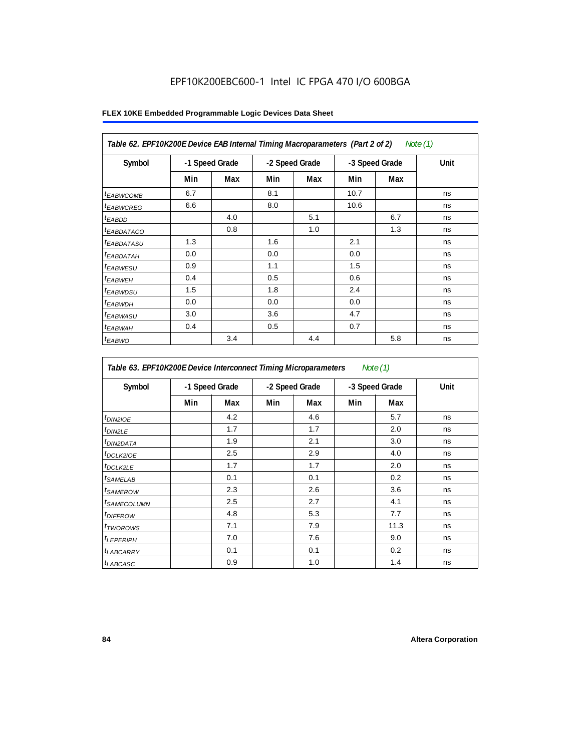| Table 62. EPF10K200E Device EAB Internal Timing Macroparameters (Part 2 of 2)<br>Note (1) |     |                |                |     |      |                |      |  |  |  |
|-------------------------------------------------------------------------------------------|-----|----------------|----------------|-----|------|----------------|------|--|--|--|
| Symbol                                                                                    |     | -1 Speed Grade | -2 Speed Grade |     |      | -3 Speed Grade | Unit |  |  |  |
|                                                                                           | Min | Max            | Min            | Max | Min  | Max            |      |  |  |  |
| <sup>t</sup> EABWCOMB                                                                     | 6.7 |                | 8.1            |     | 10.7 |                | ns   |  |  |  |
| <sup>t</sup> EABWCREG                                                                     | 6.6 |                | 8.0            |     | 10.6 |                | ns   |  |  |  |
| <sup>t</sup> EABDD                                                                        |     | 4.0            |                | 5.1 |      | 6.7            | ns   |  |  |  |
| <i>EABDATACO</i>                                                                          |     | 0.8            |                | 1.0 |      | 1.3            | ns   |  |  |  |
| <sup>t</sup> EABDATASU                                                                    | 1.3 |                | 1.6            |     | 2.1  |                | ns   |  |  |  |
| <sup>t</sup> EABDATAH                                                                     | 0.0 |                | 0.0            |     | 0.0  |                | ns   |  |  |  |
| <sup>t</sup> EABWESU                                                                      | 0.9 |                | 1.1            |     | 1.5  |                | ns   |  |  |  |
| $t_{EABWEH}$                                                                              | 0.4 |                | 0.5            |     | 0.6  |                | ns   |  |  |  |
| <sup>t</sup> EABWDSU                                                                      | 1.5 |                | 1.8            |     | 2.4  |                | ns   |  |  |  |
| <sup>t</sup> EABWDH                                                                       | 0.0 |                | 0.0            |     | 0.0  |                | ns   |  |  |  |
| <sup>t</sup> EABWASU                                                                      | 3.0 |                | 3.6            |     | 4.7  |                | ns   |  |  |  |
| <sup>t</sup> EABWAH                                                                       | 0.4 |                | 0.5            |     | 0.7  |                | ns   |  |  |  |
| $t_{EABWO}$                                                                               |     | 3.4            |                | 4.4 |      | 5.8            | ns   |  |  |  |

| Table 63. EPF10K200E Device Interconnect Timing Microparameters<br>Note $(1)$ |                |     |     |                |     |                |      |  |  |  |
|-------------------------------------------------------------------------------|----------------|-----|-----|----------------|-----|----------------|------|--|--|--|
| Symbol                                                                        | -1 Speed Grade |     |     | -2 Speed Grade |     | -3 Speed Grade | Unit |  |  |  |
|                                                                               | Min            | Max | Min | Max            | Min | Max            |      |  |  |  |
| t <sub>DIN2IOE</sub>                                                          |                | 4.2 |     | 4.6            |     | 5.7            | ns   |  |  |  |
| t <sub>DIN2LE</sub>                                                           |                | 1.7 |     | 1.7            |     | 2.0            | ns   |  |  |  |
| <sup>t</sup> DIN2DATA                                                         |                | 1.9 |     | 2.1            |     | 3.0            | ns   |  |  |  |
| <sup>t</sup> DCLK2IOE                                                         |                | 2.5 |     | 2.9            |     | 4.0            | ns   |  |  |  |
| <sup>t</sup> DCLK2LE                                                          |                | 1.7 |     | 1.7            |     | 2.0            | ns   |  |  |  |
| <sup>t</sup> SAMELAB                                                          |                | 0.1 |     | 0.1            |     | 0.2            | ns   |  |  |  |
| <sup>t</sup> SAMEROW                                                          |                | 2.3 |     | 2.6            |     | 3.6            | ns   |  |  |  |
| <sup>t</sup> SAMECOLUMN                                                       |                | 2.5 |     | 2.7            |     | 4.1            | ns   |  |  |  |
| <sup>t</sup> DIFFROW                                                          |                | 4.8 |     | 5.3            |     | 7.7            | ns   |  |  |  |
| t <sub>TWOROWS</sub>                                                          |                | 7.1 |     | 7.9            |     | 11.3           | ns   |  |  |  |
| <sup>t</sup> LEPERIPH                                                         |                | 7.0 |     | 7.6            |     | 9.0            | ns   |  |  |  |
| <sup>t</sup> LABCARRY                                                         |                | 0.1 |     | 0.1            |     | 0.2            | ns   |  |  |  |
| t <sub>LABCASC</sub>                                                          |                | 0.9 |     | 1.0            |     | 1.4            | ns   |  |  |  |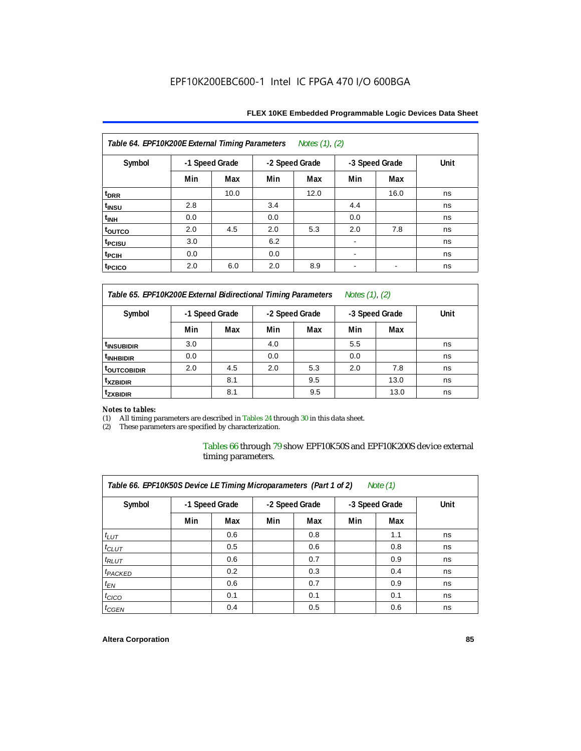| Table 64. EPF10K200E External Timing Parameters Notes (1), (2) |                |      |     |                |                          |                          |      |  |  |  |
|----------------------------------------------------------------|----------------|------|-----|----------------|--------------------------|--------------------------|------|--|--|--|
| Symbol                                                         | -1 Speed Grade |      |     | -2 Speed Grade |                          | -3 Speed Grade           | Unit |  |  |  |
|                                                                | Min            | Max  | Min | Max            | Min                      | Max                      |      |  |  |  |
| t <sub>DRR</sub>                                               |                | 10.0 |     | 12.0           |                          | 16.0                     | ns   |  |  |  |
| t <sub>INSU</sub>                                              | 2.8            |      | 3.4 |                | 4.4                      |                          | ns   |  |  |  |
| $t_{\text{INH}}$                                               | 0.0            |      | 0.0 |                | 0.0                      |                          | ns   |  |  |  |
| toutco                                                         | 2.0            | 4.5  | 2.0 | 5.3            | 2.0                      | 7.8                      | ns   |  |  |  |
| t <sub>PCISU</sub>                                             | 3.0            |      | 6.2 |                |                          |                          | ns   |  |  |  |
| t <sub>PCIH</sub>                                              | 0.0            |      | 0.0 |                | ۰                        |                          | ns   |  |  |  |
| t <sub>PCICO</sub>                                             | 2.0            | 6.0  | 2.0 | 8.9            | $\overline{\phantom{a}}$ | $\overline{\phantom{a}}$ | ns   |  |  |  |

*Table 65. EPF10K200E External Bidirectional Timing Parameters Notes (1), (2)*

| Symbol                  | -1 Speed Grade |     | -2 Speed Grade |     | -3 Speed Grade |      | Unit |  |  |
|-------------------------|----------------|-----|----------------|-----|----------------|------|------|--|--|
|                         | Min            | Max | Min            | Max | Min            | Max  |      |  |  |
| <sup>t</sup> INSUBIDIR  | 3.0            |     | 4.0            |     | 5.5            |      | ns   |  |  |
| <sup>t</sup> INHBIDIR   | 0.0            |     | 0.0            |     | 0.0            |      | ns   |  |  |
| <sup>T</sup> OUTCOBIDIR | 2.0            | 4.5 | 2.0            | 5.3 | 2.0            | 7.8  | ns   |  |  |
| <sup>t</sup> xzbidir    |                | 8.1 |                | 9.5 |                | 13.0 | ns   |  |  |
| <sup>T</sup> ZXBIDIR    |                | 8.1 |                | 9.5 |                | 13.0 | ns   |  |  |

# *Notes to tables:*

(1) All timing parameters are described in Tables 24 through 30 in this data sheet.<br>(2) These parameters are specified by characterization.

These parameters are specified by characterization.

Tables 66 through 79 show EPF10K50S and EPF10K200S device external timing parameters.

| Table 66. EPF10K50S Device LE Timing Microparameters (Part 1 of 2)<br>Note $(1)$ |     |                |                |     |                |     |      |  |  |  |  |
|----------------------------------------------------------------------------------|-----|----------------|----------------|-----|----------------|-----|------|--|--|--|--|
| Symbol                                                                           |     | -1 Speed Grade | -2 Speed Grade |     | -3 Speed Grade |     | Unit |  |  |  |  |
|                                                                                  | Min | Max            | Min            | Max | Min            | Max |      |  |  |  |  |
| $t_{LUT}$                                                                        |     | 0.6            |                | 0.8 |                | 1.1 | ns   |  |  |  |  |
| $t_{CLUT}$                                                                       |     | 0.5            |                | 0.6 |                | 0.8 | ns   |  |  |  |  |
| $t_{RLUT}$                                                                       |     | 0.6            |                | 0.7 |                | 0.9 | ns   |  |  |  |  |
| <sup>t</sup> PACKED                                                              |     | 0.2            |                | 0.3 |                | 0.4 | ns   |  |  |  |  |
| $t_{EN}$                                                                         |     | 0.6            |                | 0.7 |                | 0.9 | ns   |  |  |  |  |
| $t_{CICO}$                                                                       |     | 0.1            |                | 0.1 |                | 0.1 | ns   |  |  |  |  |
| $t_{GEN}$                                                                        |     | 0.4            |                | 0.5 |                | 0.6 | ns   |  |  |  |  |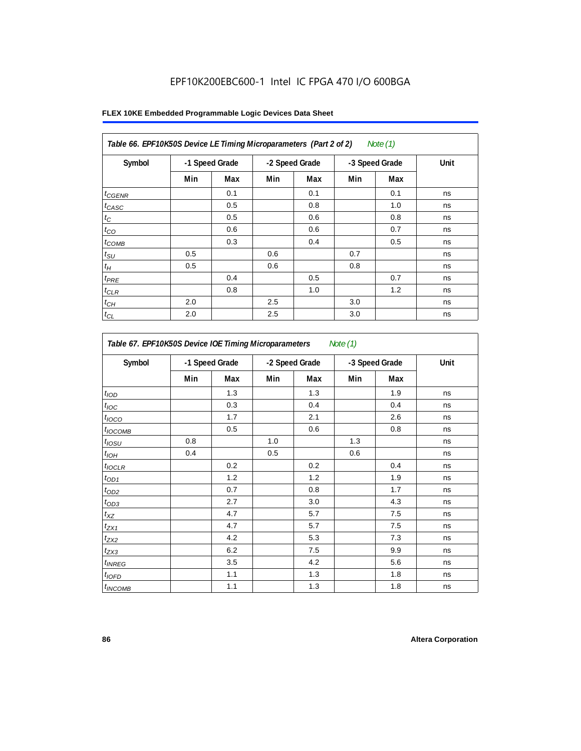|  |  |  |  | FLEX 10KE Embedded Programmable Logic Devices Data Sheet |  |  |  |
|--|--|--|--|----------------------------------------------------------|--|--|--|
|--|--|--|--|----------------------------------------------------------|--|--|--|

| Symbol          | -1 Speed Grade |     | -2 Speed Grade |     | -3 Speed Grade |     | Unit |
|-----------------|----------------|-----|----------------|-----|----------------|-----|------|
|                 | Min            | Max | Min            | Max | Min            | Max |      |
| $t_{GENR}$      |                | 0.1 |                | 0.1 |                | 0.1 | ns   |
| $t_{CASC}$      |                | 0.5 |                | 0.8 |                | 1.0 | ns   |
| $t_C$           |                | 0.5 |                | 0.6 |                | 0.8 | ns   |
| $t_{CO}$        |                | 0.6 |                | 0.6 |                | 0.7 | ns   |
| $t_{COMB}$      |                | 0.3 |                | 0.4 |                | 0.5 | ns   |
| $t_{\text{SU}}$ | 0.5            |     | 0.6            |     | 0.7            |     | ns   |
| $t_H$           | 0.5            |     | 0.6            |     | 0.8            |     | ns   |
| $t_{PRE}$       |                | 0.4 |                | 0.5 |                | 0.7 | ns   |
| $t_{CLR}$       |                | 0.8 |                | 1.0 |                | 1.2 | ns   |
| $t_{CH}$        | 2.0            |     | 2.5            |     | 3.0            |     | ns   |
| $t_{CL}$        | 2.0            |     | 2.5            |     | 3.0            |     | ns   |

| Table 67. EPF10K50S Device IOE Timing Microparameters Note (1) |     |                |     |                |     |                |      |  |  |
|----------------------------------------------------------------|-----|----------------|-----|----------------|-----|----------------|------|--|--|
| Symbol                                                         |     | -1 Speed Grade |     | -2 Speed Grade |     | -3 Speed Grade | Unit |  |  |
|                                                                | Min | Max            | Min | Max            | Min | Max            |      |  |  |
| t <sub>IOD</sub>                                               |     | 1.3            |     | 1.3            |     | 1.9            | ns   |  |  |
| $t_{\text{IOC}}$                                               |     | 0.3            |     | 0.4            |     | 0.4            | ns   |  |  |
| $t_{IOCO}$                                                     |     | 1.7            |     | 2.1            |     | 2.6            | ns   |  |  |
| $t_{IOCOMB}$                                                   |     | 0.5            |     | 0.6            |     | 0.8            | ns   |  |  |
| $t_{IOSU}$                                                     | 0.8 |                | 1.0 |                | 1.3 |                | ns   |  |  |
| $t_{IOH}$                                                      | 0.4 |                | 0.5 |                | 0.6 |                | ns   |  |  |
| $t_{IOCLR}$                                                    |     | 0.2            |     | 0.2            |     | 0.4            | ns   |  |  |
| $t_{OD1}$                                                      |     | 1.2            |     | 1.2            |     | 1.9            | ns   |  |  |
| $t_{OD2}$                                                      |     | 0.7            |     | 0.8            |     | 1.7            | ns   |  |  |
| $t_{0D3}$                                                      |     | 2.7            |     | 3.0            |     | 4.3            | ns   |  |  |
| $t_{\text{XZ}}$                                                |     | 4.7            |     | 5.7            |     | 7.5            | ns   |  |  |
| $t_{ZX1}$                                                      |     | 4.7            |     | 5.7            |     | 7.5            | ns   |  |  |
| $t_{ZX2}$                                                      |     | 4.2            |     | 5.3            |     | 7.3            | ns   |  |  |
| $t_{ZX3}$                                                      |     | 6.2            |     | 7.5            |     | 9.9            | ns   |  |  |
| $t_{INREG}$                                                    |     | 3.5            |     | 4.2            |     | 5.6            | ns   |  |  |
| $t_{IQED}$                                                     |     | 1.1            |     | 1.3            |     | 1.8            | ns   |  |  |
| $t_{INCOMB}$                                                   |     | 1.1            |     | 1.3            |     | 1.8            | ns   |  |  |

ŧ

 $\mathbf{r}$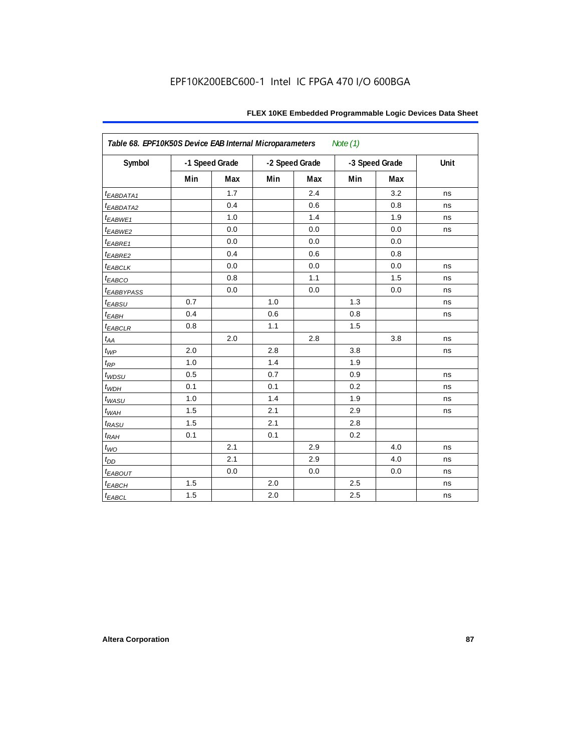| Table 68. EPF10K50S Device EAB Internal Microparameters |     |                |                |     | Note $(1)$     |     |      |
|---------------------------------------------------------|-----|----------------|----------------|-----|----------------|-----|------|
| Symbol                                                  |     | -1 Speed Grade | -2 Speed Grade |     | -3 Speed Grade |     | Unit |
|                                                         | Min | Max            | Min            | Max | Min            | Max |      |
| t <sub>EABDATA1</sub>                                   |     | 1.7            |                | 2.4 |                | 3.2 | ns   |
| <sup>t</sup> EABDATA2                                   |     | 0.4            |                | 0.6 |                | 0.8 | ns   |
| t <sub>EABWE1</sub>                                     |     | 1.0            |                | 1.4 |                | 1.9 | ns   |
| <sup>t</sup> EABWE2                                     |     | 0.0            |                | 0.0 |                | 0.0 | ns   |
| t <sub>EABRE1</sub>                                     |     | 0.0            |                | 0.0 |                | 0.0 |      |
| t <sub>EABRE2</sub>                                     |     | 0.4            |                | 0.6 |                | 0.8 |      |
| $t_{EABCLK}$                                            |     | 0.0            |                | 0.0 |                | 0.0 | ns   |
| $t_{EABCO}$                                             |     | 0.8            |                | 1.1 |                | 1.5 | ns   |
| <sup>t</sup> EABBYPASS                                  |     | 0.0            |                | 0.0 |                | 0.0 | ns   |
| t <sub>EABSU</sub>                                      | 0.7 |                | 1.0            |     | 1.3            |     | ns   |
| t <sub>ЕАВН</sub>                                       | 0.4 |                | 0.6            |     | 0.8            |     | ns   |
| $t_{EABCLR}$                                            | 0.8 |                | 1.1            |     | 1.5            |     |      |
| t <sub>АА</sub>                                         |     | 2.0            |                | 2.8 |                | 3.8 | ns   |

 $t_{\mathsf{WP}}$  2.0  $\begin{array}{|c|c|c|c|c|c|}\hline \end{array}$  2.8  $\begin{array}{|c|c|c|c|c|}\hline \end{array}$  3.8  $\begin{array}{|c|c|c|c|c|}\hline \end{array}$  ns

tWDSU 0.5 0.7 0.9 ns  $t_{WDH}$  | 0.1 | 0.1 | 0.1 | 0.2 | | ns t<sub>WASU</sub> | 1.0 | 1.4 | 1.9 | | ns  $t_{WAH}$  | 1.5 | | 2.1 | | 2.9 | | | ns

t<sub>WO</sub> | | 2.1 | | 2.9 | | 4.0 | ns  $t_{DD}$  | 2.1 | 2.9 | 4.0 | ns t<sub>EABOUT</sub> | 0.0 | 0.0 | 0.0 | ns tEABCH 1.5 2.0 2.5 ns  $t_{EABCL}$  | 1.5 | | 2.0 | | 2.5 | | | ns

 $t_{RP}$  | 1.0 | 1.4 | 1.9

 $t_{RASU}$  1.5  $\begin{array}{|c|c|c|c|c|} \hline \end{array}$  2.1  $\begin{array}{|c|c|c|c|c|} \hline \end{array}$  2.8 tRAH 0.1 0.1 0.2

### **FLEX 10KE Embedded Programmable Logic Devices Data Sheet**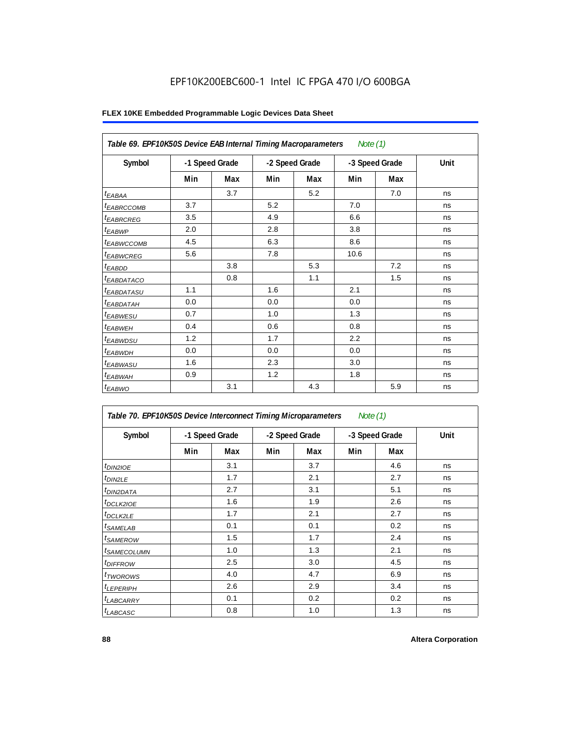|                        | Table 69. EPF10K50S Device EAB Internal Timing Macroparameters<br>Note (1) |     |                |     |                |     |      |  |  |  |  |
|------------------------|----------------------------------------------------------------------------|-----|----------------|-----|----------------|-----|------|--|--|--|--|
| Symbol                 | -1 Speed Grade                                                             |     | -2 Speed Grade |     | -3 Speed Grade |     | Unit |  |  |  |  |
|                        | Min                                                                        | Max | Min            | Max | Min            | Max |      |  |  |  |  |
| $t_{EABA}$             |                                                                            | 3.7 |                | 5.2 |                | 7.0 | ns   |  |  |  |  |
| <sup>I</sup> EABRCCOMB | 3.7                                                                        |     | 5.2            |     | 7.0            |     | ns   |  |  |  |  |
| <sup>t</sup> EABRCREG  | 3.5                                                                        |     | 4.9            |     | 6.6            |     | ns   |  |  |  |  |
| <sup>t</sup> EABWP     | 2.0                                                                        |     | 2.8            |     | 3.8            |     | ns   |  |  |  |  |
| <sup>t</sup> EABWCCOMB | 4.5                                                                        |     | 6.3            |     | 8.6            |     | ns   |  |  |  |  |
| <sup>t</sup> EABWCREG  | 5.6                                                                        |     | 7.8            |     | 10.6           |     | ns   |  |  |  |  |
| $t_{EABDD}$            |                                                                            | 3.8 |                | 5.3 |                | 7.2 | ns   |  |  |  |  |
| <sup>t</sup> EABDATACO |                                                                            | 0.8 |                | 1.1 |                | 1.5 | ns   |  |  |  |  |
| <sup>t</sup> EABDATASU | 1.1                                                                        |     | 1.6            |     | 2.1            |     | ns   |  |  |  |  |
| <sup>t</sup> EABDATAH  | 0.0                                                                        |     | 0.0            |     | 0.0            |     | ns   |  |  |  |  |
| <sup>t</sup> EABWESU   | 0.7                                                                        |     | 1.0            |     | 1.3            |     | ns   |  |  |  |  |
| <sup>t</sup> EABWEH    | 0.4                                                                        |     | 0.6            |     | 0.8            |     | ns   |  |  |  |  |
| <sup>t</sup> EABWDSU   | 1.2                                                                        |     | 1.7            |     | 2.2            |     | ns   |  |  |  |  |
| <sup>t</sup> EABWDH    | 0.0                                                                        |     | 0.0            |     | 0.0            |     | ns   |  |  |  |  |
| <sup>t</sup> EABWASU   | 1.6                                                                        |     | 2.3            |     | 3.0            |     | ns   |  |  |  |  |
| <sup>t</sup> EABWAH    | 0.9                                                                        |     | 1.2            |     | 1.8            |     | ns   |  |  |  |  |
| $t_{EABWO}$            |                                                                            | 3.1 |                | 4.3 |                | 5.9 | ns   |  |  |  |  |

| Table 70. EPF10K50S Device Interconnect Timing Microparameters<br>Note $(1)$ |     |                |     |                |     |                |      |  |  |  |  |
|------------------------------------------------------------------------------|-----|----------------|-----|----------------|-----|----------------|------|--|--|--|--|
| Symbol                                                                       |     | -1 Speed Grade |     | -2 Speed Grade |     | -3 Speed Grade | Unit |  |  |  |  |
|                                                                              | Min | Max            | Min | Max            | Min | Max            |      |  |  |  |  |
| t <sub>DIN2IOE</sub>                                                         |     | 3.1            |     | 3.7            |     | 4.6            | ns   |  |  |  |  |
| <sup>t</sup> DIN2LE                                                          |     | 1.7            |     | 2.1            |     | 2.7            | ns   |  |  |  |  |
| <sup>t</sup> DIN2DATA                                                        |     | 2.7            |     | 3.1            |     | 5.1            | ns   |  |  |  |  |
| <sup>t</sup> DCLK2IOE                                                        |     | 1.6            |     | 1.9            |     | 2.6            | ns   |  |  |  |  |
| <sup>t</sup> DCLK2LE                                                         |     | 1.7            |     | 2.1            |     | 2.7            | ns   |  |  |  |  |
| <sup>t</sup> SAMELAB                                                         |     | 0.1            |     | 0.1            |     | 0.2            | ns   |  |  |  |  |
| <sup>t</sup> SAMEROW                                                         |     | 1.5            |     | 1.7            |     | 2.4            | ns   |  |  |  |  |
| <sup>t</sup> SAMECOLUMN                                                      |     | 1.0            |     | 1.3            |     | 2.1            | ns   |  |  |  |  |
| <i>t<sub>DIFFROW</sub></i>                                                   |     | 2.5            |     | 3.0            |     | 4.5            | ns   |  |  |  |  |
| <sup>t</sup> TWOROWS                                                         |     | 4.0            |     | 4.7            |     | 6.9            | ns   |  |  |  |  |
| <sup>t</sup> LEPERIPH                                                        |     | 2.6            |     | 2.9            |     | 3.4            | ns   |  |  |  |  |
| <b>LABCARRY</b>                                                              |     | 0.1            |     | 0.2            |     | 0.2            | ns   |  |  |  |  |
| <sup>t</sup> LABCASC                                                         |     | 0.8            |     | 1.0            |     | 1.3            | ns   |  |  |  |  |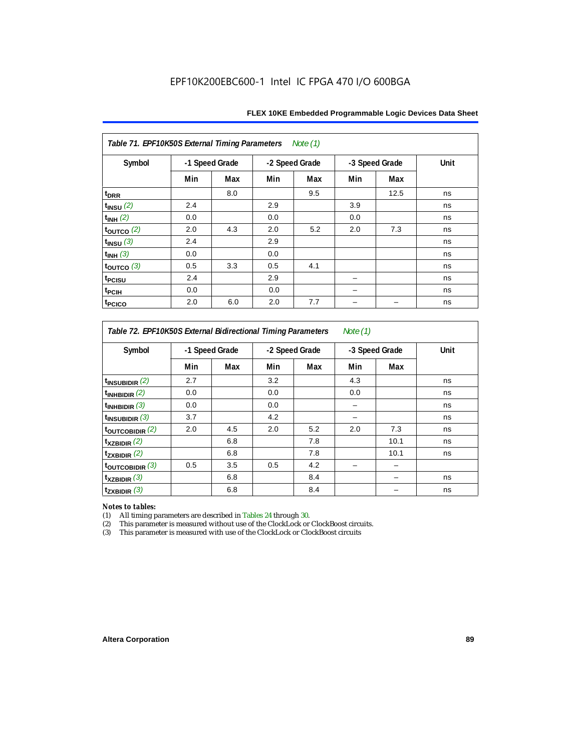| Table 71. EPF10K50S External Timing Parameters<br>Note (1) |                |     |     |                |                |      |      |  |  |  |  |
|------------------------------------------------------------|----------------|-----|-----|----------------|----------------|------|------|--|--|--|--|
| Symbol                                                     | -1 Speed Grade |     |     | -2 Speed Grade | -3 Speed Grade |      | Unit |  |  |  |  |
|                                                            | Min            | Max | Min | Max            | Min            | Max  |      |  |  |  |  |
| t <sub>DRR</sub>                                           |                | 8.0 |     | 9.5            |                | 12.5 | ns   |  |  |  |  |
| $t_{INSU}$ $(2)$                                           | 2.4            |     | 2.9 |                | 3.9            |      | ns   |  |  |  |  |
| $t_{INH}$ (2)                                              | 0.0            |     | 0.0 |                | 0.0            |      | ns   |  |  |  |  |
| $\vert$ toutco $\vert$ 2)                                  | 2.0            | 4.3 | 2.0 | 5.2            | 2.0            | 7.3  | ns   |  |  |  |  |
| $t_{INSU}$ (3)                                             | 2.4            |     | 2.9 |                |                |      | ns   |  |  |  |  |
| $t_{INH}$ (3)                                              | 0.0            |     | 0.0 |                |                |      | ns   |  |  |  |  |
| $\tt_{\text{OUTCO}}$ (3)                                   | 0.5            | 3.3 | 0.5 | 4.1            |                |      | ns   |  |  |  |  |
| t <sub>PCISU</sub>                                         | 2.4            |     | 2.9 |                |                |      | ns   |  |  |  |  |
| t <sub>PCIH</sub>                                          | 0.0            |     | 0.0 |                |                |      | ns   |  |  |  |  |
| t <sub>PCICO</sub>                                         | 2.0            | 6.0 | 2.0 | 7.7            |                |      | ns   |  |  |  |  |

*Table 72. EPF10K50S External Bidirectional Timing Parameters Note (1)*

| Symbol                     |     | -1 Speed Grade |     | -2 Speed Grade |     | -3 Speed Grade |    |
|----------------------------|-----|----------------|-----|----------------|-----|----------------|----|
|                            | Min | Max            | Min | Max            | Min | Max            |    |
| $t_{\text{INSUBIDIR}}(2)$  | 2.7 |                | 3.2 |                | 4.3 |                | ns |
| $t_{INHBIDIR}$ (2)         | 0.0 |                | 0.0 |                | 0.0 |                | ns |
| $t_{INHBIDIR}$ (3)         | 0.0 |                | 0.0 |                |     |                | ns |
| $t_{INSUBIDIR}$ (3)        | 3.7 |                | 4.2 |                |     |                | ns |
| $t_{\text{OUTCOBIDIR}}(2)$ | 2.0 | 4.5            | 2.0 | 5.2            | 2.0 | 7.3            | ns |
| $t_{XZBIDIR}$ (2)          |     | 6.8            |     | 7.8            |     | 10.1           | ns |
| $t_{ZXBIDIR}$ (2)          |     | 6.8            |     | 7.8            |     | 10.1           | ns |
| toutcobidir $(3)$          | 0.5 | 3.5            | 0.5 | 4.2            |     |                |    |
| $t_{XZBIDIR}$ (3)          |     | 6.8            |     | 8.4            |     |                | ns |
| $t_{ZXBIDIR}$ (3)          |     | 6.8            |     | 8.4            |     |                | ns |

*Notes to tables:* All timing parameters are described in Tables 24 through 30.

(2) This parameter is measured without use of the ClockLock or ClockBoost circuits.<br>(3) This parameter is measured with use of the ClockLock or ClockBoost circuits

This parameter is measured with use of the ClockLock or ClockBoost circuits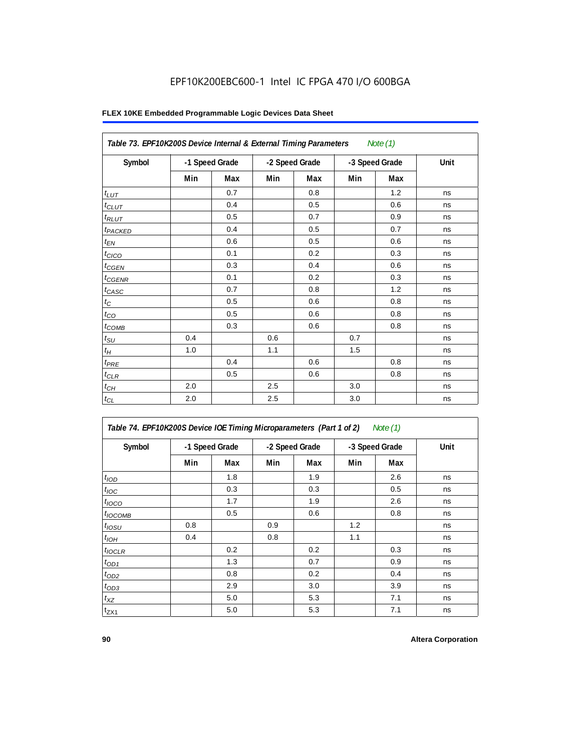|                     |                |     | Table 73. EPF10K200S Device Internal & External Timing Parameters<br>Note $(1)$ |                |     |                |      |  |  |  |  |  |  |
|---------------------|----------------|-----|---------------------------------------------------------------------------------|----------------|-----|----------------|------|--|--|--|--|--|--|
| Symbol              | -1 Speed Grade |     |                                                                                 | -2 Speed Grade |     | -3 Speed Grade | Unit |  |  |  |  |  |  |
|                     | Min            | Max | Min                                                                             | Max            | Min | Max            |      |  |  |  |  |  |  |
| $t_{LUT}$           |                | 0.7 |                                                                                 | 0.8            |     | 1.2            | ns   |  |  |  |  |  |  |
| $t_{CLUT}$          |                | 0.4 |                                                                                 | 0.5            |     | 0.6            | ns   |  |  |  |  |  |  |
| $t_{RLUT}$          |                | 0.5 |                                                                                 | 0.7            |     | 0.9            | ns   |  |  |  |  |  |  |
| t <sub>PACKED</sub> |                | 0.4 |                                                                                 | 0.5            |     | 0.7            | ns   |  |  |  |  |  |  |
| $t_{EN}$            |                | 0.6 |                                                                                 | 0.5            |     | 0.6            | ns   |  |  |  |  |  |  |
| $t_{CICO}$          |                | 0.1 |                                                                                 | 0.2            |     | 0.3            | ns   |  |  |  |  |  |  |
| $t_{CGEN}$          |                | 0.3 |                                                                                 | 0.4            |     | 0.6            | ns   |  |  |  |  |  |  |
| $t_{\text{GENR}}$   |                | 0.1 |                                                                                 | 0.2            |     | 0.3            | ns   |  |  |  |  |  |  |
| $t_{CASC}$          |                | 0.7 |                                                                                 | 0.8            |     | 1.2            | ns   |  |  |  |  |  |  |
| $t_{\rm C}$         |                | 0.5 |                                                                                 | 0.6            |     | 0.8            | ns   |  |  |  |  |  |  |
| $t_{CO}$            |                | 0.5 |                                                                                 | 0.6            |     | 0.8            | ns   |  |  |  |  |  |  |
| $t_{COMB}$          |                | 0.3 |                                                                                 | 0.6            |     | 0.8            | ns   |  |  |  |  |  |  |
| $t_{\rm SU}$        | 0.4            |     | 0.6                                                                             |                | 0.7 |                | ns   |  |  |  |  |  |  |
| $t_H\,$             | 1.0            |     | 1.1                                                                             |                | 1.5 |                | ns   |  |  |  |  |  |  |
| $t_{PRE}$           |                | 0.4 |                                                                                 | 0.6            |     | 0.8            | ns   |  |  |  |  |  |  |
| $t_{CLR}$           |                | 0.5 |                                                                                 | 0.6            |     | 0.8            | ns   |  |  |  |  |  |  |
| $t_{CH}$            | 2.0            |     | 2.5                                                                             |                | 3.0 |                | ns   |  |  |  |  |  |  |
| $t_{CL}$            | 2.0            |     | 2.5                                                                             |                | 3.0 |                | ns   |  |  |  |  |  |  |

| Table 74. EPF10K200S Device IOE Timing Microparameters (Part 1 of 2) Note (1) |  |  |  |
|-------------------------------------------------------------------------------|--|--|--|
|-------------------------------------------------------------------------------|--|--|--|

| Symbol           | -1 Speed Grade |     | -2 Speed Grade |     | -3 Speed Grade |     | Unit |
|------------------|----------------|-----|----------------|-----|----------------|-----|------|
|                  | Min            | Max | Min            | Max | Min            | Max |      |
| t <sub>IOD</sub> |                | 1.8 |                | 1.9 |                | 2.6 | ns   |
| $t_{\text{IOC}}$ |                | 0.3 |                | 0.3 |                | 0.5 | ns   |
| $t_{IOCO}$       |                | 1.7 |                | 1.9 |                | 2.6 | ns   |
| $t_{IOCOMB}$     |                | 0.5 |                | 0.6 |                | 0.8 | ns   |
| $t_{IOSU}$       | 0.8            |     | 0.9            |     | 1.2            |     | ns   |
| $t_{IOH}$        | 0.4            |     | 0.8            |     | 1.1            |     | ns   |
| $t_{IOCLR}$      |                | 0.2 |                | 0.2 |                | 0.3 | ns   |
| $t_{OD1}$        |                | 1.3 |                | 0.7 |                | 0.9 | ns   |
| $t_{OD2}$        |                | 0.8 |                | 0.2 |                | 0.4 | ns   |
| $t_{OD3}$        |                | 2.9 |                | 3.0 |                | 3.9 | ns   |
| $t_{XZ}$         |                | 5.0 |                | 5.3 |                | 7.1 | ns   |
| $t_{ZX1}$        |                | 5.0 |                | 5.3 |                | 7.1 | ns   |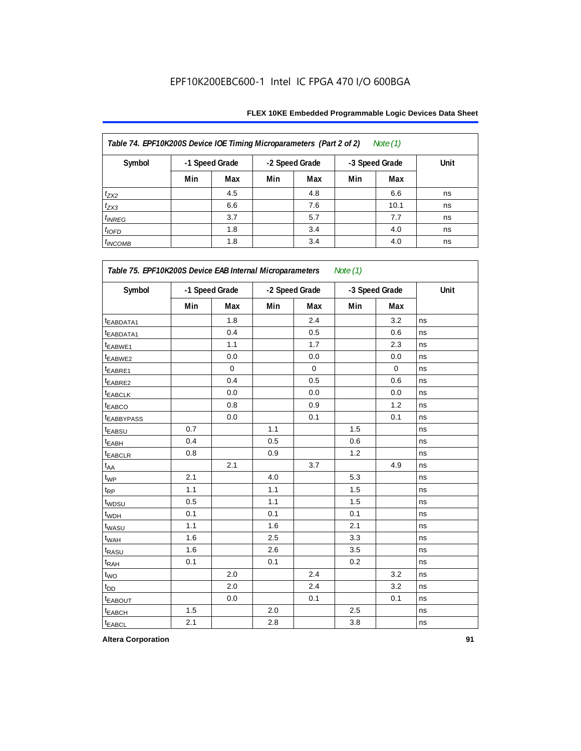| Table 74. EPF10K200S Device IOE Timing Microparameters (Part 2 of 2)<br>Note $(1)$ |                |     |     |                |     |                |      |  |  |  |
|------------------------------------------------------------------------------------|----------------|-----|-----|----------------|-----|----------------|------|--|--|--|
| Symbol                                                                             | -1 Speed Grade |     |     | -2 Speed Grade |     | -3 Speed Grade | Unit |  |  |  |
|                                                                                    | Min            | Max | Min | Max            | Min | Max            |      |  |  |  |
| $t_{ZX2}$                                                                          |                | 4.5 |     | 4.8            |     | 6.6            | ns   |  |  |  |
| $t_{ZX3}$                                                                          |                | 6.6 |     | 7.6            |     | 10.1           | ns   |  |  |  |
| $t_{INREG}$                                                                        |                | 3.7 |     | 5.7            |     | 7.7            | ns   |  |  |  |
| $t_{IOFD}$                                                                         |                | 1.8 |     | 3.4            |     | 4.0            | ns   |  |  |  |
| $t_{INCOMB}$                                                                       |                | 1.8 |     | 3.4            |     | 4.0            | ns   |  |  |  |

| Symbol                  | -1 Speed Grade |             | -2 Speed Grade |             |     | -3 Speed Grade | Unit |
|-------------------------|----------------|-------------|----------------|-------------|-----|----------------|------|
|                         | Min            | Max         | Min            | Max         | Min | Max            |      |
| <sup>t</sup> EABDATA1   |                | 1.8         |                | 2.4         |     | 3.2            | ns   |
| <sup>t</sup> EABDATA1   |                | 0.4         |                | 0.5         |     | 0.6            | ns   |
| t <sub>EABWE1</sub>     |                | 1.1         |                | 1.7         |     | 2.3            | ns   |
| t <sub>EABWE2</sub>     |                | 0.0         |                | 0.0         |     | 0.0            | ns   |
| <sup>t</sup> EABRE1     |                | $\mathbf 0$ |                | $\mathbf 0$ |     | $\mathbf 0$    | ns   |
| t <sub>EABRE2</sub>     |                | 0.4         |                | 0.5         |     | 0.6            | ns   |
| <sup>t</sup> EABCLK     |                | 0.0         |                | 0.0         |     | 0.0            | ns   |
| t <sub>EABCO</sub>      |                | 0.8         |                | 0.9         |     | 1.2            | ns   |
| <b><i>EABBYPASS</i></b> |                | 0.0         |                | 0.1         |     | 0.1            | ns   |
| t <sub>EABSU</sub>      | 0.7            |             | 1.1            |             | 1.5 |                | ns   |
| t <sub>EABH</sub>       | 0.4            |             | 0.5            |             | 0.6 |                | ns   |
| t <sub>EABCLR</sub>     | 0.8            |             | 0.9            |             | 1.2 |                | ns   |
| t <sub>AA</sub>         |                | 2.1         |                | 3.7         |     | 4.9            | ns   |
| $t_{WP}$                | 2.1            |             | 4.0            |             | 5.3 |                | ns   |
| t <sub>RP</sub>         | 1.1            |             | 1.1            |             | 1.5 |                | ns   |
| t <sub>WDSU</sub>       | 0.5            |             | 1.1            |             | 1.5 |                | ns   |
| t <sub>WDH</sub>        | 0.1            |             | 0.1            |             | 0.1 |                | ns   |
| t <sub>WASU</sub>       | 1.1            |             | 1.6            |             | 2.1 |                | ns   |
| t <sub>WAH</sub>        | 1.6            |             | 2.5            |             | 3.3 |                | ns   |
| t <sub>RASU</sub>       | 1.6            |             | 2.6            |             | 3.5 |                | ns   |
| t <sub>RAH</sub>        | 0.1            |             | 0.1            |             | 0.2 |                | ns   |
| $t_{\text{WO}}$         |                | 2.0         |                | 2.4         |     | 3.2            | ns   |
| $t_{DD}$                |                | 2.0         |                | 2.4         |     | 3.2            | ns   |
| <b>EABOUT</b>           |                | 0.0         |                | 0.1         |     | 0.1            | ns   |
| t <sub>EABCH</sub>      | 1.5            |             | 2.0            |             | 2.5 |                | ns   |
| <b>t</b> EABCL          | 2.1            |             | 2.8            |             | 3.8 |                | ns   |

**Altera Corporation 91**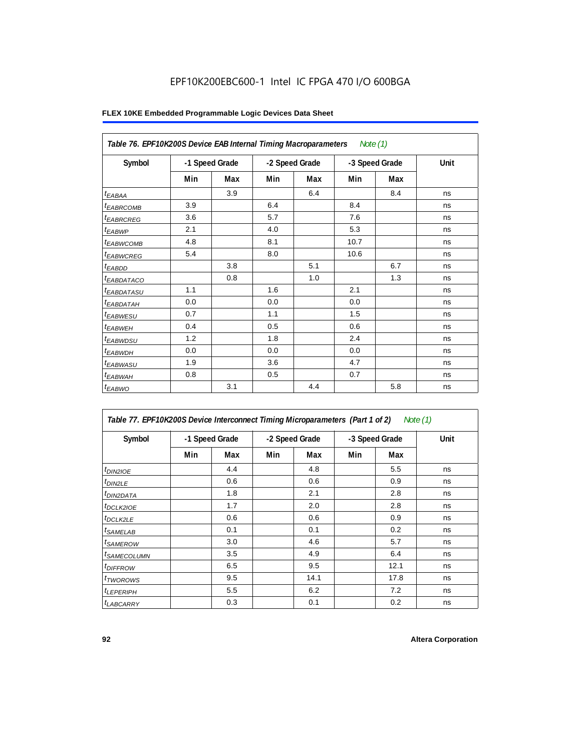| Table 76. EPF10K200S Device EAB Internal Timing Macroparameters |                |     |                |     | Note (1)       |     |      |
|-----------------------------------------------------------------|----------------|-----|----------------|-----|----------------|-----|------|
| Symbol                                                          | -1 Speed Grade |     | -2 Speed Grade |     | -3 Speed Grade |     | Unit |
|                                                                 | Min            | Max | Min            | Max | Min            | Max |      |
| $t_{EABA}$                                                      |                | 3.9 |                | 6.4 |                | 8.4 | ns   |
| <sup>t</sup> EABRCOMB                                           | 3.9            |     | 6.4            |     | 8.4            |     | ns   |
| <sup>t</sup> EABRCREG                                           | 3.6            |     | 5.7            |     | 7.6            |     | ns   |
| <sup>t</sup> EABWP                                              | 2.1            |     | 4.0            |     | 5.3            |     | ns   |
| <sup>t</sup> EABWCOMB                                           | 4.8            |     | 8.1            |     | 10.7           |     | ns   |
| <sup>t</sup> EABWCREG                                           | 5.4            |     | 8.0            |     | 10.6           |     | ns   |
| $t_{EABDD}$                                                     |                | 3.8 |                | 5.1 |                | 6.7 | ns   |
| <sup>t</sup> EABDATACO                                          |                | 0.8 |                | 1.0 |                | 1.3 | ns   |
| <sup>t</sup> EABDATASU                                          | 1.1            |     | 1.6            |     | 2.1            |     | ns   |
| <sup>t</sup> EABDATAH                                           | 0.0            |     | 0.0            |     | 0.0            |     | ns   |
| <sup>t</sup> EABWESU                                            | 0.7            |     | 1.1            |     | 1.5            |     | ns   |
| <sup>t</sup> EABWEH                                             | 0.4            |     | 0.5            |     | 0.6            |     | ns   |
| <sup>t</sup> EABWDSU                                            | 1.2            |     | 1.8            |     | 2.4            |     | ns   |
| <sup>t</sup> EABWDH                                             | 0.0            |     | 0.0            |     | 0.0            |     | ns   |
| <sup>t</sup> EABWASU                                            | 1.9            |     | 3.6            |     | 4.7            |     | ns   |
| <sup>t</sup> EABWAH                                             | 0.8            |     | 0.5            |     | 0.7            |     | ns   |
| $t_{EABWO}$                                                     |                | 3.1 |                | 4.4 |                | 5.8 | ns   |

| Table 77. EPF10K200S Device Interconnect Timing Microparameters (Part 1 of 2)<br>Note $(1)$ |     |                |                |      |                |      |      |  |  |  |
|---------------------------------------------------------------------------------------------|-----|----------------|----------------|------|----------------|------|------|--|--|--|
| Symbol                                                                                      |     | -1 Speed Grade | -2 Speed Grade |      | -3 Speed Grade |      | Unit |  |  |  |
|                                                                                             | Min | Max            | Min            | Max  | Min            | Max  |      |  |  |  |
| $t_{DIN2IOE}$                                                                               |     | 4.4            |                | 4.8  |                | 5.5  | ns   |  |  |  |
| t <sub>DIN2LE</sub>                                                                         |     | 0.6            |                | 0.6  |                | 0.9  | ns   |  |  |  |
| <sup>t</sup> DIN2DATA                                                                       |     | 1.8            |                | 2.1  |                | 2.8  | ns   |  |  |  |
| <sup>t</sup> DCLK2IOE                                                                       |     | 1.7            |                | 2.0  |                | 2.8  | ns   |  |  |  |
| $t$ DCLK2LE                                                                                 |     | 0.6            |                | 0.6  |                | 0.9  | ns   |  |  |  |
| <sup>t</sup> SAMELAB                                                                        |     | 0.1            |                | 0.1  |                | 0.2  | ns   |  |  |  |
| <sup>t</sup> SAMEROW                                                                        |     | 3.0            |                | 4.6  |                | 5.7  | ns   |  |  |  |
| <sup>t</sup> SAMECOLUMN                                                                     |     | 3.5            |                | 4.9  |                | 6.4  | ns   |  |  |  |
| <i>t<sub>DIFFROW</sub></i>                                                                  |     | 6.5            |                | 9.5  |                | 12.1 | ns   |  |  |  |
| <sup>t</sup> TWOROWS                                                                        |     | 9.5            |                | 14.1 |                | 17.8 | ns   |  |  |  |
| <sup>t</sup> LEPERIPH                                                                       |     | 5.5            |                | 6.2  |                | 7.2  | ns   |  |  |  |
| <b><i>LABCARRY</i></b>                                                                      |     | 0.3            |                | 0.1  |                | 0.2  | ns   |  |  |  |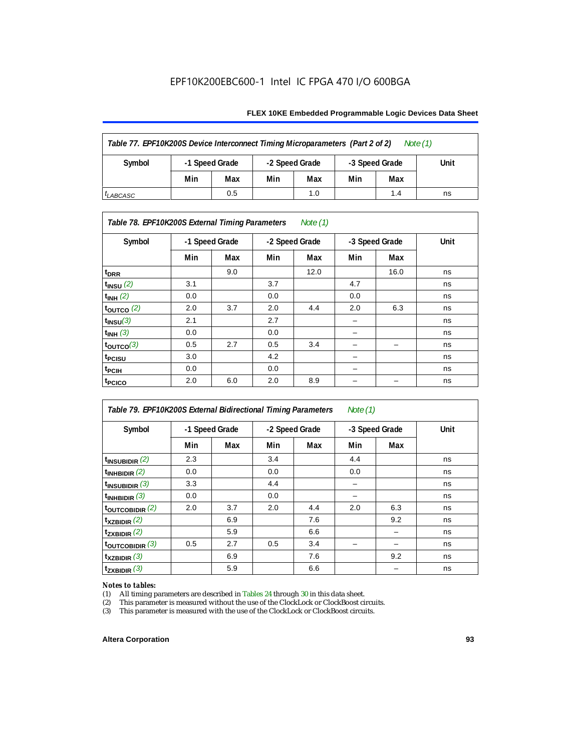### **FLEX 10KE Embedded Programmable Logic Devices Data Sheet**

| Table 77. EPF10K200S Device Interconnect Timing Microparameters (Part 2 of 2)<br>Note $(1)$ |                |     |                |     |                |     |      |  |  |  |
|---------------------------------------------------------------------------------------------|----------------|-----|----------------|-----|----------------|-----|------|--|--|--|
| Symbol                                                                                      | -1 Speed Grade |     | -2 Speed Grade |     | -3 Speed Grade |     | Unit |  |  |  |
|                                                                                             | Min            | Max | Min            | Max | Min            | Max |      |  |  |  |
| <sup>I</sup> LABCASC                                                                        |                | 0.5 |                | 1.0 |                | 1.4 | ns   |  |  |  |

### *Table 78. EPF10K200S External Timing Parameters Note (1)*

| Symbol                | -1 Speed Grade |     | -2 Speed Grade |      | -3 Speed Grade |      | Unit |
|-----------------------|----------------|-----|----------------|------|----------------|------|------|
|                       | Min            | Max | Min            | Max  | Min            | Max  |      |
| $t_{\text{DRR}}$      |                | 9.0 |                | 12.0 |                | 16.0 | ns   |
| $t_{INSU}$ (2)        | 3.1            |     | 3.7            |      | 4.7            |      | ns   |
| $t_{INH}$ (2)         | 0.0            |     | 0.0            |      | 0.0            |      | ns   |
| $t_{\text{OUTCO}}(2)$ | 2.0            | 3.7 | 2.0            | 4.4  | 2.0            | 6.3  | ns   |
| $t_{INSU}(3)$         | 2.1            |     | 2.7            |      |                |      | ns   |
| $t_{INH}$ (3)         | 0.0            |     | 0.0            |      | -              |      | ns   |
| $t_{OUTCO}(3)$        | 0.5            | 2.7 | 0.5            | 3.4  | -              | -    | ns   |
| <sup>t</sup> PCISU    | 3.0            |     | 4.2            |      | -              |      | ns   |
| t <sub>PCIH</sub>     | 0.0            |     | 0.0            |      | -              |      | ns   |
| t <sub>PCICO</sub>    | 2.0            | 6.0 | 2.0            | 8.9  |                |      | ns   |

| Table 79. EPF10K200S External Bidirectional Timing Parameters<br>Note $(1)$ |     |     |                |     |                |     |      |
|-----------------------------------------------------------------------------|-----|-----|----------------|-----|----------------|-----|------|
| Symbol<br>-1 Speed Grade                                                    |     |     | -2 Speed Grade |     | -3 Speed Grade |     | Unit |
|                                                                             | Min | Max | Min            | Max | Min            | Max |      |
| $t_{\text{INSUBIDIR}}(2)$                                                   | 2.3 |     | 3.4            |     | 4.4            |     | ns   |
| $t_{INHBIDIR}$ (2)                                                          | 0.0 |     | 0.0            |     | 0.0            |     | ns   |
| $t_{INSUBIDIR}$ (3)                                                         | 3.3 |     | 4.4            |     |                |     | ns   |
| $t_{INHBIDIR}$ (3)                                                          | 0.0 |     | 0.0            |     |                |     | ns   |
| toutcobidir $(2)$                                                           | 2.0 | 3.7 | 2.0            | 4.4 | 2.0            | 6.3 | ns   |
| $t_{XZBIDIR}$ (2)                                                           |     | 6.9 |                | 7.6 |                | 9.2 | ns   |
| $t_{ZXBIDIR}$ (2)                                                           |     | 5.9 |                | 6.6 |                |     | ns   |
| $t_{\text{OUTC}OBIDIR}$ (3)                                                 | 0.5 | 2.7 | 0.5            | 3.4 |                |     | ns   |
| $t_{XZBIDIR}$ (3)                                                           |     | 6.9 |                | 7.6 |                | 9.2 | ns   |
| $t_{ZXBIDIR}$ (3)                                                           |     | 5.9 |                | 6.6 |                |     | ns   |

# *Notes to tables:*<br>(1) All timing p

(1) All timing parameters are described in Tables  $24$  through  $30$  in this data sheet.<br>
(2) This parameter is measured without the use of the ClockLock or ClockBoost ci

(2) This parameter is measured without the use of the ClockLock or ClockBoost circuits.<br>(3) This parameter is measured with the use of the ClockLock or ClockBoost circuits.

This parameter is measured with the use of the ClockLock or ClockBoost circuits.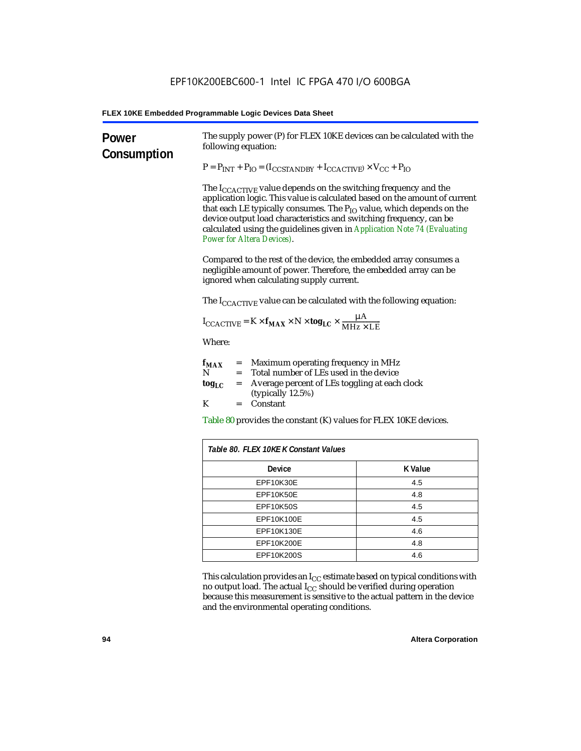| Power<br>Consumption | The supply power (P) for FLEX 10KE devices can be calculated with the<br>following equation:                                                                                                                                                                                                                                                                                                                                 |                |  |  |  |
|----------------------|------------------------------------------------------------------------------------------------------------------------------------------------------------------------------------------------------------------------------------------------------------------------------------------------------------------------------------------------------------------------------------------------------------------------------|----------------|--|--|--|
|                      | $P = P_{INT} + P_{IO} = (I_{COSTANDBY} + I_{CCACTIVE}) \times V_{CC} + P_{IO}$                                                                                                                                                                                                                                                                                                                                               |                |  |  |  |
|                      | The $I_{\text{CCACTIVE}}$ value depends on the switching frequency and the<br>application logic. This value is calculated based on the amount of current<br>that each LE typically consumes. The $P_{IO}$ value, which depends on the<br>device output load characteristics and switching frequency, can be<br>calculated using the guidelines given in Application Note 74 (Evaluating<br><b>Power for Altera Devices).</b> |                |  |  |  |
|                      | Compared to the rest of the device, the embedded array consumes a<br>negligible amount of power. Therefore, the embedded array can be<br>ignored when calculating supply current.                                                                                                                                                                                                                                            |                |  |  |  |
|                      | The $I_{\text{CCACTIVE}}$ value can be calculated with the following equation:                                                                                                                                                                                                                                                                                                                                               |                |  |  |  |
|                      | $I_{\text{CCACTIVE}} = K \times f_{\text{MAX}} \times N \times \text{tog}_{\text{LC}} \times \frac{\mu A}{\text{MHz} \times \text{LE}}$                                                                                                                                                                                                                                                                                      |                |  |  |  |
|                      | Where:                                                                                                                                                                                                                                                                                                                                                                                                                       |                |  |  |  |
|                      | = Maximum operating frequency in MHz<br>$f_{MAX}$<br>N<br>Total number of LEs used in the device<br>$=$<br>Average percent of LEs toggling at each clock<br>$\log_{LC}$<br>$=$                                                                                                                                                                                                                                               |                |  |  |  |
|                      | (typically $12.5\%$ )<br>K<br>Constant<br>$=$ $-$                                                                                                                                                                                                                                                                                                                                                                            |                |  |  |  |
|                      | Table 80 provides the constant (K) values for FLEX 10KE devices.                                                                                                                                                                                                                                                                                                                                                             |                |  |  |  |
|                      | Table 80. FLEX 10KE K Constant Values                                                                                                                                                                                                                                                                                                                                                                                        |                |  |  |  |
|                      | <b>Device</b>                                                                                                                                                                                                                                                                                                                                                                                                                | <b>K</b> Value |  |  |  |
|                      | EPF10K30E                                                                                                                                                                                                                                                                                                                                                                                                                    | 4.5            |  |  |  |
|                      | EPF10K50E<br>4.8                                                                                                                                                                                                                                                                                                                                                                                                             |                |  |  |  |
|                      | <b>EPF10K50S</b><br>4.5                                                                                                                                                                                                                                                                                                                                                                                                      |                |  |  |  |
|                      | EPF10K100E<br>4.5                                                                                                                                                                                                                                                                                                                                                                                                            |                |  |  |  |
|                      | EPF10K130E                                                                                                                                                                                                                                                                                                                                                                                                                   | 4.6            |  |  |  |
|                      | EPF10K200E<br>4.8                                                                                                                                                                                                                                                                                                                                                                                                            |                |  |  |  |
|                      | EPF10K200S                                                                                                                                                                                                                                                                                                                                                                                                                   | 4.6            |  |  |  |

This calculation provides an  $\rm I_{CC}$  estimate based on typical conditions with no output load. The actual I $_{\rm CC}$  should be verified during operation because this measurement is sensitive to the actual pattern in the device and the environmental operating conditions.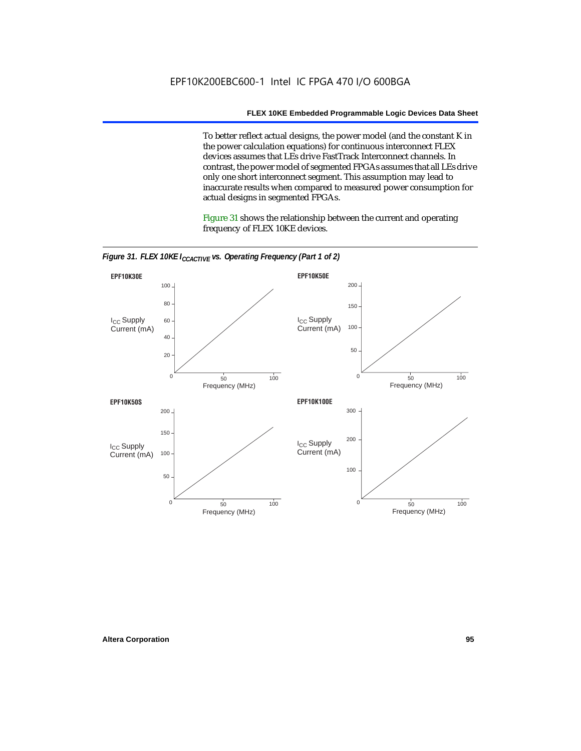To better reflect actual designs, the power model (and the constant K in the power calculation equations) for continuous interconnect FLEX devices assumes that LEs drive FastTrack Interconnect channels. In contrast, the power model of segmented FPGAs assumes that all LEs drive only one short interconnect segment. This assumption may lead to inaccurate results when compared to measured power consumption for actual designs in segmented FPGAs.

Figure 31 shows the relationship between the current and operating frequency of FLEX 10KE devices.



*Figure 31. FLEX 10KE I<sub>CCACTIVE</sub> vs. Operating Frequency (Part 1 of 2)*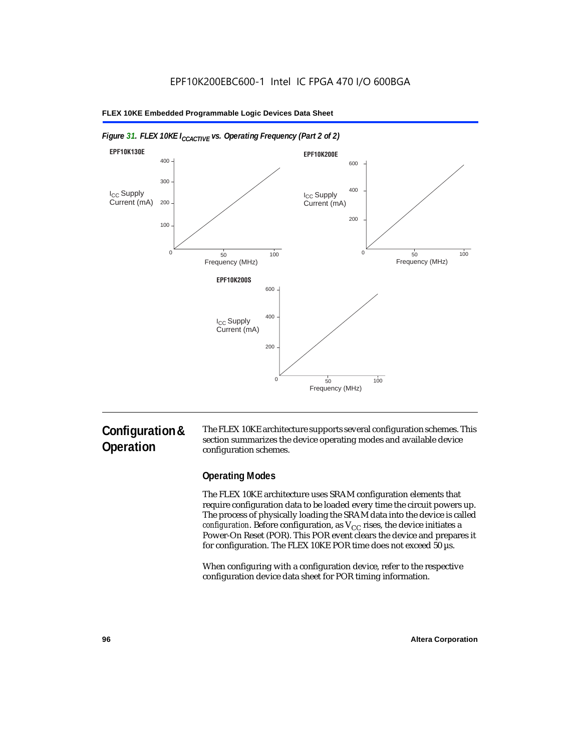

### *Figure 31. FLEX 10KE I<sub>CCACTIVE</sub> vs. Operating Frequency (Part 2 of 2)*

# **Configuration & Operation**

The FLEX 10KE architecture supports several configuration schemes. This section summarizes the device operating modes and available device configuration schemes.

# **Operating Modes**

The FLEX 10KE architecture uses SRAM configuration elements that require configuration data to be loaded every time the circuit powers up. The process of physically loading the SRAM data into the device is called *configuration.* Before configuration, as  $V_{CC}$  rises, the device initiates a Power-On Reset (POR). This POR event clears the device and prepares it for configuration. The FLEX 10KE POR time does not exceed 50 µs.

When configuring with a configuration device, refer to the respective configuration device data sheet for POR timing information.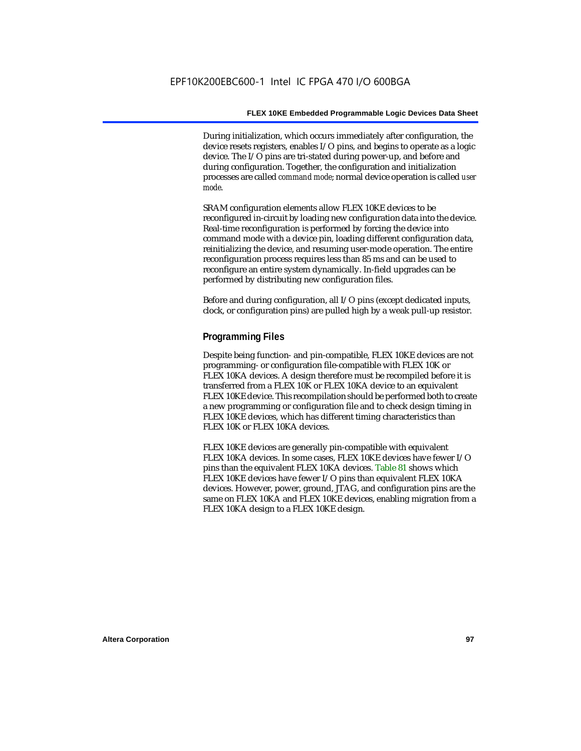During initialization, which occurs immediately after configuration, the device resets registers, enables I/O pins, and begins to operate as a logic device. The I/O pins are tri-stated during power-up, and before and during configuration. Together, the configuration and initialization processes are called *command mode*; normal device operation is called *user mode*.

SRAM configuration elements allow FLEX 10KE devices to be reconfigured in-circuit by loading new configuration data into the device. Real-time reconfiguration is performed by forcing the device into command mode with a device pin, loading different configuration data, reinitializing the device, and resuming user-mode operation. The entire reconfiguration process requires less than 85 ms and can be used to reconfigure an entire system dynamically. In-field upgrades can be performed by distributing new configuration files.

Before and during configuration, all I/O pins (except dedicated inputs, clock, or configuration pins) are pulled high by a weak pull-up resistor.

### **Programming Files**

Despite being function- and pin-compatible, FLEX 10KE devices are not programming- or configuration file-compatible with FLEX 10K or FLEX 10KA devices. A design therefore must be recompiled before it is transferred from a FLEX 10K or FLEX 10KA device to an equivalent FLEX 10KE device. This recompilation should be performed both to create a new programming or configuration file and to check design timing in FLEX 10KE devices, which has different timing characteristics than FLEX 10K or FLEX 10KA devices.

FLEX 10KE devices are generally pin-compatible with equivalent FLEX 10KA devices. In some cases, FLEX 10KE devices have fewer I/O pins than the equivalent FLEX 10KA devices. Table 81 shows which FLEX 10KE devices have fewer I/O pins than equivalent FLEX 10KA devices. However, power, ground, JTAG, and configuration pins are the same on FLEX 10KA and FLEX 10KE devices, enabling migration from a FLEX 10KA design to a FLEX 10KE design.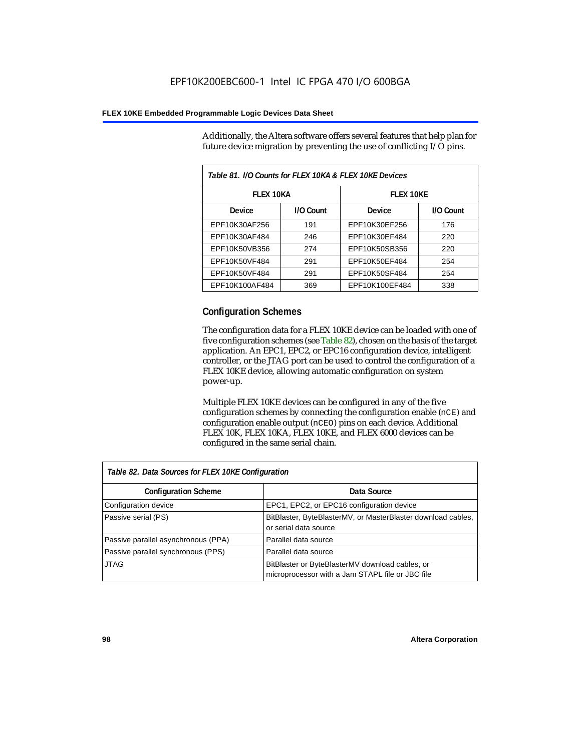Additionally, the Altera software offers several features that help plan for future device migration by preventing the use of conflicting I/O pins.

| Table 81. I/O Counts for FLEX 10KA & FLEX 10KE Devices |           |                  |           |  |
|--------------------------------------------------------|-----------|------------------|-----------|--|
| <b>FLEX 10KA</b>                                       |           | <b>FLEX 10KE</b> |           |  |
| <b>Device</b>                                          | I/O Count | Device           | I/O Count |  |
| EPF10K30AF256                                          | 191       | EPF10K30EF256    | 176       |  |
| EPF10K30AF484                                          | 246       | EPF10K30EF484    | 220       |  |
| EPF10K50VB356                                          | 274       | EPF10K50SB356    | 220       |  |
| EPF10K50VF484                                          | 291       | EPF10K50EF484    | 254       |  |
| EPF10K50VF484                                          | 291       | EPF10K50SF484    | 254       |  |
| EPF10K100AF484                                         | 369       | EPF10K100EF484   | 338       |  |

# **Configuration Schemes**

The configuration data for a FLEX 10KE device can be loaded with one of five configuration schemes (see Table 82), chosen on the basis of the target application. An EPC1, EPC2, or EPC16 configuration device, intelligent controller, or the JTAG port can be used to control the configuration of a FLEX 10KE device, allowing automatic configuration on system power-up.

Multiple FLEX 10KE devices can be configured in any of the five configuration schemes by connecting the configuration enable (nCE) and configuration enable output (nCEO) pins on each device. Additional FLEX 10K, FLEX 10KA, FLEX 10KE, and FLEX 6000 devices can be configured in the same serial chain.

| Table 82. Data Sources for FLEX 10KE Configuration |                                                                                                     |  |  |
|----------------------------------------------------|-----------------------------------------------------------------------------------------------------|--|--|
| <b>Configuration Scheme</b>                        | Data Source                                                                                         |  |  |
| Configuration device                               | EPC1, EPC2, or EPC16 configuration device                                                           |  |  |
| Passive serial (PS)                                | BitBlaster, ByteBlasterMV, or MasterBlaster download cables,<br>or serial data source               |  |  |
| Passive parallel asynchronous (PPA)                | Parallel data source                                                                                |  |  |
| Passive parallel synchronous (PPS)                 | Parallel data source                                                                                |  |  |
| <b>JTAG</b>                                        | BitBlaster or ByteBlasterMV download cables, or<br>microprocessor with a Jam STAPL file or JBC file |  |  |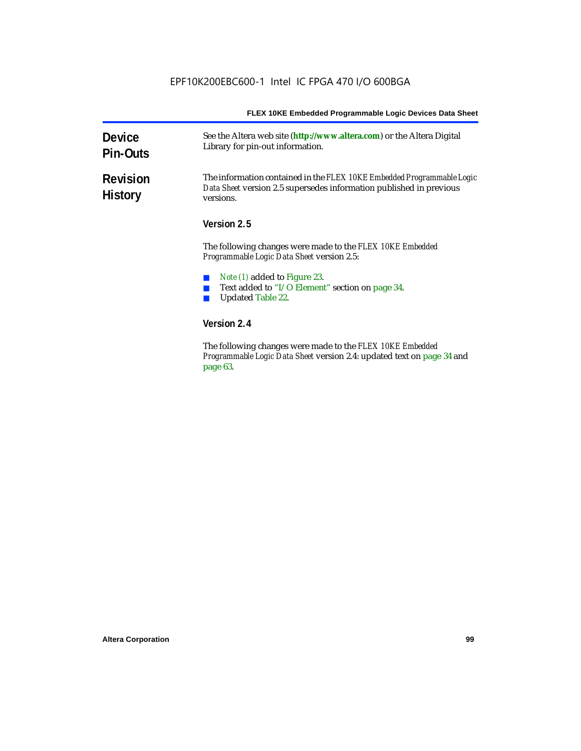| <b>Device</b><br><b>Pin-Outs</b>  | See the Altera web site (http://www.altera.com) or the Altera Digital<br>Library for pin-out information.                                                  |  |  |
|-----------------------------------|------------------------------------------------------------------------------------------------------------------------------------------------------------|--|--|
| <b>Revision</b><br><b>History</b> | The information contained in the FLEX 10KE Embedded Programmable Logic<br>Data Sheet version 2.5 supersedes information published in previous<br>versions. |  |  |
|                                   | Version 2.5                                                                                                                                                |  |  |
|                                   | The following changes were made to the FLEX 10KE Embedded<br><i>Programmable Logic Data Sheet version 2.5:</i>                                             |  |  |
|                                   | <i>Note (1)</i> added to Figure 23.                                                                                                                        |  |  |
|                                   | Text added to "I/O Element" section on page 34.                                                                                                            |  |  |
|                                   | <b>Updated Table 22.</b>                                                                                                                                   |  |  |
|                                   | Version 2.4                                                                                                                                                |  |  |
|                                   | ווונית העל היהודים והיות היהודים והיות                                                                                                                     |  |  |

The following changes were made to the *FLEX 10KE Embedded Programmable Logic Data Sheet* version 2.4: updated text on page 34 and page 63.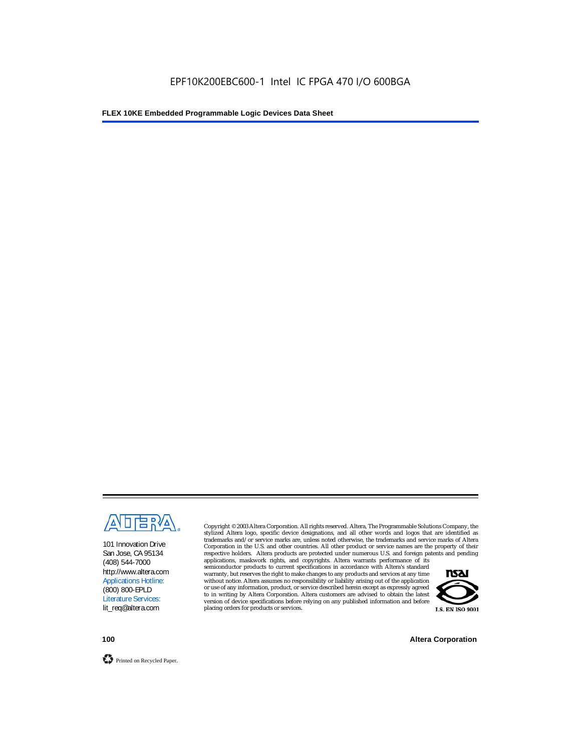

101 Innovation Drive San Jose, CA 95134 (408) 544-7000 http://www.altera.com Applications Hotline: (800) 800-EPLD Literature Services: lit\_req@altera.com

Copyright © 2003 Altera Corporation. All rights reserved. Altera, The Programmable Solutions Company, the stylized Altera logo, specific device designations, and all other words and logos that are identified as trademarks and/or service marks are, unless noted otherwise, the trademarks and service marks of Altera Corporation in the U.S. and other countries. All other product or service names are the property of their respective holders. Altera products are protected under numerous U.S. and foreign patents and pending

applications, maskwork rights, and copyrights. Altera warrants performance of its semiconductor products to current specifications in accordance with Altera's standard warranty, but reserves the right to make changes to any products and services at any time without notice. Altera assumes no responsibility or liability arising out of the application or use of any information, product, or service described herein except as expressly agreed to in writing by Altera Corporation. Altera customers are advised to obtain the latest version of device specifications before relying on any published information and before placing orders for products or services.



**100 Altera Corporation**